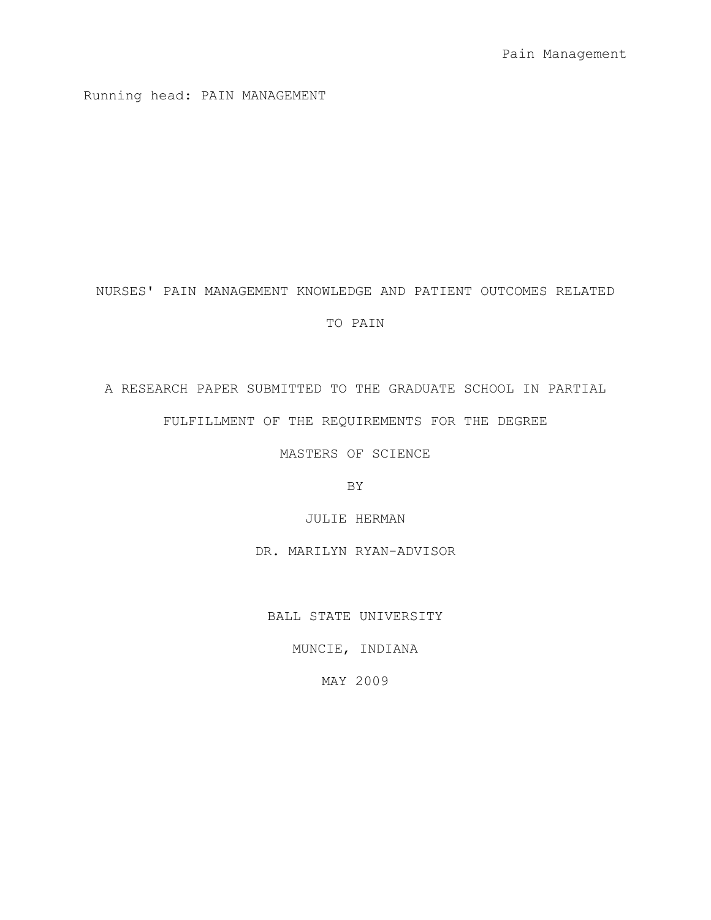Running head: PAIN MANAGEMENT

# NURSES' PAIN MANAGEMENT KNOWLEDGE AND PATIENT OUTCOMES RELATED

# TO PAIN

A RESEARCH PAPER SUBMITTED TO THE GRADUATE SCHOOL IN PARTIAL FULFILLMENT OF THE REQUIREMENTS FOR THE DEGREE

MASTERS OF SCIENCE

BY

JULIE HERMAN

DR. MARILYN RYAN-ADVISOR

BALL STATE UNIVERSITY

MUNCIE, INDIANA

MAY 2009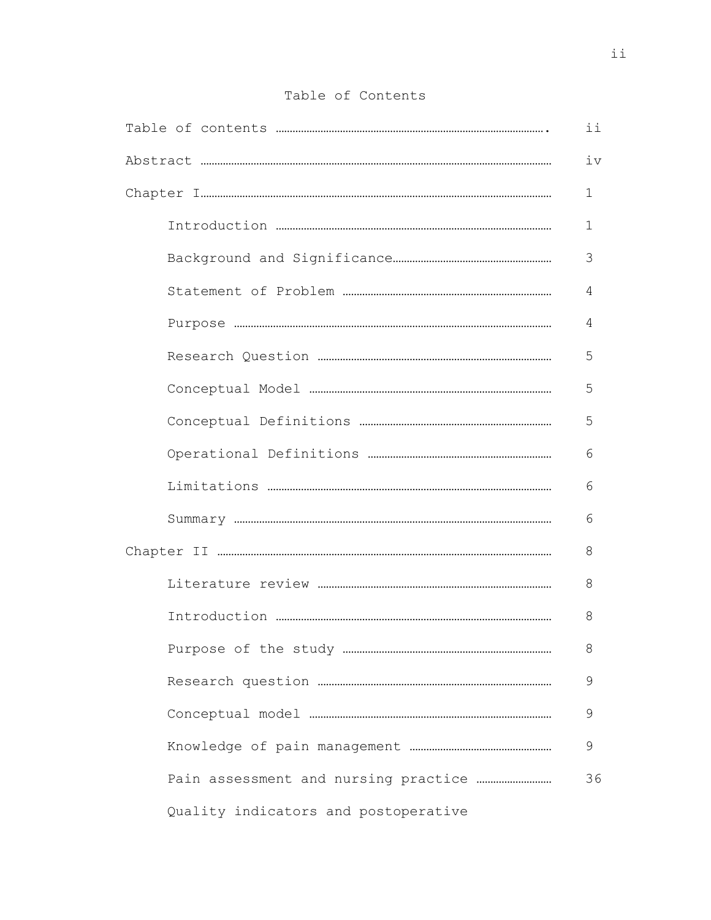|  |  | Table of Contents |
|--|--|-------------------|
|--|--|-------------------|

|                                      | ii |
|--------------------------------------|----|
|                                      | iv |
|                                      | 1  |
|                                      | 1  |
|                                      | 3  |
|                                      | 4  |
|                                      | 4  |
|                                      | 5  |
|                                      | 5  |
|                                      | 5  |
|                                      | 6  |
|                                      | 6  |
|                                      | 6  |
|                                      | 8  |
|                                      | 8  |
|                                      | 8  |
|                                      | 8  |
|                                      | 9  |
|                                      | 9  |
|                                      | 9  |
|                                      | 36 |
| Quality indicators and postoperative |    |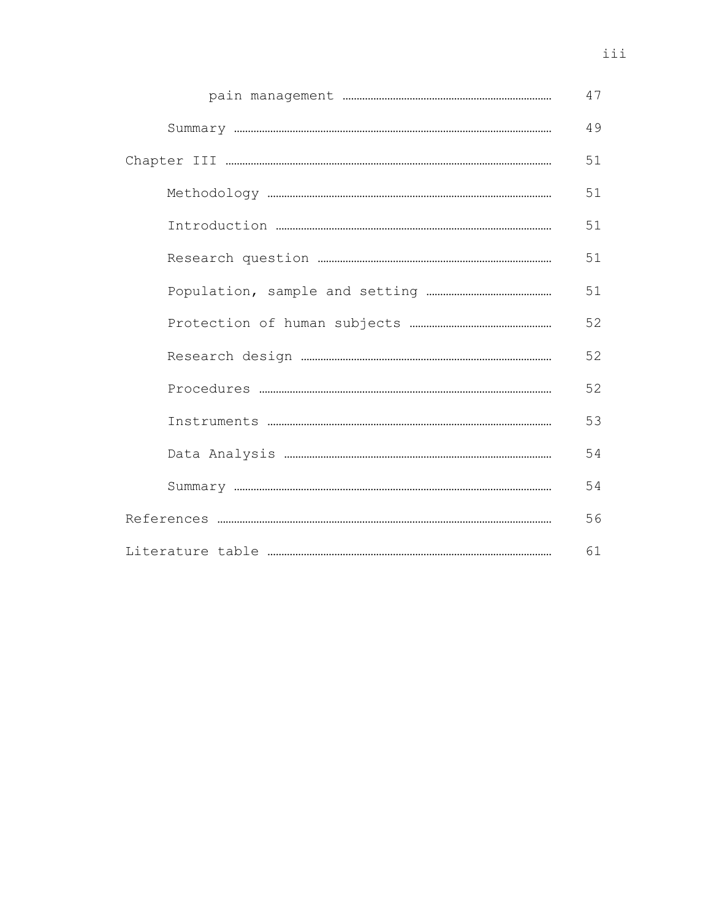|  | 47 |
|--|----|
|  | 49 |
|  | 51 |
|  | 51 |
|  | 51 |
|  | 51 |
|  | 51 |
|  | 52 |
|  | 52 |
|  | 52 |
|  | 53 |
|  | 54 |
|  | 54 |
|  |    |
|  | 61 |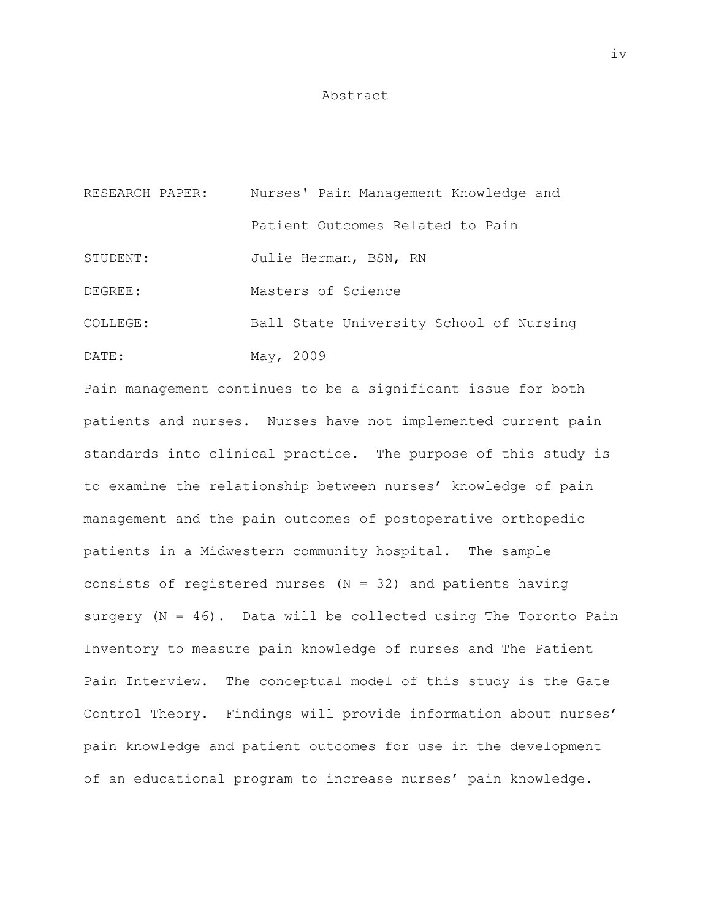### Abstract

| RESEARCH PAPER: | Nurses' Pain Management Knowledge and   |
|-----------------|-----------------------------------------|
|                 | Patient Outcomes Related to Pain        |
| STUDENT:        | Julie Herman, BSN, RN                   |
| DEGREE:         | Masters of Science                      |
| COLLEGE:        | Ball State University School of Nursing |
| DATE:           | May, 2009                               |

Pain management continues to be a significant issue for both patients and nurses. Nurses have not implemented current pain standards into clinical practice. The purpose of this study is to examine the relationship between nurses' knowledge of pain management and the pain outcomes of postoperative orthopedic patients in a Midwestern community hospital. The sample consists of registered nurses  $(N = 32)$  and patients having surgery  $(N = 46)$ . Data will be collected using The Toronto Pain Inventory to measure pain knowledge of nurses and The Patient Pain Interview. The conceptual model of this study is the Gate Control Theory. Findings will provide information about nurses' pain knowledge and patient outcomes for use in the development of an educational program to increase nurses' pain knowledge.

iv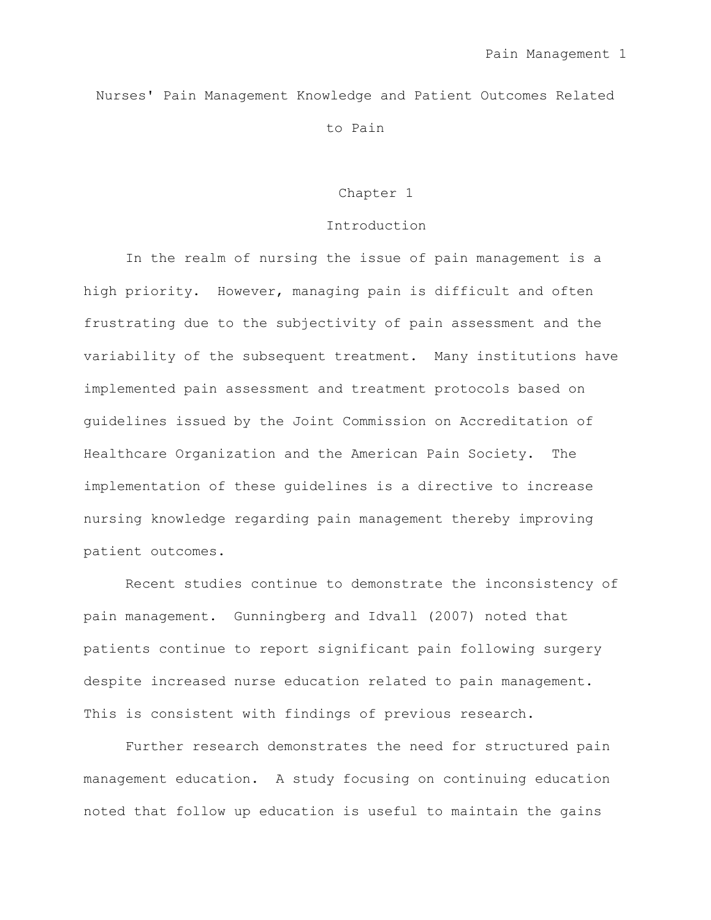Nurses' Pain Management Knowledge and Patient Outcomes Related to Pain

### Chapter 1

### Introduction

In the realm of nursing the issue of pain management is a high priority. However, managing pain is difficult and often frustrating due to the subjectivity of pain assessment and the variability of the subsequent treatment. Many institutions have implemented pain assessment and treatment protocols based on guidelines issued by the Joint Commission on Accreditation of Healthcare Organization and the American Pain Society. The implementation of these guidelines is a directive to increase nursing knowledge regarding pain management thereby improving patient outcomes.

Recent studies continue to demonstrate the inconsistency of pain management. Gunningberg and Idvall (2007) noted that patients continue to report significant pain following surgery despite increased nurse education related to pain management. This is consistent with findings of previous research.

Further research demonstrates the need for structured pain management education. A study focusing on continuing education noted that follow up education is useful to maintain the gains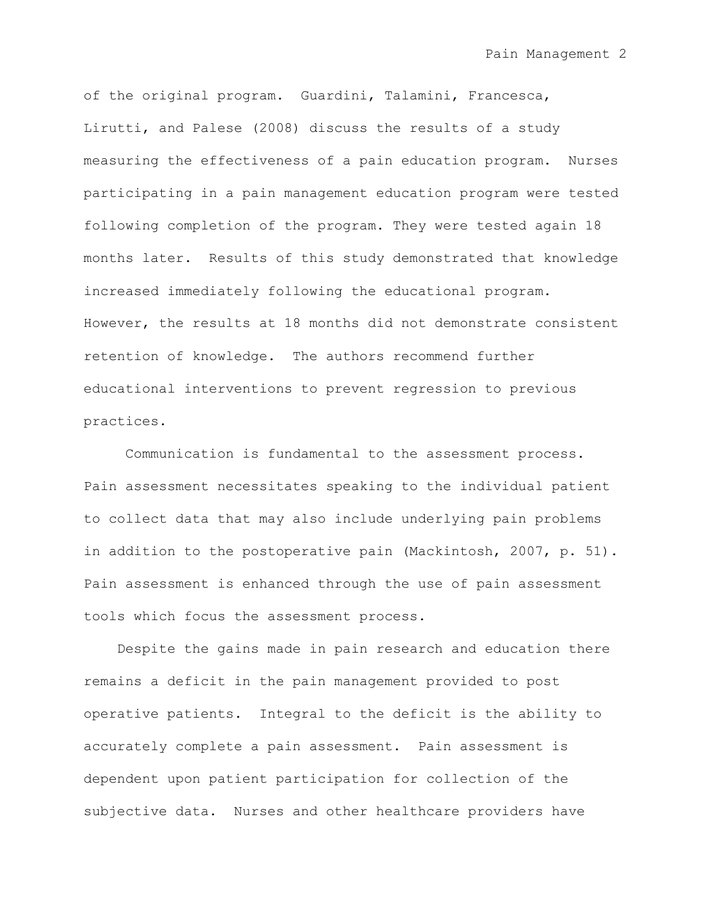of the original program. Guardini, Talamini, Francesca, Lirutti, and Palese (2008) discuss the results of a study measuring the effectiveness of a pain education program. Nurses participating in a pain management education program were tested following completion of the program. They were tested again 18 months later. Results of this study demonstrated that knowledge increased immediately following the educational program. However, the results at 18 months did not demonstrate consistent retention of knowledge. The authors recommend further educational interventions to prevent regression to previous practices.

Communication is fundamental to the assessment process. Pain assessment necessitates speaking to the individual patient to collect data that may also include underlying pain problems in addition to the postoperative pain (Mackintosh, 2007, p. 51). Pain assessment is enhanced through the use of pain assessment tools which focus the assessment process.

Despite the gains made in pain research and education there remains a deficit in the pain management provided to post operative patients. Integral to the deficit is the ability to accurately complete a pain assessment. Pain assessment is dependent upon patient participation for collection of the subjective data. Nurses and other healthcare providers have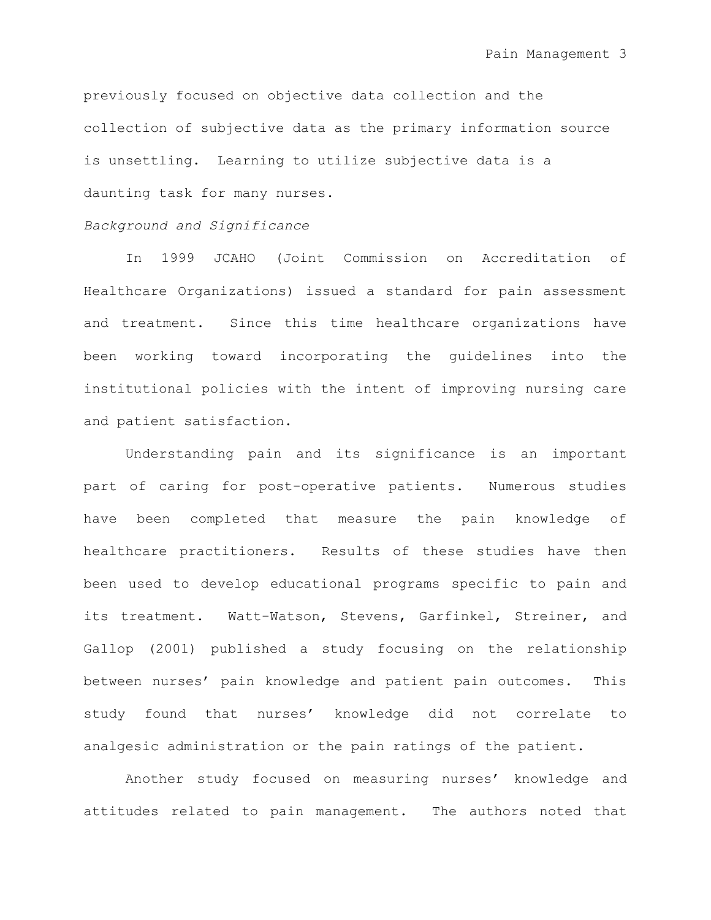previously focused on objective data collection and the collection of subjective data as the primary information source is unsettling. Learning to utilize subjective data is a daunting task for many nurses.

# *Background and Significance*

In 1999 JCAHO (Joint Commission on Accreditation of Healthcare Organizations) issued a standard for pain assessment and treatment. Since this time healthcare organizations have been working toward incorporating the guidelines into the institutional policies with the intent of improving nursing care and patient satisfaction.

Understanding pain and its significance is an important part of caring for post-operative patients. Numerous studies have been completed that measure the pain knowledge of healthcare practitioners. Results of these studies have then been used to develop educational programs specific to pain and its treatment. Watt-Watson, Stevens, Garfinkel, Streiner, and Gallop (2001) published a study focusing on the relationship between nurses" pain knowledge and patient pain outcomes. This study found that nurses" knowledge did not correlate to analgesic administration or the pain ratings of the patient.

Another study focused on measuring nurses' knowledge and attitudes related to pain management. The authors noted that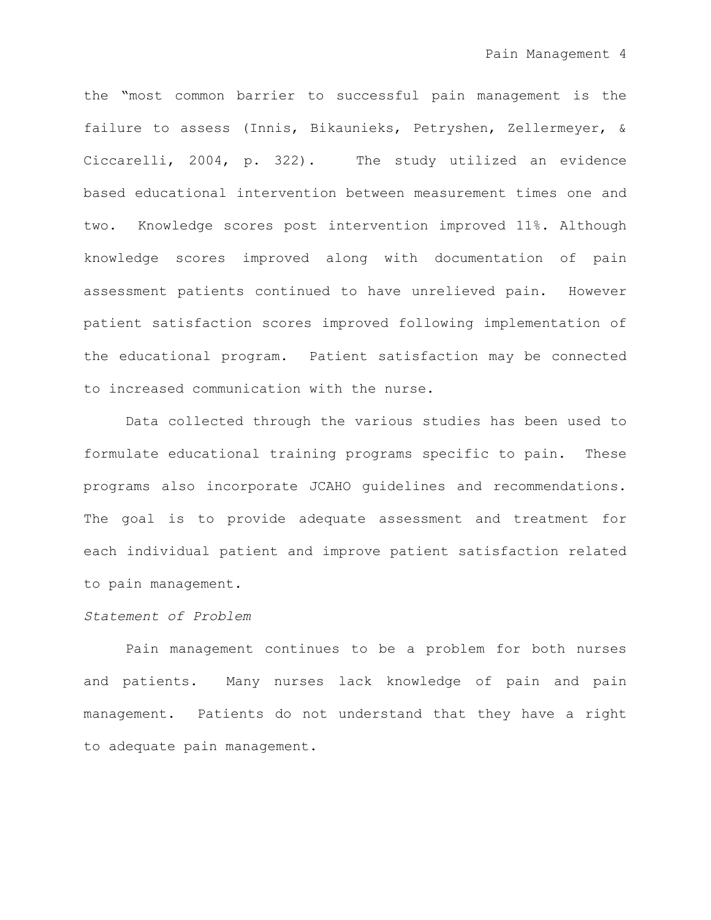the "most common barrier to successful pain management is the failure to assess (Innis, Bikaunieks, Petryshen, Zellermeyer, & Ciccarelli, 2004, p. 322). The study utilized an evidence based educational intervention between measurement times one and two. Knowledge scores post intervention improved 11%. Although knowledge scores improved along with documentation of pain assessment patients continued to have unrelieved pain. However patient satisfaction scores improved following implementation of the educational program. Patient satisfaction may be connected to increased communication with the nurse.

Data collected through the various studies has been used to formulate educational training programs specific to pain. These programs also incorporate JCAHO guidelines and recommendations. The goal is to provide adequate assessment and treatment for each individual patient and improve patient satisfaction related to pain management.

# *Statement of Problem*

Pain management continues to be a problem for both nurses and patients. Many nurses lack knowledge of pain and pain management. Patients do not understand that they have a right to adequate pain management.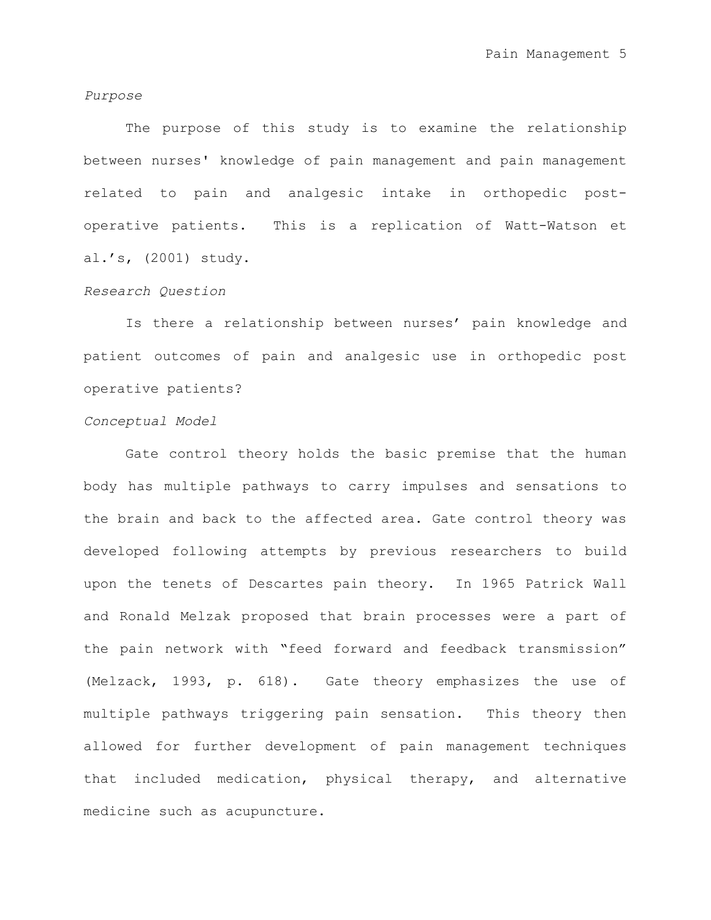#### *Purpose*

The purpose of this study is to examine the relationship between nurses' knowledge of pain management and pain management related to pain and analgesic intake in orthopedic postoperative patients. This is a replication of Watt-Watson et al."s, (2001) study.

### *Research Question*

Is there a relationship between nurses' pain knowledge and patient outcomes of pain and analgesic use in orthopedic post operative patients?

# *Conceptual Model*

Gate control theory holds the basic premise that the human body has multiple pathways to carry impulses and sensations to the brain and back to the affected area. Gate control theory was developed following attempts by previous researchers to build upon the tenets of Descartes pain theory. In 1965 Patrick Wall and Ronald Melzak proposed that brain processes were a part of the pain network with "feed forward and feedback transmission" (Melzack, 1993, p. 618). Gate theory emphasizes the use of multiple pathways triggering pain sensation. This theory then allowed for further development of pain management techniques that included medication, physical therapy, and alternative medicine such as acupuncture.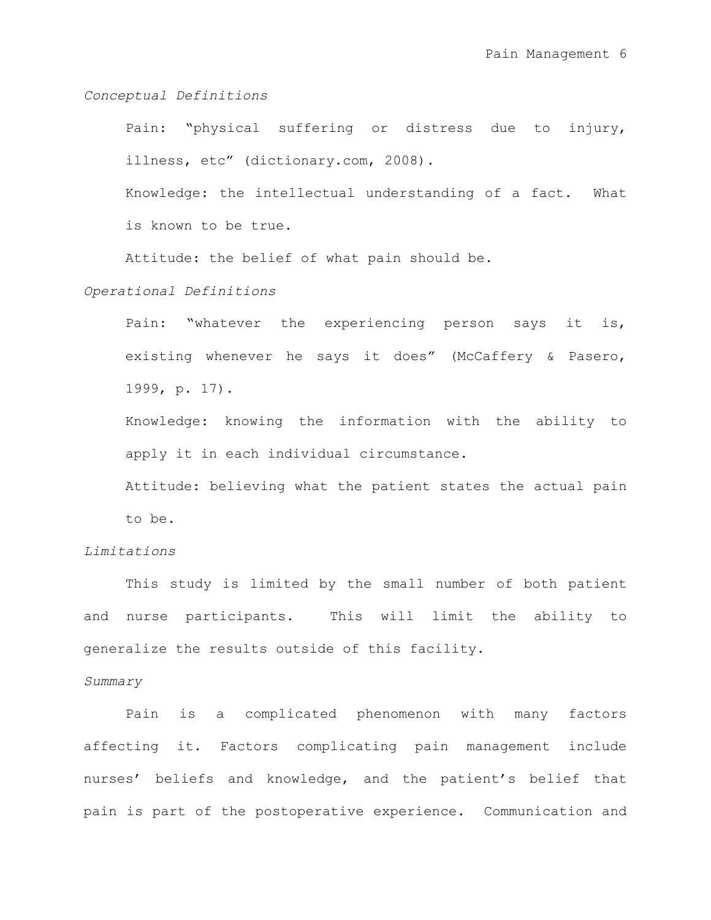### *Conceptual Definitions*

Pain: "physical suffering or distress due to injury, illness, etc" (dictionary.com, 2008).

Knowledge: the intellectual understanding of a fact. What is known to be true.

Attitude: the belief of what pain should be.

*Operational Definitions*

Pain: "whatever the experiencing person says it is, existing whenever he says it does" (McCaffery & Pasero, 1999, p. 17).

Knowledge: knowing the information with the ability to apply it in each individual circumstance.

Attitude: believing what the patient states the actual pain to be.

# *Limitations*

This study is limited by the small number of both patient and nurse participants. This will limit the ability to generalize the results outside of this facility.

#### *Summary*

Pain is a complicated phenomenon with many factors affecting it. Factors complicating pain management include nurses' beliefs and knowledge, and the patient's belief that pain is part of the postoperative experience. Communication and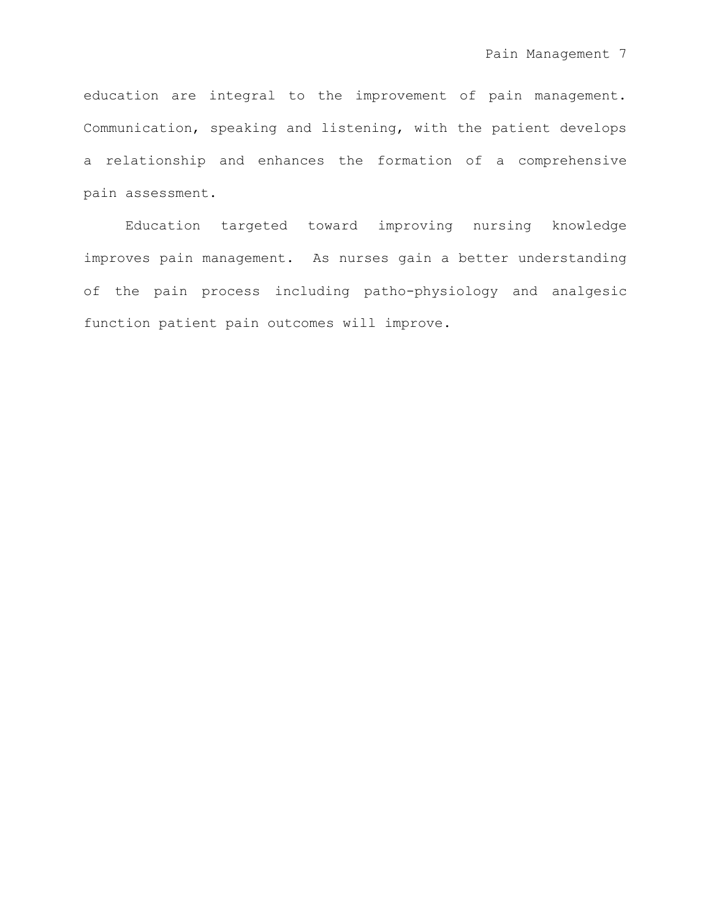education are integral to the improvement of pain management. Communication, speaking and listening, with the patient develops a relationship and enhances the formation of a comprehensive pain assessment.

Education targeted toward improving nursing knowledge improves pain management. As nurses gain a better understanding of the pain process including patho-physiology and analgesic function patient pain outcomes will improve.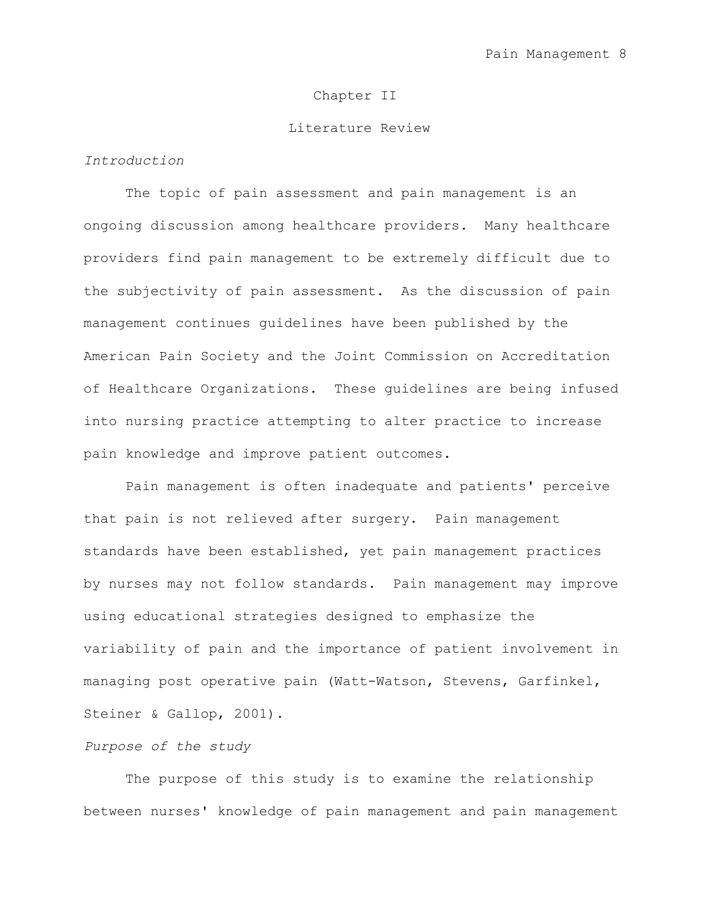## Chapter II

#### Literature Review

# *Introduction*

The topic of pain assessment and pain management is an ongoing discussion among healthcare providers. Many healthcare providers find pain management to be extremely difficult due to the subjectivity of pain assessment. As the discussion of pain management continues guidelines have been published by the American Pain Society and the Joint Commission on Accreditation of Healthcare Organizations. These guidelines are being infused into nursing practice attempting to alter practice to increase pain knowledge and improve patient outcomes.

Pain management is often inadequate and patients' perceive that pain is not relieved after surgery. Pain management standards have been established, yet pain management practices by nurses may not follow standards. Pain management may improve using educational strategies designed to emphasize the variability of pain and the importance of patient involvement in managing post operative pain (Watt-Watson, Stevens, Garfinkel, Steiner & Gallop, 2001).

### *Purpose of the study*

The purpose of this study is to examine the relationship between nurses' knowledge of pain management and pain management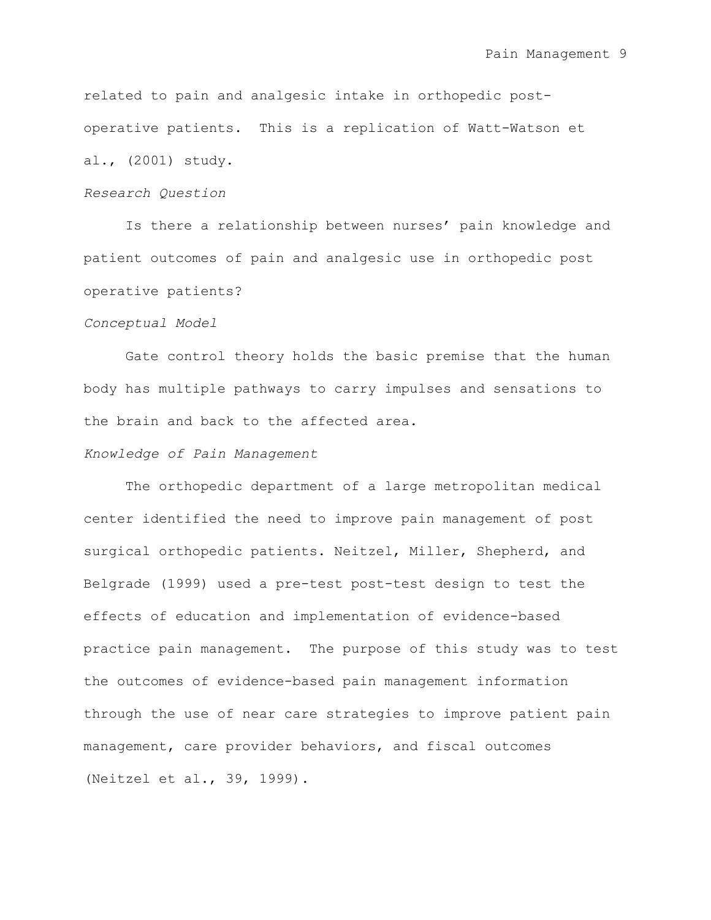related to pain and analgesic intake in orthopedic postoperative patients. This is a replication of Watt-Watson et al., (2001) study.

#### *Research Question*

Is there a relationship between nurses' pain knowledge and patient outcomes of pain and analgesic use in orthopedic post operative patients?

#### *Conceptual Model*

Gate control theory holds the basic premise that the human body has multiple pathways to carry impulses and sensations to the brain and back to the affected area.

# *Knowledge of Pain Management*

The orthopedic department of a large metropolitan medical center identified the need to improve pain management of post surgical orthopedic patients. Neitzel, Miller, Shepherd, and Belgrade (1999) used a pre-test post-test design to test the effects of education and implementation of evidence-based practice pain management. The purpose of this study was to test the outcomes of evidence-based pain management information through the use of near care strategies to improve patient pain management, care provider behaviors, and fiscal outcomes (Neitzel et al., 39, 1999).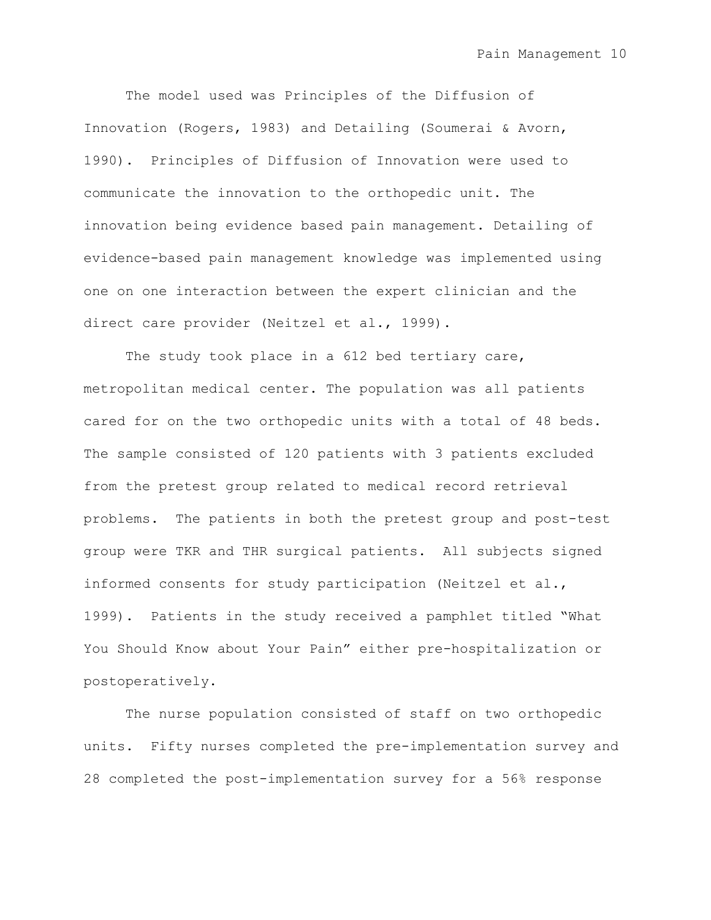The model used was Principles of the Diffusion of Innovation (Rogers, 1983) and Detailing (Soumerai & Avorn, 1990). Principles of Diffusion of Innovation were used to communicate the innovation to the orthopedic unit. The innovation being evidence based pain management. Detailing of evidence-based pain management knowledge was implemented using one on one interaction between the expert clinician and the direct care provider (Neitzel et al., 1999).

The study took place in a 612 bed tertiary care, metropolitan medical center. The population was all patients cared for on the two orthopedic units with a total of 48 beds. The sample consisted of 120 patients with 3 patients excluded from the pretest group related to medical record retrieval problems. The patients in both the pretest group and post-test group were TKR and THR surgical patients. All subjects signed informed consents for study participation (Neitzel et al., 1999). Patients in the study received a pamphlet titled "What You Should Know about Your Pain" either pre-hospitalization or postoperatively.

The nurse population consisted of staff on two orthopedic units. Fifty nurses completed the pre-implementation survey and 28 completed the post-implementation survey for a 56% response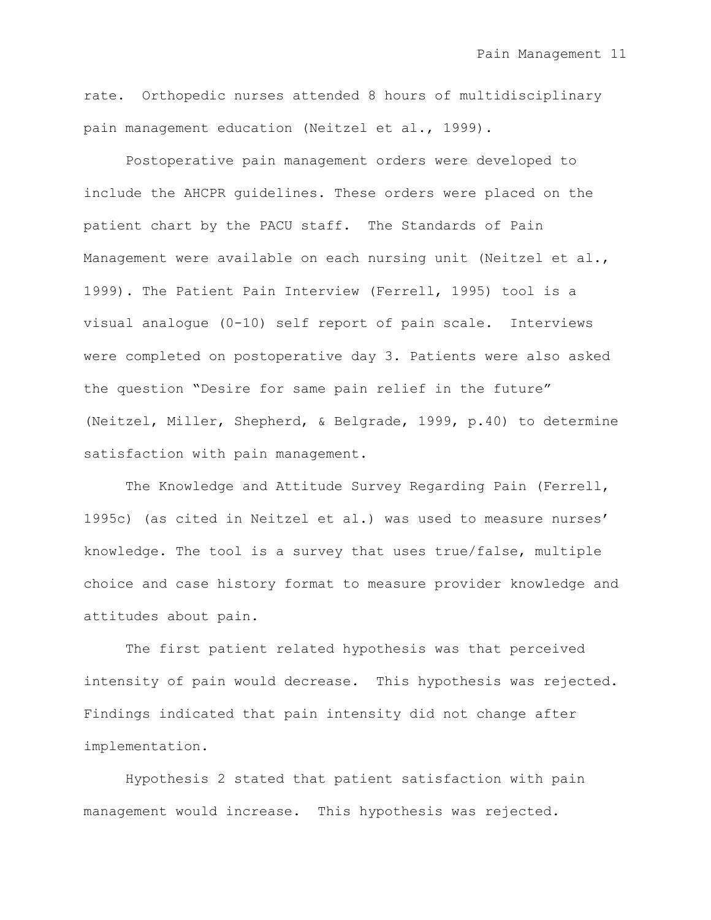rate. Orthopedic nurses attended 8 hours of multidisciplinary pain management education (Neitzel et al., 1999).

Postoperative pain management orders were developed to include the AHCPR guidelines. These orders were placed on the patient chart by the PACU staff. The Standards of Pain Management were available on each nursing unit (Neitzel et al., 1999). The Patient Pain Interview (Ferrell, 1995) tool is a visual analogue (0-10) self report of pain scale. Interviews were completed on postoperative day 3. Patients were also asked the question "Desire for same pain relief in the future" (Neitzel, Miller, Shepherd, & Belgrade, 1999, p.40) to determine satisfaction with pain management.

The Knowledge and Attitude Survey Regarding Pain (Ferrell, 1995c) (as cited in Neitzel et al.) was used to measure nurses" knowledge. The tool is a survey that uses true/false, multiple choice and case history format to measure provider knowledge and attitudes about pain.

The first patient related hypothesis was that perceived intensity of pain would decrease. This hypothesis was rejected. Findings indicated that pain intensity did not change after implementation.

Hypothesis 2 stated that patient satisfaction with pain management would increase. This hypothesis was rejected.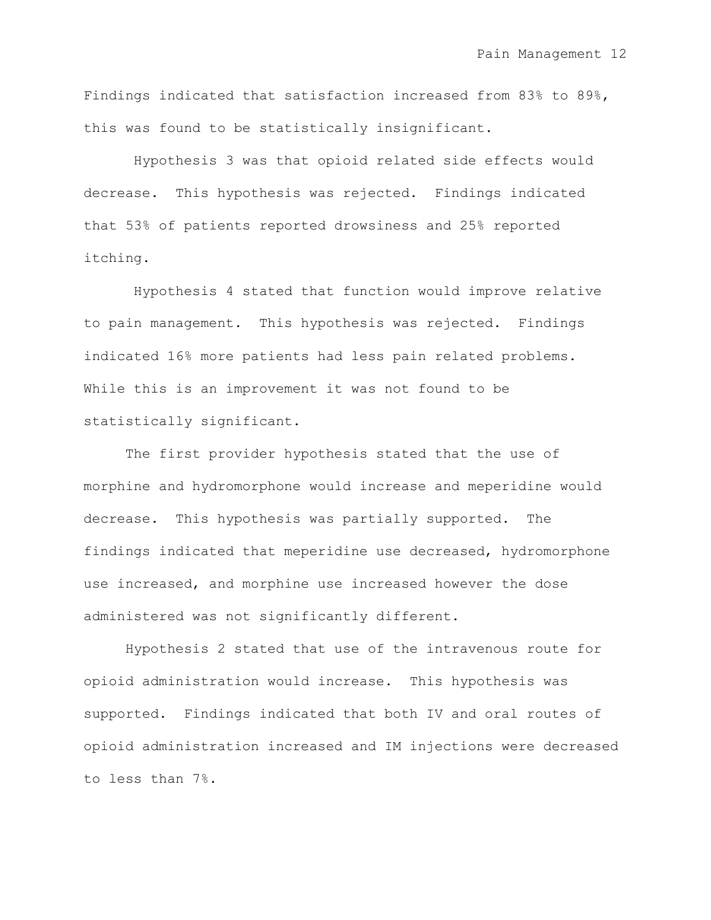Findings indicated that satisfaction increased from 83% to 89%, this was found to be statistically insignificant.

Hypothesis 3 was that opioid related side effects would decrease. This hypothesis was rejected. Findings indicated that 53% of patients reported drowsiness and 25% reported itching.

Hypothesis 4 stated that function would improve relative to pain management. This hypothesis was rejected. Findings indicated 16% more patients had less pain related problems. While this is an improvement it was not found to be statistically significant.

The first provider hypothesis stated that the use of morphine and hydromorphone would increase and meperidine would decrease. This hypothesis was partially supported. The findings indicated that meperidine use decreased, hydromorphone use increased, and morphine use increased however the dose administered was not significantly different.

Hypothesis 2 stated that use of the intravenous route for opioid administration would increase. This hypothesis was supported. Findings indicated that both IV and oral routes of opioid administration increased and IM injections were decreased to less than 7%.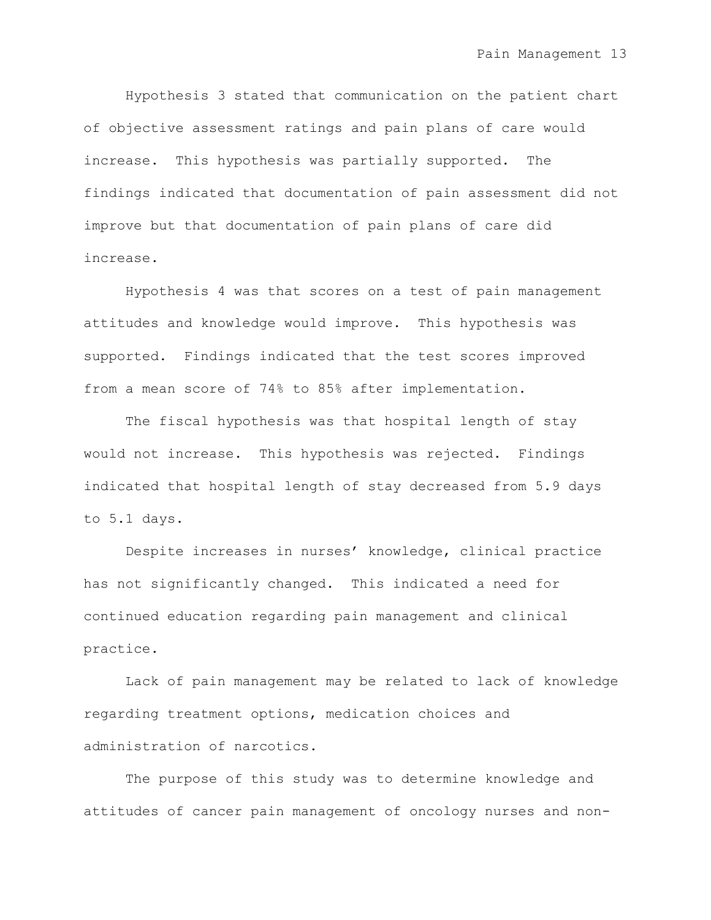Hypothesis 3 stated that communication on the patient chart of objective assessment ratings and pain plans of care would increase. This hypothesis was partially supported. The findings indicated that documentation of pain assessment did not improve but that documentation of pain plans of care did increase.

Hypothesis 4 was that scores on a test of pain management attitudes and knowledge would improve. This hypothesis was supported. Findings indicated that the test scores improved from a mean score of 74% to 85% after implementation.

The fiscal hypothesis was that hospital length of stay would not increase. This hypothesis was rejected. Findings indicated that hospital length of stay decreased from 5.9 days to 5.1 days.

Despite increases in nurses' knowledge, clinical practice has not significantly changed. This indicated a need for continued education regarding pain management and clinical practice.

Lack of pain management may be related to lack of knowledge regarding treatment options, medication choices and administration of narcotics.

The purpose of this study was to determine knowledge and attitudes of cancer pain management of oncology nurses and non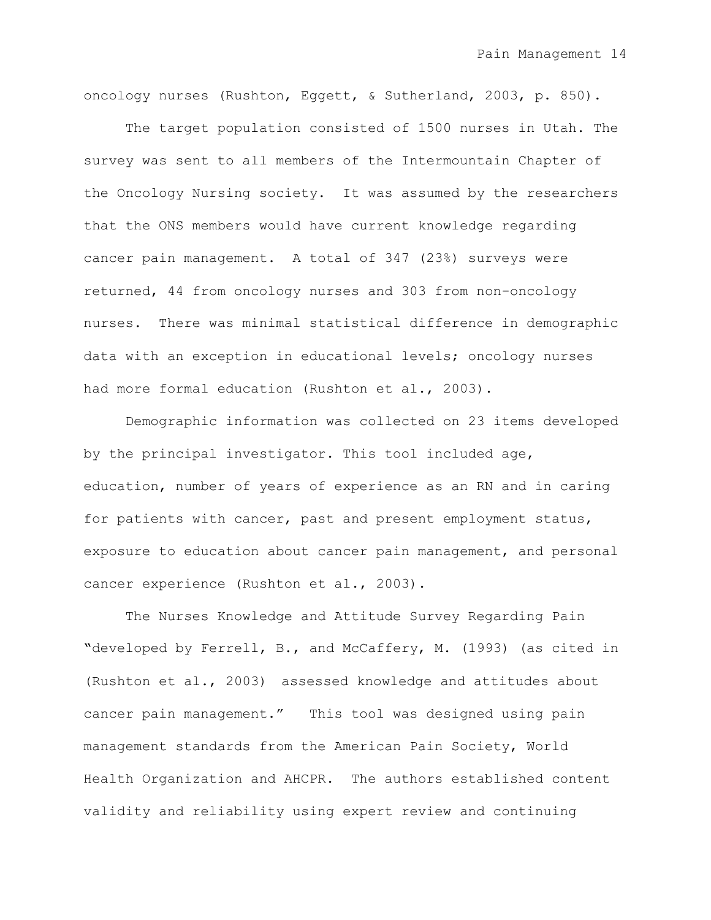oncology nurses (Rushton, Eggett, & Sutherland, 2003, p. 850).

The target population consisted of 1500 nurses in Utah. The survey was sent to all members of the Intermountain Chapter of the Oncology Nursing society. It was assumed by the researchers that the ONS members would have current knowledge regarding cancer pain management. A total of 347 (23%) surveys were returned, 44 from oncology nurses and 303 from non-oncology nurses. There was minimal statistical difference in demographic data with an exception in educational levels; oncology nurses had more formal education (Rushton et al., 2003).

Demographic information was collected on 23 items developed by the principal investigator. This tool included age, education, number of years of experience as an RN and in caring for patients with cancer, past and present employment status, exposure to education about cancer pain management, and personal cancer experience (Rushton et al., 2003).

The Nurses Knowledge and Attitude Survey Regarding Pain **"**developed by Ferrell, B., and McCaffery, M. (1993) (as cited in (Rushton et al., 2003) assessed knowledge and attitudes about cancer pain management." This tool was designed using pain management standards from the American Pain Society, World Health Organization and AHCPR. The authors established content validity and reliability using expert review and continuing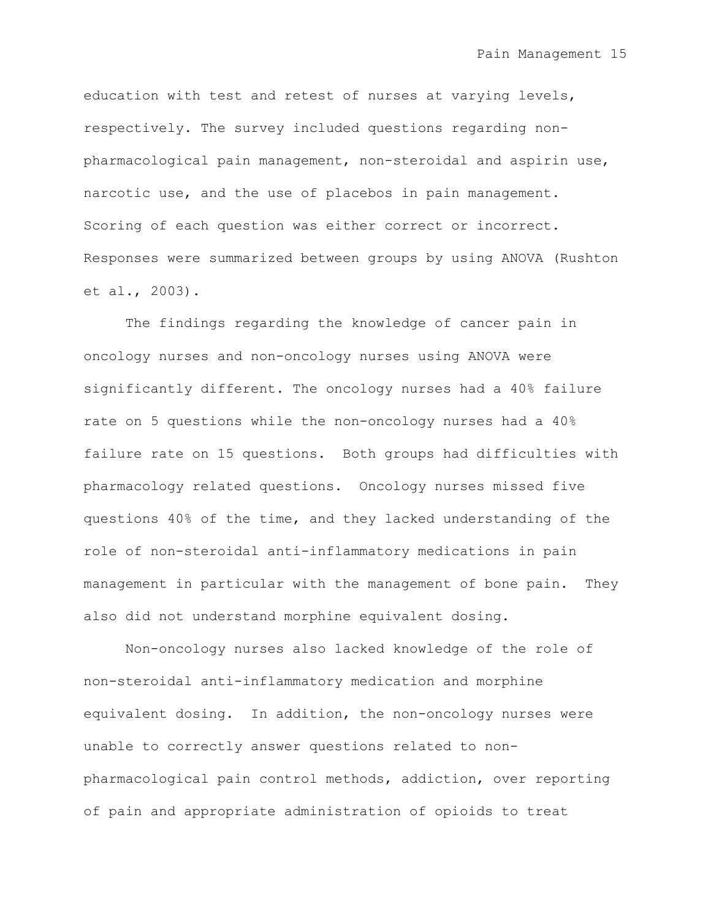education with test and retest of nurses at varying levels, respectively. The survey included questions regarding nonpharmacological pain management, non-steroidal and aspirin use, narcotic use, and the use of placebos in pain management. Scoring of each question was either correct or incorrect. Responses were summarized between groups by using ANOVA (Rushton et al., 2003).

The findings regarding the knowledge of cancer pain in oncology nurses and non-oncology nurses using ANOVA were significantly different. The oncology nurses had a 40% failure rate on 5 questions while the non-oncology nurses had a 40% failure rate on 15 questions. Both groups had difficulties with pharmacology related questions. Oncology nurses missed five questions 40% of the time, and they lacked understanding of the role of non-steroidal anti-inflammatory medications in pain management in particular with the management of bone pain. They also did not understand morphine equivalent dosing.

Non-oncology nurses also lacked knowledge of the role of non-steroidal anti-inflammatory medication and morphine equivalent dosing. In addition, the non-oncology nurses were unable to correctly answer questions related to nonpharmacological pain control methods, addiction, over reporting of pain and appropriate administration of opioids to treat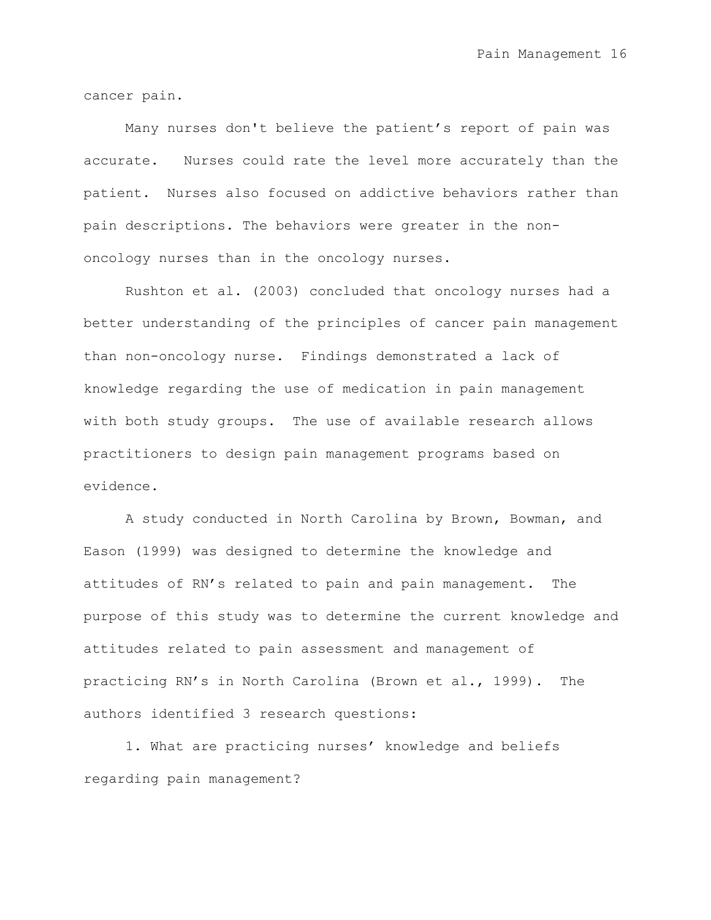cancer pain.

Many nurses don't believe the patient"s report of pain was accurate. Nurses could rate the level more accurately than the patient. Nurses also focused on addictive behaviors rather than pain descriptions. The behaviors were greater in the nononcology nurses than in the oncology nurses.

Rushton et al. (2003) concluded that oncology nurses had a better understanding of the principles of cancer pain management than non-oncology nurse. Findings demonstrated a lack of knowledge regarding the use of medication in pain management with both study groups. The use of available research allows practitioners to design pain management programs based on evidence.

A study conducted in North Carolina by Brown, Bowman, and Eason (1999) was designed to determine the knowledge and attitudes of RN"s related to pain and pain management. The purpose of this study was to determine the current knowledge and attitudes related to pain assessment and management of practicing RN"s in North Carolina (Brown et al., 1999). The authors identified 3 research questions:

1. What are practicing nurses' knowledge and beliefs regarding pain management?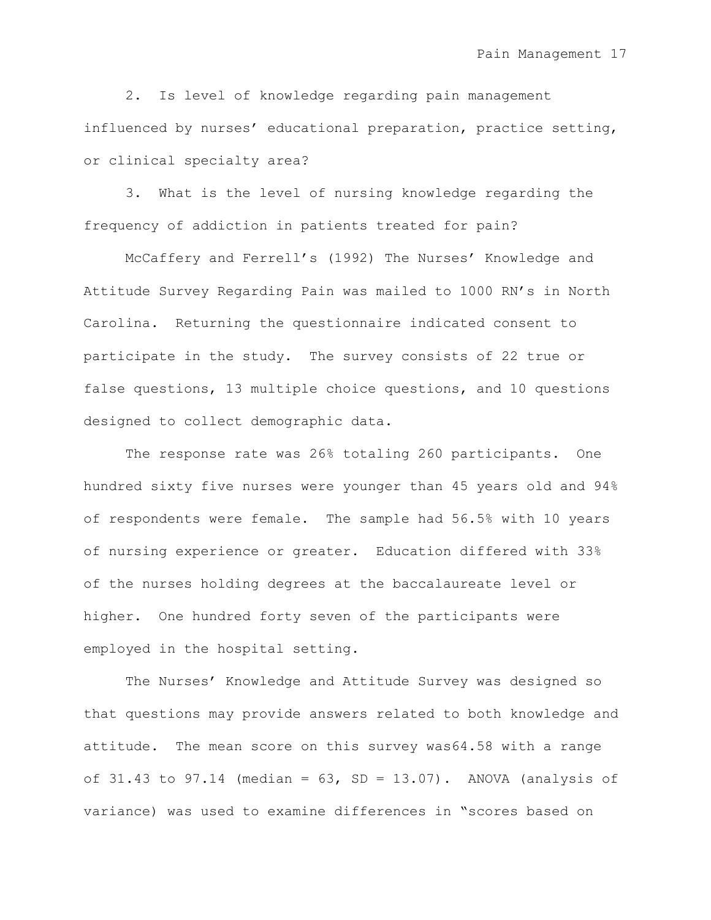2. Is level of knowledge regarding pain management influenced by nurses' educational preparation, practice setting, or clinical specialty area?

3. What is the level of nursing knowledge regarding the frequency of addiction in patients treated for pain?

McCaffery and Ferrell's (1992) The Nurses' Knowledge and Attitude Survey Regarding Pain was mailed to 1000 RN"s in North Carolina. Returning the questionnaire indicated consent to participate in the study. The survey consists of 22 true or false questions, 13 multiple choice questions, and 10 questions designed to collect demographic data.

The response rate was 26% totaling 260 participants. One hundred sixty five nurses were younger than 45 years old and 94% of respondents were female. The sample had 56.5% with 10 years of nursing experience or greater. Education differed with 33% of the nurses holding degrees at the baccalaureate level or higher. One hundred forty seven of the participants were employed in the hospital setting.

The Nurses" Knowledge and Attitude Survey was designed so that questions may provide answers related to both knowledge and attitude. The mean score on this survey was64.58 with a range of 31.43 to 97.14 (median =  $63$ , SD = 13.07). ANOVA (analysis of variance) was used to examine differences in "scores based on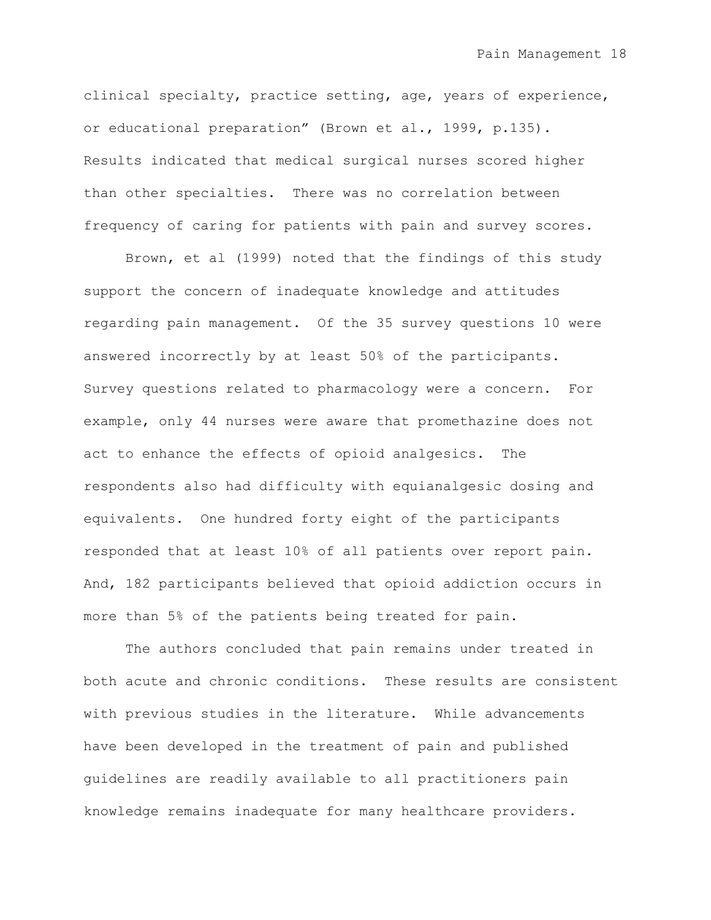clinical specialty, practice setting, age, years of experience, or educational preparation" (Brown et al., 1999, p.135). Results indicated that medical surgical nurses scored higher than other specialties. There was no correlation between frequency of caring for patients with pain and survey scores.

Brown, et al (1999) noted that the findings of this study support the concern of inadequate knowledge and attitudes regarding pain management. Of the 35 survey questions 10 were answered incorrectly by at least 50% of the participants. Survey questions related to pharmacology were a concern. For example, only 44 nurses were aware that promethazine does not act to enhance the effects of opioid analgesics. The respondents also had difficulty with equianalgesic dosing and equivalents. One hundred forty eight of the participants responded that at least 10% of all patients over report pain. And, 182 participants believed that opioid addiction occurs in more than 5% of the patients being treated for pain.

The authors concluded that pain remains under treated in both acute and chronic conditions. These results are consistent with previous studies in the literature. While advancements have been developed in the treatment of pain and published guidelines are readily available to all practitioners pain knowledge remains inadequate for many healthcare providers.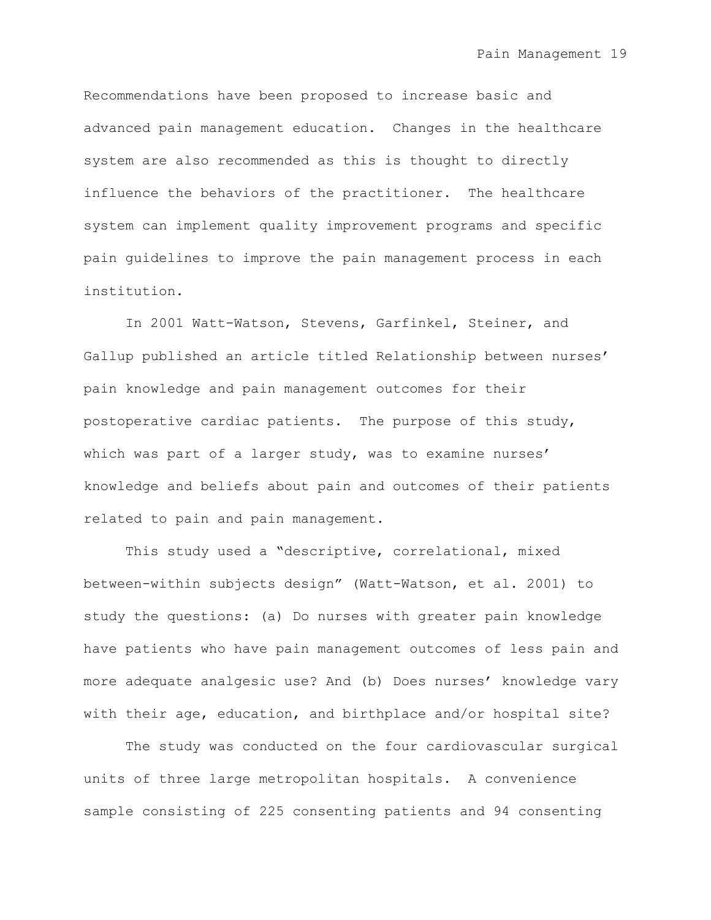Recommendations have been proposed to increase basic and advanced pain management education. Changes in the healthcare system are also recommended as this is thought to directly influence the behaviors of the practitioner. The healthcare system can implement quality improvement programs and specific pain guidelines to improve the pain management process in each institution.

In 2001 Watt-Watson, Stevens, Garfinkel, Steiner, and Gallup published an article titled Relationship between nurses' pain knowledge and pain management outcomes for their postoperative cardiac patients. The purpose of this study, which was part of a larger study, was to examine nurses' knowledge and beliefs about pain and outcomes of their patients related to pain and pain management.

This study used a "descriptive, correlational, mixed between-within subjects design" (Watt-Watson, et al. 2001) to study the questions: (a) Do nurses with greater pain knowledge have patients who have pain management outcomes of less pain and more adequate analgesic use? And (b) Does nurses' knowledge vary with their age, education, and birthplace and/or hospital site?

The study was conducted on the four cardiovascular surgical units of three large metropolitan hospitals. A convenience sample consisting of 225 consenting patients and 94 consenting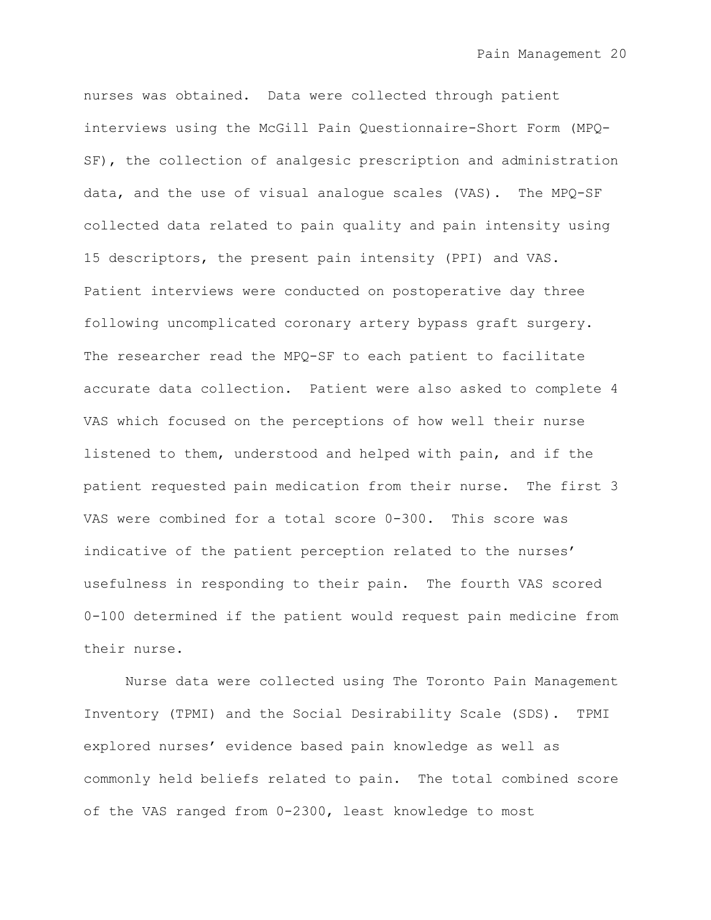nurses was obtained. Data were collected through patient interviews using the McGill Pain Questionnaire-Short Form (MPQ-SF), the collection of analgesic prescription and administration data, and the use of visual analogue scales (VAS). The MPQ-SF collected data related to pain quality and pain intensity using 15 descriptors, the present pain intensity (PPI) and VAS. Patient interviews were conducted on postoperative day three following uncomplicated coronary artery bypass graft surgery. The researcher read the MPQ-SF to each patient to facilitate accurate data collection. Patient were also asked to complete 4 VAS which focused on the perceptions of how well their nurse listened to them, understood and helped with pain, and if the patient requested pain medication from their nurse. The first 3 VAS were combined for a total score 0-300. This score was indicative of the patient perception related to the nurses' usefulness in responding to their pain. The fourth VAS scored 0-100 determined if the patient would request pain medicine from their nurse.

Nurse data were collected using The Toronto Pain Management Inventory (TPMI) and the Social Desirability Scale (SDS). TPMI explored nurses' evidence based pain knowledge as well as commonly held beliefs related to pain. The total combined score of the VAS ranged from 0-2300, least knowledge to most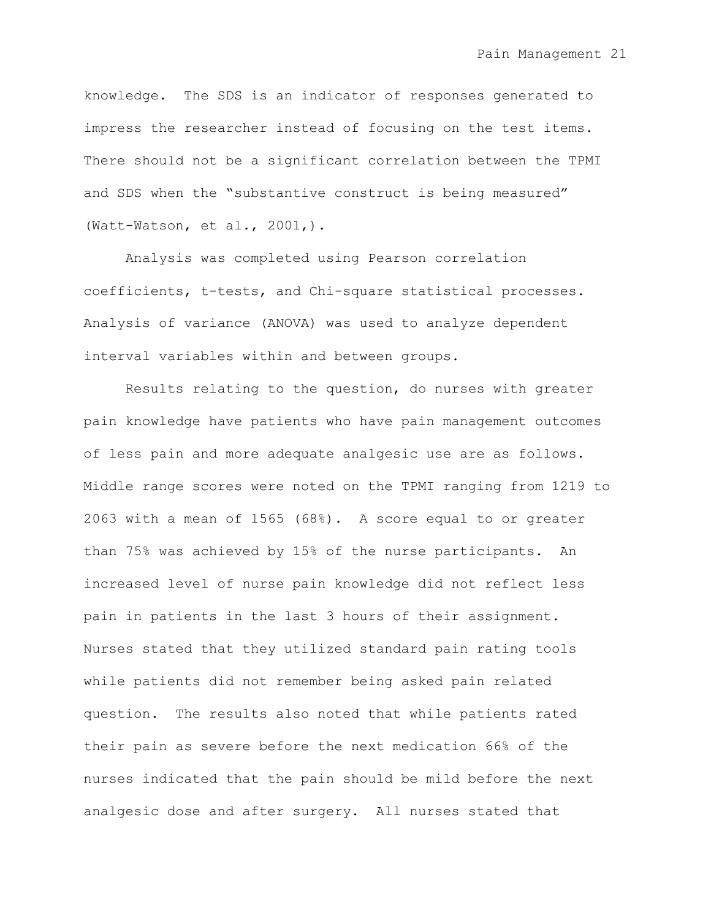knowledge. The SDS is an indicator of responses generated to impress the researcher instead of focusing on the test items. There should not be a significant correlation between the TPMI and SDS when the "substantive construct is being measured" (Watt-Watson, et al., 2001,).

Analysis was completed using Pearson correlation coefficients, t-tests, and Chi-square statistical processes. Analysis of variance (ANOVA) was used to analyze dependent interval variables within and between groups.

Results relating to the question, do nurses with greater pain knowledge have patients who have pain management outcomes of less pain and more adequate analgesic use are as follows. Middle range scores were noted on the TPMI ranging from 1219 to 2063 with a mean of 1565 (68%). A score equal to or greater than 75% was achieved by 15% of the nurse participants. An increased level of nurse pain knowledge did not reflect less pain in patients in the last 3 hours of their assignment. Nurses stated that they utilized standard pain rating tools while patients did not remember being asked pain related question. The results also noted that while patients rated their pain as severe before the next medication 66% of the nurses indicated that the pain should be mild before the next analgesic dose and after surgery. All nurses stated that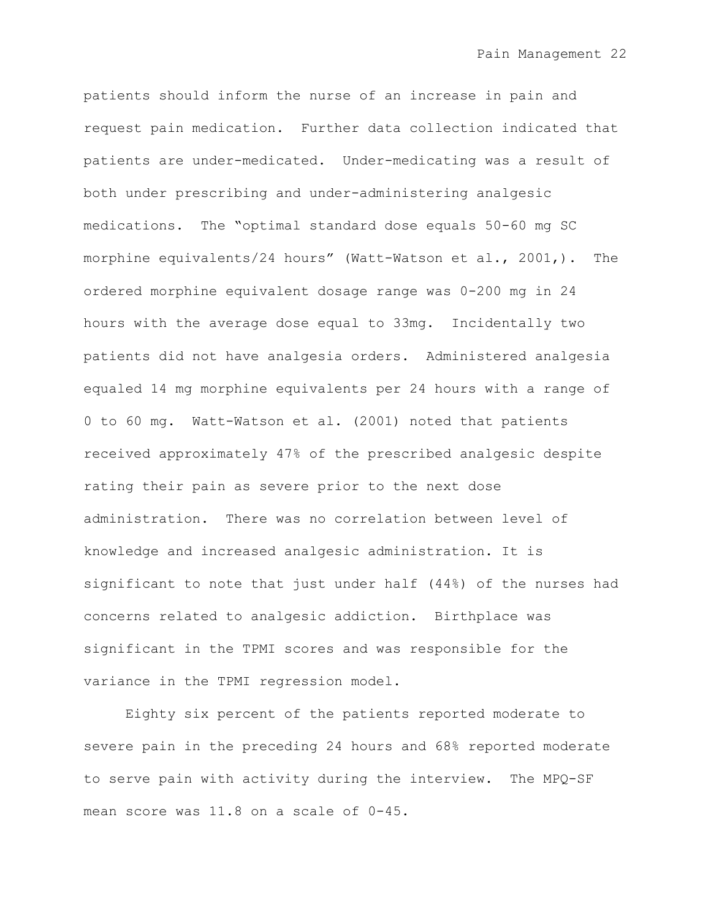patients should inform the nurse of an increase in pain and request pain medication. Further data collection indicated that patients are under-medicated. Under-medicating was a result of both under prescribing and under-administering analgesic medications. The "optimal standard dose equals 50-60 mg SC morphine equivalents/24 hours" (Watt-Watson et al., 2001,). The ordered morphine equivalent dosage range was 0-200 mg in 24 hours with the average dose equal to 33mg. Incidentally two patients did not have analgesia orders. Administered analgesia equaled 14 mg morphine equivalents per 24 hours with a range of 0 to 60 mg. Watt-Watson et al. (2001) noted that patients received approximately 47% of the prescribed analgesic despite rating their pain as severe prior to the next dose administration. There was no correlation between level of knowledge and increased analgesic administration. It is significant to note that just under half (44%) of the nurses had concerns related to analgesic addiction. Birthplace was significant in the TPMI scores and was responsible for the variance in the TPMI regression model.

Eighty six percent of the patients reported moderate to severe pain in the preceding 24 hours and 68% reported moderate to serve pain with activity during the interview. The MPQ-SF mean score was 11.8 on a scale of 0-45.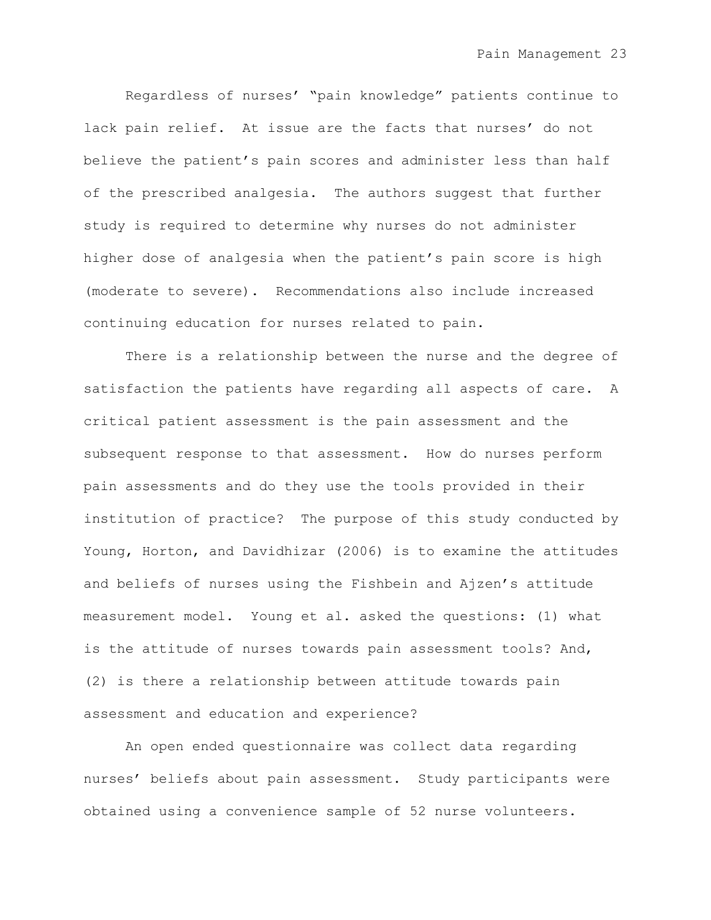Regardless of nurses" "pain knowledge" patients continue to lack pain relief. At issue are the facts that nurses' do not believe the patient's pain scores and administer less than half of the prescribed analgesia. The authors suggest that further study is required to determine why nurses do not administer higher dose of analgesia when the patient's pain score is high (moderate to severe). Recommendations also include increased continuing education for nurses related to pain.

There is a relationship between the nurse and the degree of satisfaction the patients have regarding all aspects of care. A critical patient assessment is the pain assessment and the subsequent response to that assessment. How do nurses perform pain assessments and do they use the tools provided in their institution of practice? The purpose of this study conducted by Young, Horton, and Davidhizar (2006) is to examine the attitudes and beliefs of nurses using the Fishbein and Ajzen"s attitude measurement model. Young et al. asked the questions: (1) what is the attitude of nurses towards pain assessment tools? And, (2) is there a relationship between attitude towards pain assessment and education and experience?

An open ended questionnaire was collect data regarding nurses' beliefs about pain assessment. Study participants were obtained using a convenience sample of 52 nurse volunteers.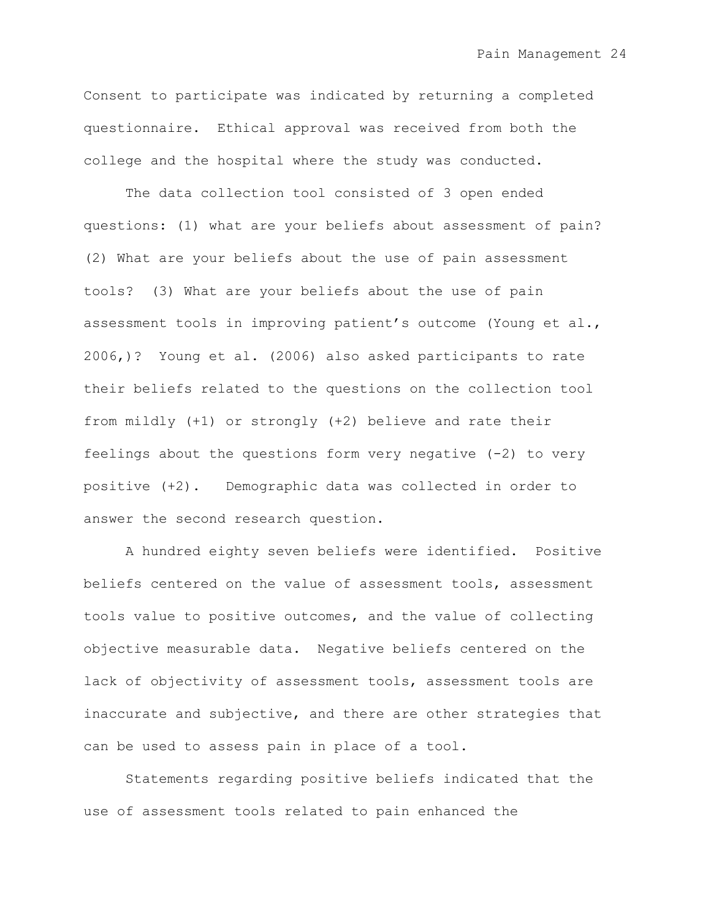Consent to participate was indicated by returning a completed questionnaire. Ethical approval was received from both the college and the hospital where the study was conducted.

The data collection tool consisted of 3 open ended questions: (1) what are your beliefs about assessment of pain? (2) What are your beliefs about the use of pain assessment tools? (3) What are your beliefs about the use of pain assessment tools in improving patient's outcome (Young et al., 2006,)? Young et al. (2006) also asked participants to rate their beliefs related to the questions on the collection tool from mildly (+1) or strongly (+2) believe and rate their feelings about the questions form very negative  $(-2)$  to very positive (+2). Demographic data was collected in order to answer the second research question.

A hundred eighty seven beliefs were identified. Positive beliefs centered on the value of assessment tools, assessment tools value to positive outcomes, and the value of collecting objective measurable data. Negative beliefs centered on the lack of objectivity of assessment tools, assessment tools are inaccurate and subjective, and there are other strategies that can be used to assess pain in place of a tool.

Statements regarding positive beliefs indicated that the use of assessment tools related to pain enhanced the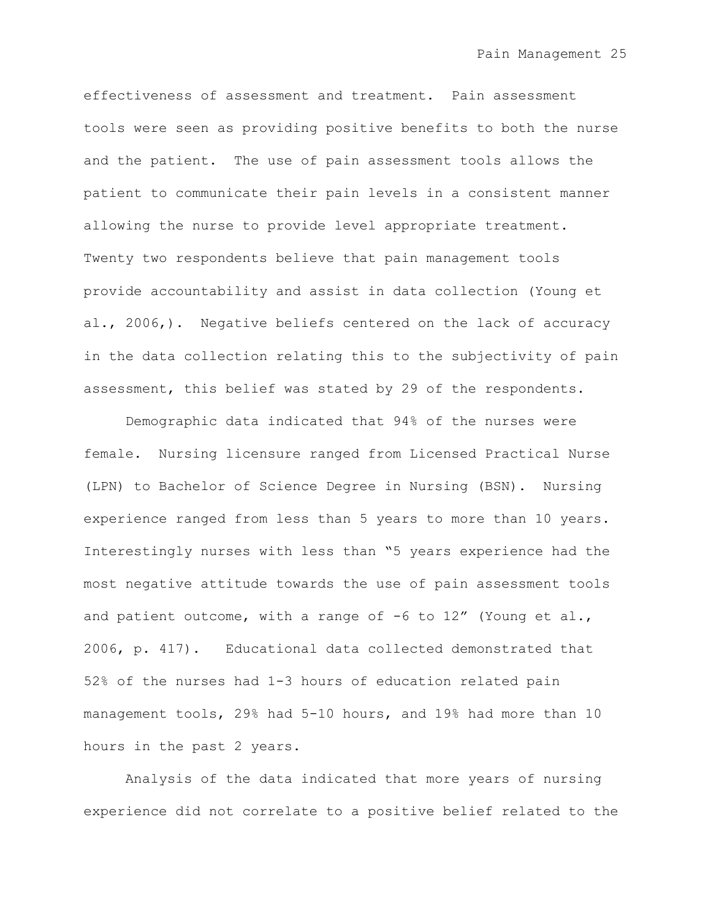effectiveness of assessment and treatment. Pain assessment tools were seen as providing positive benefits to both the nurse and the patient. The use of pain assessment tools allows the patient to communicate their pain levels in a consistent manner allowing the nurse to provide level appropriate treatment. Twenty two respondents believe that pain management tools provide accountability and assist in data collection (Young et al., 2006,). Negative beliefs centered on the lack of accuracy in the data collection relating this to the subjectivity of pain assessment, this belief was stated by 29 of the respondents.

Demographic data indicated that 94% of the nurses were female. Nursing licensure ranged from Licensed Practical Nurse (LPN) to Bachelor of Science Degree in Nursing (BSN). Nursing experience ranged from less than 5 years to more than 10 years. Interestingly nurses with less than "5 years experience had the most negative attitude towards the use of pain assessment tools and patient outcome, with a range of  $-6$  to 12" (Young et al., 2006, p. 417). Educational data collected demonstrated that 52% of the nurses had 1-3 hours of education related pain management tools, 29% had 5-10 hours, and 19% had more than 10 hours in the past 2 years.

Analysis of the data indicated that more years of nursing experience did not correlate to a positive belief related to the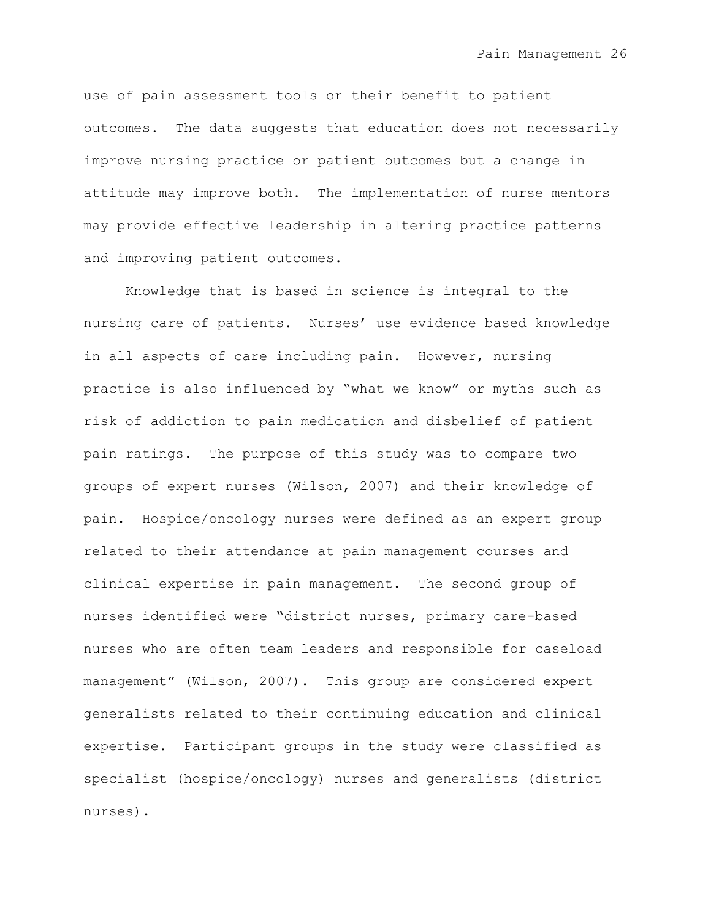use of pain assessment tools or their benefit to patient outcomes. The data suggests that education does not necessarily improve nursing practice or patient outcomes but a change in attitude may improve both. The implementation of nurse mentors may provide effective leadership in altering practice patterns and improving patient outcomes.

Knowledge that is based in science is integral to the nursing care of patients. Nurses" use evidence based knowledge in all aspects of care including pain. However, nursing practice is also influenced by "what we know" or myths such as risk of addiction to pain medication and disbelief of patient pain ratings. The purpose of this study was to compare two groups of expert nurses (Wilson, 2007) and their knowledge of pain. Hospice/oncology nurses were defined as an expert group related to their attendance at pain management courses and clinical expertise in pain management. The second group of nurses identified were "district nurses, primary care-based nurses who are often team leaders and responsible for caseload management" (Wilson, 2007). This group are considered expert generalists related to their continuing education and clinical expertise. Participant groups in the study were classified as specialist (hospice/oncology) nurses and generalists (district nurses).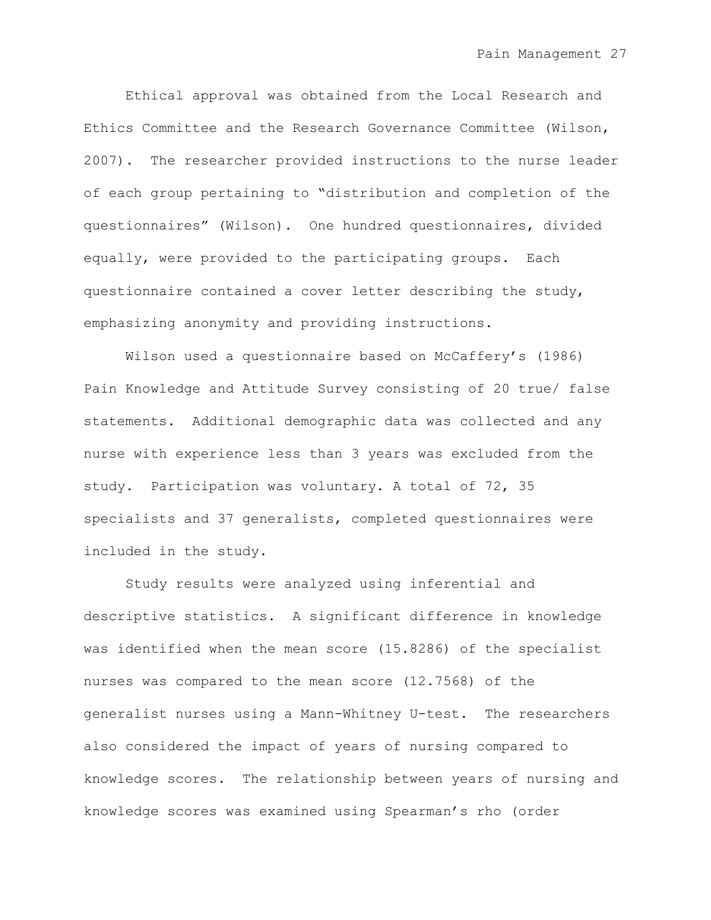Ethical approval was obtained from the Local Research and Ethics Committee and the Research Governance Committee (Wilson, 2007). The researcher provided instructions to the nurse leader of each group pertaining to "distribution and completion of the questionnaires" (Wilson). One hundred questionnaires, divided equally, were provided to the participating groups. Each questionnaire contained a cover letter describing the study, emphasizing anonymity and providing instructions.

Wilson used a questionnaire based on McCaffery's (1986) Pain Knowledge and Attitude Survey consisting of 20 true/ false statements. Additional demographic data was collected and any nurse with experience less than 3 years was excluded from the study. Participation was voluntary. A total of 72, 35 specialists and 37 generalists, completed questionnaires were included in the study.

Study results were analyzed using inferential and descriptive statistics. A significant difference in knowledge was identified when the mean score (15.8286) of the specialist nurses was compared to the mean score (12.7568) of the generalist nurses using a Mann-Whitney U-test. The researchers also considered the impact of years of nursing compared to knowledge scores. The relationship between years of nursing and knowledge scores was examined using Spearman"s rho (order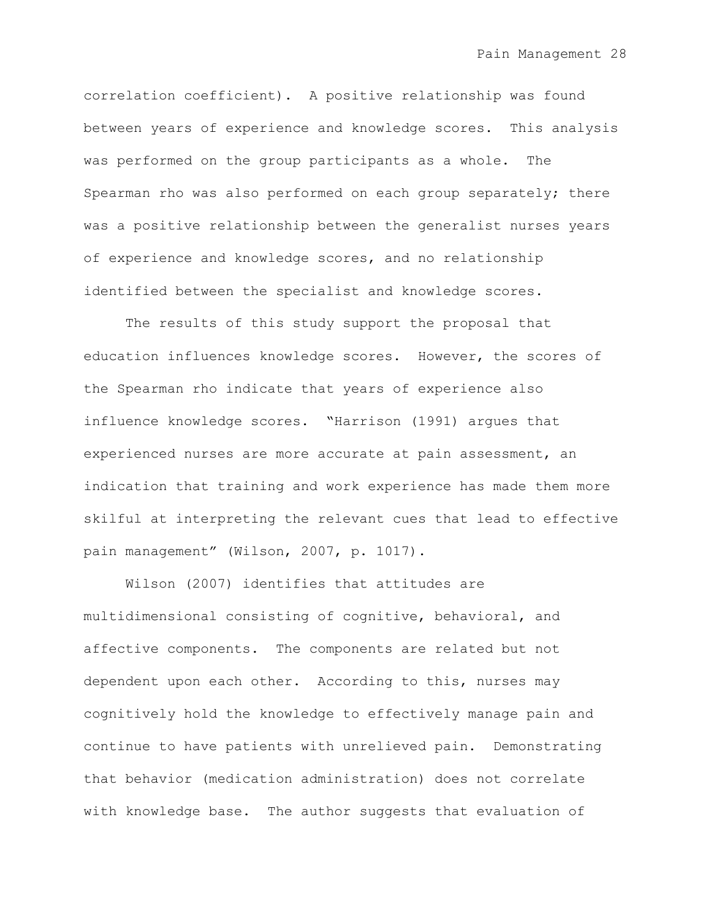correlation coefficient). A positive relationship was found between years of experience and knowledge scores. This analysis was performed on the group participants as a whole. The Spearman rho was also performed on each group separately; there was a positive relationship between the generalist nurses years of experience and knowledge scores, and no relationship identified between the specialist and knowledge scores.

The results of this study support the proposal that education influences knowledge scores. However, the scores of the Spearman rho indicate that years of experience also influence knowledge scores. "Harrison (1991) argues that experienced nurses are more accurate at pain assessment, an indication that training and work experience has made them more skilful at interpreting the relevant cues that lead to effective pain management" (Wilson, 2007, p. 1017).

Wilson (2007) identifies that attitudes are multidimensional consisting of cognitive, behavioral, and affective components. The components are related but not dependent upon each other. According to this, nurses may cognitively hold the knowledge to effectively manage pain and continue to have patients with unrelieved pain. Demonstrating that behavior (medication administration) does not correlate with knowledge base. The author suggests that evaluation of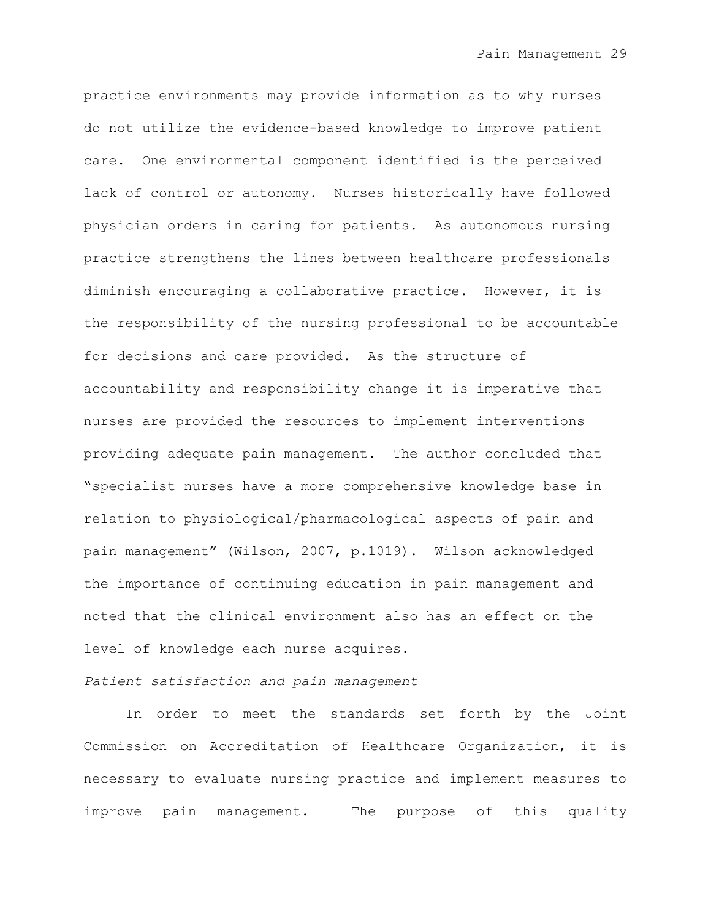practice environments may provide information as to why nurses do not utilize the evidence-based knowledge to improve patient care. One environmental component identified is the perceived lack of control or autonomy. Nurses historically have followed physician orders in caring for patients. As autonomous nursing practice strengthens the lines between healthcare professionals diminish encouraging a collaborative practice. However, it is the responsibility of the nursing professional to be accountable for decisions and care provided. As the structure of accountability and responsibility change it is imperative that nurses are provided the resources to implement interventions providing adequate pain management. The author concluded that "specialist nurses have a more comprehensive knowledge base in relation to physiological/pharmacological aspects of pain and pain management" (Wilson, 2007, p.1019). Wilson acknowledged the importance of continuing education in pain management and noted that the clinical environment also has an effect on the level of knowledge each nurse acquires.

#### *Patient satisfaction and pain management*

In order to meet the standards set forth by the Joint Commission on Accreditation of Healthcare Organization, it is necessary to evaluate nursing practice and implement measures to improve pain management. The purpose of this quality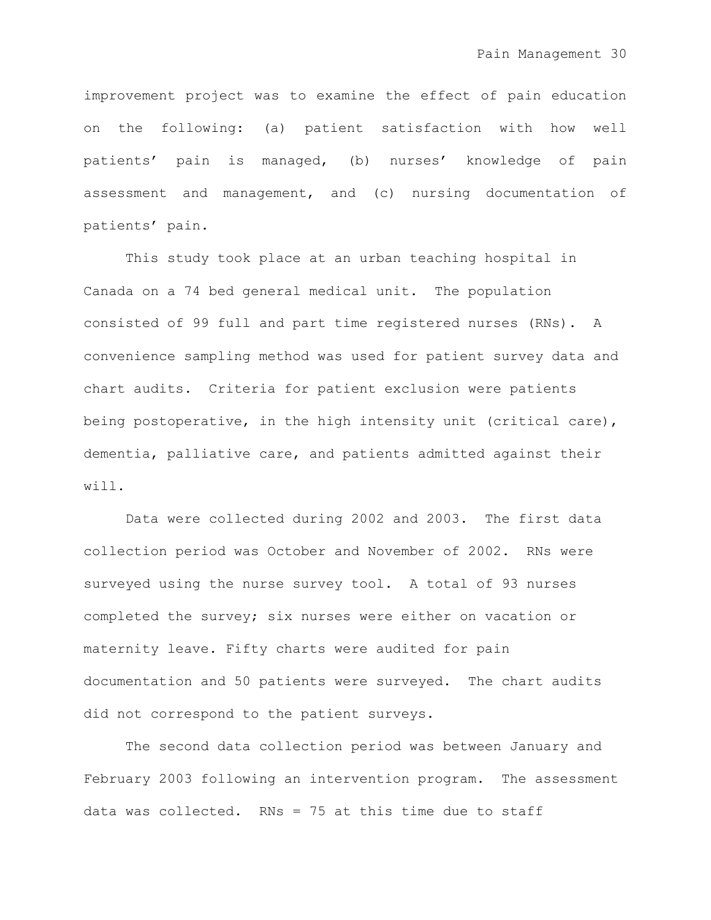improvement project was to examine the effect of pain education on the following: (a) patient satisfaction with how well patients" pain is managed, (b) nurses" knowledge of pain assessment and management, and (c) nursing documentation of patients' pain.

This study took place at an urban teaching hospital in Canada on a 74 bed general medical unit. The population consisted of 99 full and part time registered nurses (RNs). A convenience sampling method was used for patient survey data and chart audits. Criteria for patient exclusion were patients being postoperative, in the high intensity unit (critical care), dementia, palliative care, and patients admitted against their will.

Data were collected during 2002 and 2003. The first data collection period was October and November of 2002. RNs were surveyed using the nurse survey tool. A total of 93 nurses completed the survey; six nurses were either on vacation or maternity leave. Fifty charts were audited for pain documentation and 50 patients were surveyed. The chart audits did not correspond to the patient surveys.

The second data collection period was between January and February 2003 following an intervention program. The assessment data was collected. RNs = 75 at this time due to staff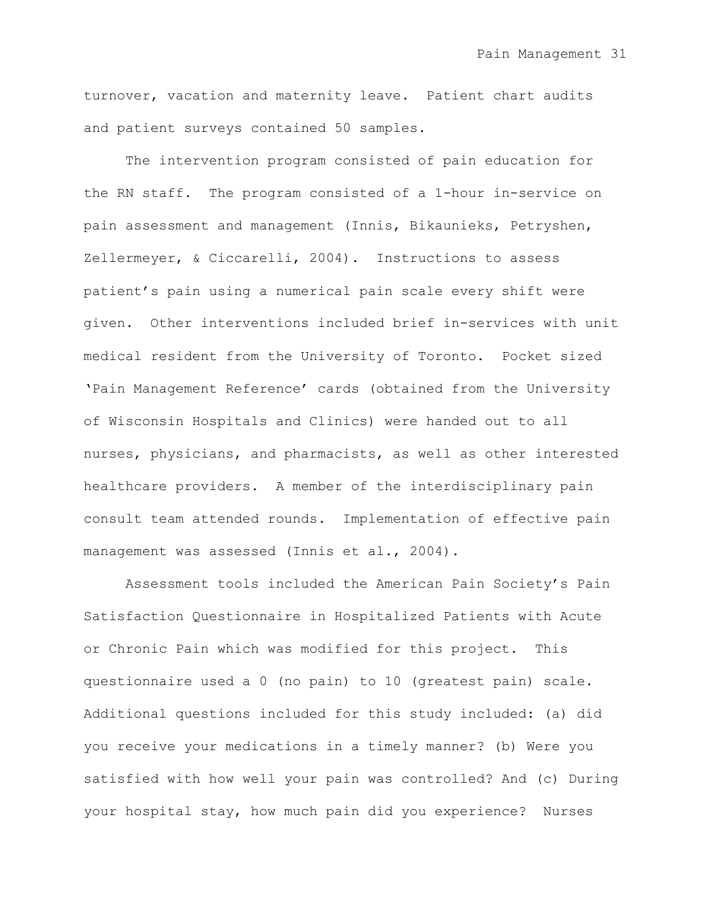turnover, vacation and maternity leave. Patient chart audits and patient surveys contained 50 samples.

The intervention program consisted of pain education for the RN staff. The program consisted of a 1-hour in-service on pain assessment and management (Innis, Bikaunieks, Petryshen, Zellermeyer, & Ciccarelli, 2004). Instructions to assess patient's pain using a numerical pain scale every shift were given. Other interventions included brief in-services with unit medical resident from the University of Toronto. Pocket sized "Pain Management Reference" cards (obtained from the University of Wisconsin Hospitals and Clinics) were handed out to all nurses, physicians, and pharmacists, as well as other interested healthcare providers. A member of the interdisciplinary pain consult team attended rounds. Implementation of effective pain management was assessed (Innis et al., 2004).

Assessment tools included the American Pain Society"s Pain Satisfaction Questionnaire in Hospitalized Patients with Acute or Chronic Pain which was modified for this project. This questionnaire used a 0 (no pain) to 10 (greatest pain) scale. Additional questions included for this study included: (a) did you receive your medications in a timely manner? (b) Were you satisfied with how well your pain was controlled? And (c) During your hospital stay, how much pain did you experience? Nurses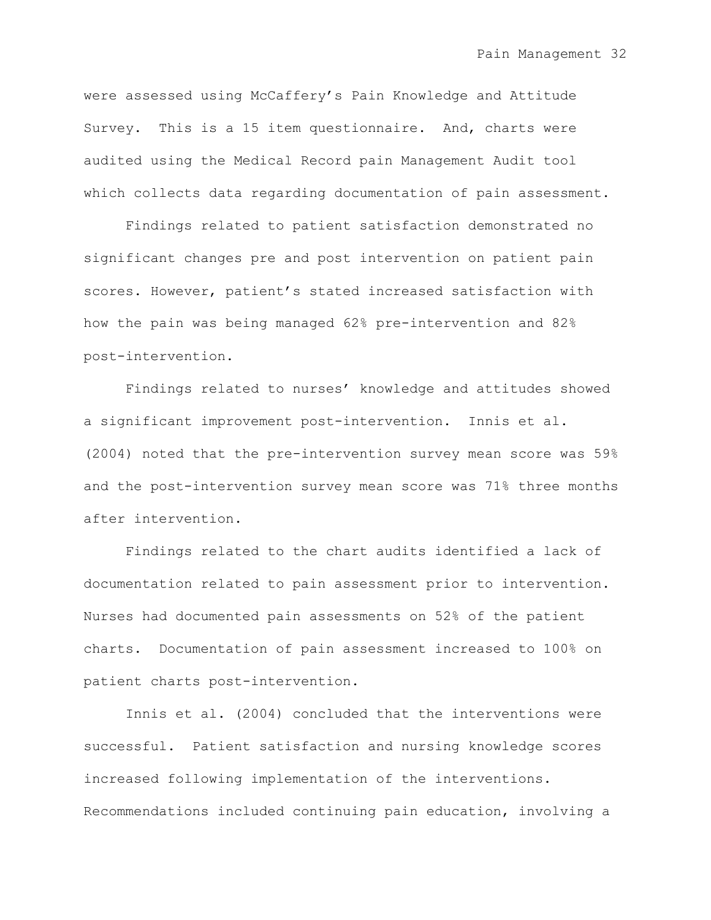were assessed using McCaffery"s Pain Knowledge and Attitude Survey. This is a 15 item questionnaire. And, charts were audited using the Medical Record pain Management Audit tool which collects data regarding documentation of pain assessment.

Findings related to patient satisfaction demonstrated no significant changes pre and post intervention on patient pain scores. However, patient's stated increased satisfaction with how the pain was being managed 62% pre-intervention and 82% post-intervention.

Findings related to nurses' knowledge and attitudes showed a significant improvement post-intervention. Innis et al. (2004) noted that the pre-intervention survey mean score was 59% and the post-intervention survey mean score was 71% three months after intervention.

Findings related to the chart audits identified a lack of documentation related to pain assessment prior to intervention. Nurses had documented pain assessments on 52% of the patient charts. Documentation of pain assessment increased to 100% on patient charts post-intervention.

Innis et al. (2004) concluded that the interventions were successful. Patient satisfaction and nursing knowledge scores increased following implementation of the interventions. Recommendations included continuing pain education, involving a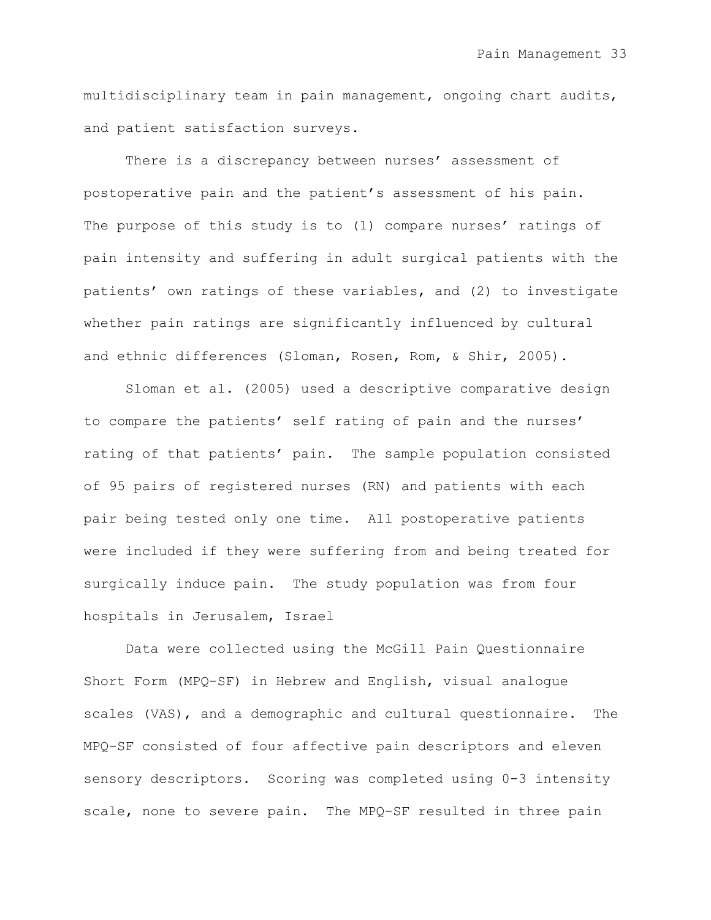multidisciplinary team in pain management, ongoing chart audits, and patient satisfaction surveys.

There is a discrepancy between nurses' assessment of postoperative pain and the patient"s assessment of his pain. The purpose of this study is to (1) compare nurses' ratings of pain intensity and suffering in adult surgical patients with the patients" own ratings of these variables, and (2) to investigate whether pain ratings are significantly influenced by cultural and ethnic differences (Sloman, Rosen, Rom, & Shir, 2005).

Sloman et al. (2005) used a descriptive comparative design to compare the patients' self rating of pain and the nurses' rating of that patients' pain. The sample population consisted of 95 pairs of registered nurses (RN) and patients with each pair being tested only one time. All postoperative patients were included if they were suffering from and being treated for surgically induce pain. The study population was from four hospitals in Jerusalem, Israel

Data were collected using the McGill Pain Questionnaire Short Form (MPQ-SF) in Hebrew and English, visual analogue scales (VAS), and a demographic and cultural questionnaire. The MPQ-SF consisted of four affective pain descriptors and eleven sensory descriptors. Scoring was completed using 0-3 intensity scale, none to severe pain. The MPQ-SF resulted in three pain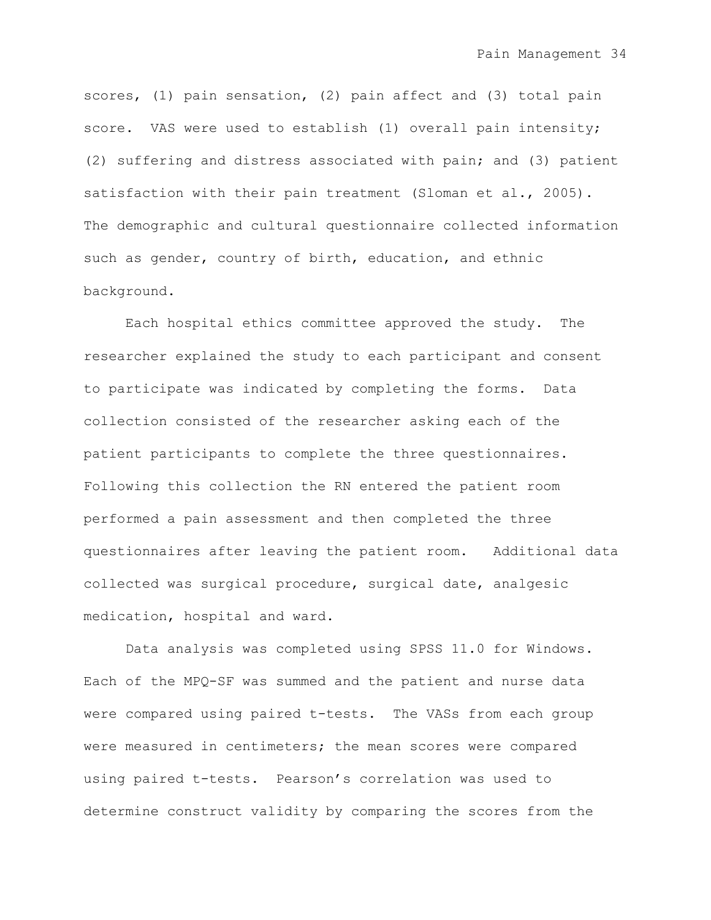scores, (1) pain sensation, (2) pain affect and (3) total pain score. VAS were used to establish (1) overall pain intensity; (2) suffering and distress associated with pain; and (3) patient satisfaction with their pain treatment (Sloman et al., 2005). The demographic and cultural questionnaire collected information such as gender, country of birth, education, and ethnic background.

Each hospital ethics committee approved the study. The researcher explained the study to each participant and consent to participate was indicated by completing the forms. Data collection consisted of the researcher asking each of the patient participants to complete the three questionnaires. Following this collection the RN entered the patient room performed a pain assessment and then completed the three questionnaires after leaving the patient room. Additional data collected was surgical procedure, surgical date, analgesic medication, hospital and ward.

Data analysis was completed using SPSS 11.0 for Windows. Each of the MPQ-SF was summed and the patient and nurse data were compared using paired t-tests. The VASs from each group were measured in centimeters; the mean scores were compared using paired t-tests. Pearson"s correlation was used to determine construct validity by comparing the scores from the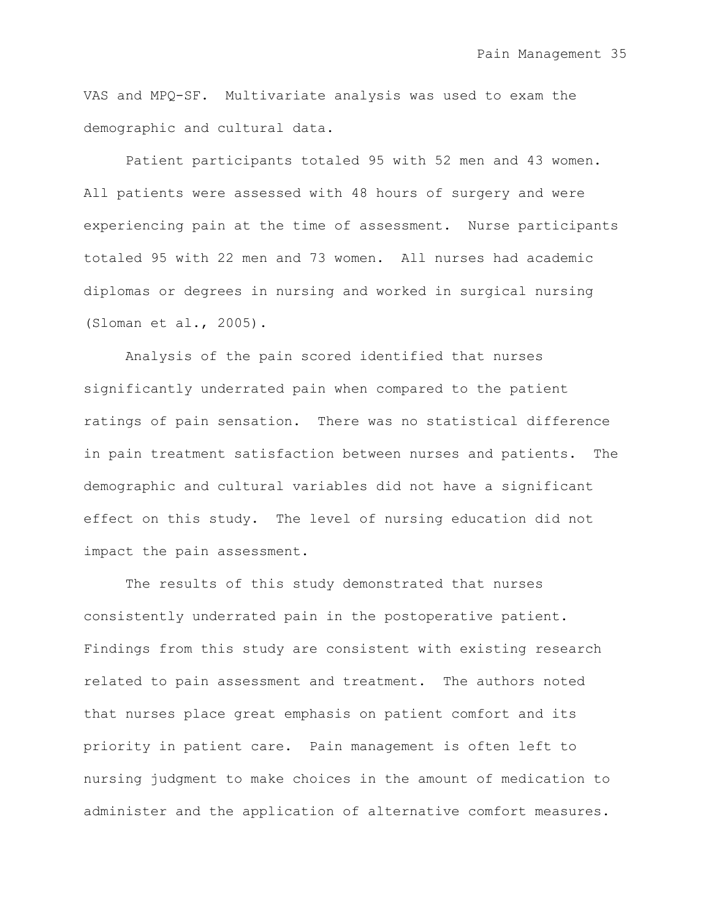VAS and MPQ-SF. Multivariate analysis was used to exam the demographic and cultural data.

Patient participants totaled 95 with 52 men and 43 women. All patients were assessed with 48 hours of surgery and were experiencing pain at the time of assessment. Nurse participants totaled 95 with 22 men and 73 women. All nurses had academic diplomas or degrees in nursing and worked in surgical nursing (Sloman et al., 2005).

Analysis of the pain scored identified that nurses significantly underrated pain when compared to the patient ratings of pain sensation. There was no statistical difference in pain treatment satisfaction between nurses and patients. The demographic and cultural variables did not have a significant effect on this study. The level of nursing education did not impact the pain assessment.

The results of this study demonstrated that nurses consistently underrated pain in the postoperative patient. Findings from this study are consistent with existing research related to pain assessment and treatment. The authors noted that nurses place great emphasis on patient comfort and its priority in patient care. Pain management is often left to nursing judgment to make choices in the amount of medication to administer and the application of alternative comfort measures.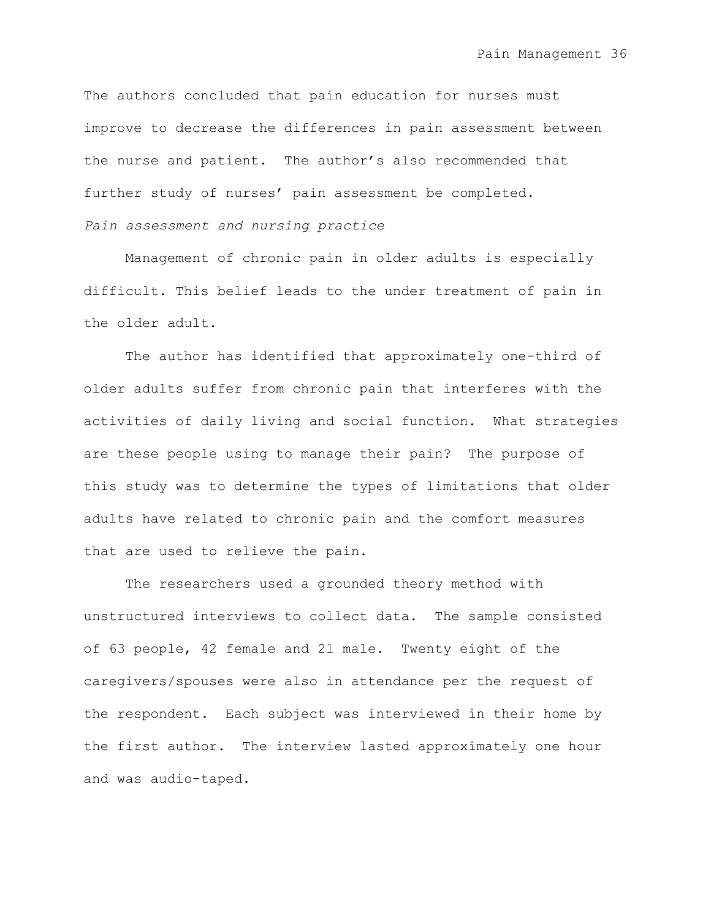The authors concluded that pain education for nurses must improve to decrease the differences in pain assessment between the nurse and patient. The author's also recommended that further study of nurses' pain assessment be completed.

*Pain assessment and nursing practice*

Management of chronic pain in older adults is especially difficult. This belief leads to the under treatment of pain in the older adult.

The author has identified that approximately one-third of older adults suffer from chronic pain that interferes with the activities of daily living and social function. What strategies are these people using to manage their pain? The purpose of this study was to determine the types of limitations that older adults have related to chronic pain and the comfort measures that are used to relieve the pain.

The researchers used a grounded theory method with unstructured interviews to collect data. The sample consisted of 63 people, 42 female and 21 male. Twenty eight of the caregivers/spouses were also in attendance per the request of the respondent. Each subject was interviewed in their home by the first author. The interview lasted approximately one hour and was audio-taped.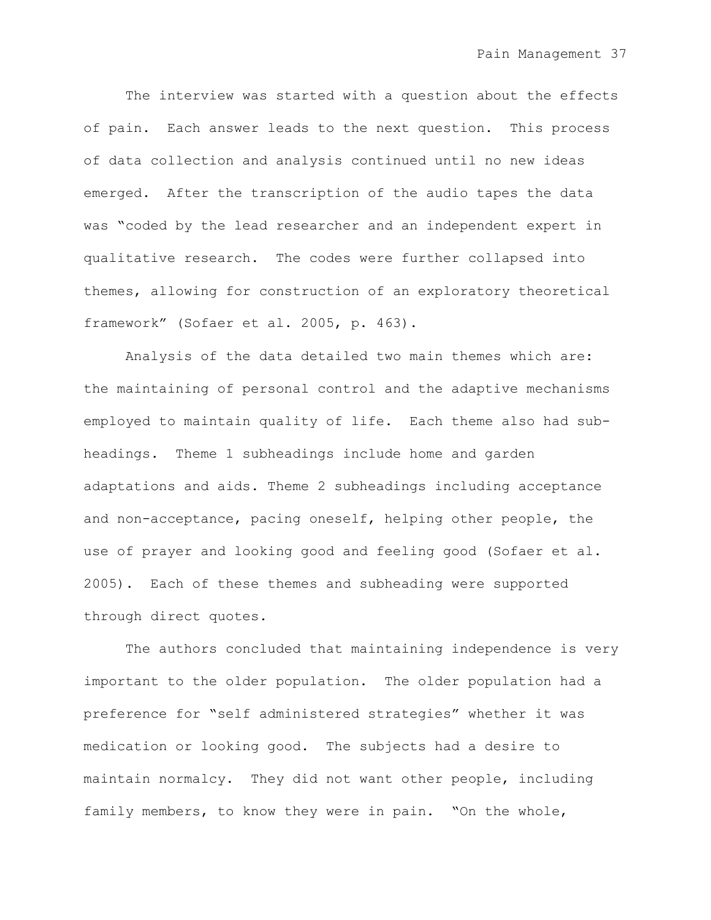The interview was started with a question about the effects of pain. Each answer leads to the next question. This process of data collection and analysis continued until no new ideas emerged. After the transcription of the audio tapes the data was "coded by the lead researcher and an independent expert in qualitative research. The codes were further collapsed into themes, allowing for construction of an exploratory theoretical framework" (Sofaer et al. 2005, p. 463).

Analysis of the data detailed two main themes which are: the maintaining of personal control and the adaptive mechanisms employed to maintain quality of life. Each theme also had subheadings. Theme 1 subheadings include home and garden adaptations and aids. Theme 2 subheadings including acceptance and non-acceptance, pacing oneself, helping other people, the use of prayer and looking good and feeling good (Sofaer et al. 2005). Each of these themes and subheading were supported through direct quotes.

The authors concluded that maintaining independence is very important to the older population. The older population had a preference for "self administered strategies" whether it was medication or looking good. The subjects had a desire to maintain normalcy. They did not want other people, including family members, to know they were in pain. "On the whole,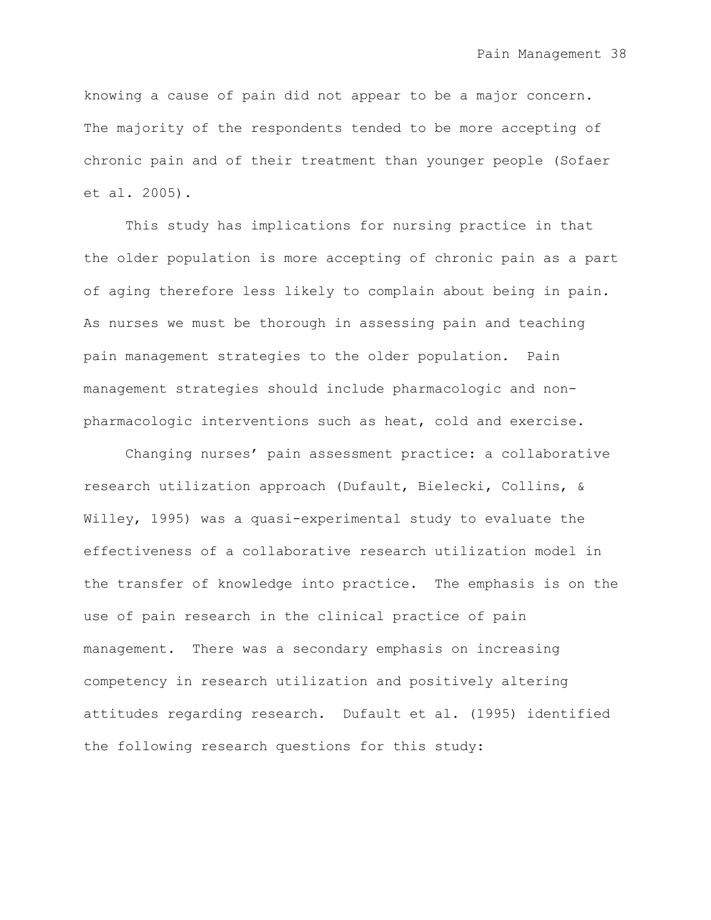knowing a cause of pain did not appear to be a major concern. The majority of the respondents tended to be more accepting of chronic pain and of their treatment than younger people (Sofaer et al. 2005).

This study has implications for nursing practice in that the older population is more accepting of chronic pain as a part of aging therefore less likely to complain about being in pain. As nurses we must be thorough in assessing pain and teaching pain management strategies to the older population. Pain management strategies should include pharmacologic and nonpharmacologic interventions such as heat, cold and exercise.

Changing nurses" pain assessment practice: a collaborative research utilization approach (Dufault, Bielecki, Collins, & Willey, 1995) was a quasi-experimental study to evaluate the effectiveness of a collaborative research utilization model in the transfer of knowledge into practice. The emphasis is on the use of pain research in the clinical practice of pain management. There was a secondary emphasis on increasing competency in research utilization and positively altering attitudes regarding research. Dufault et al. (1995) identified the following research questions for this study: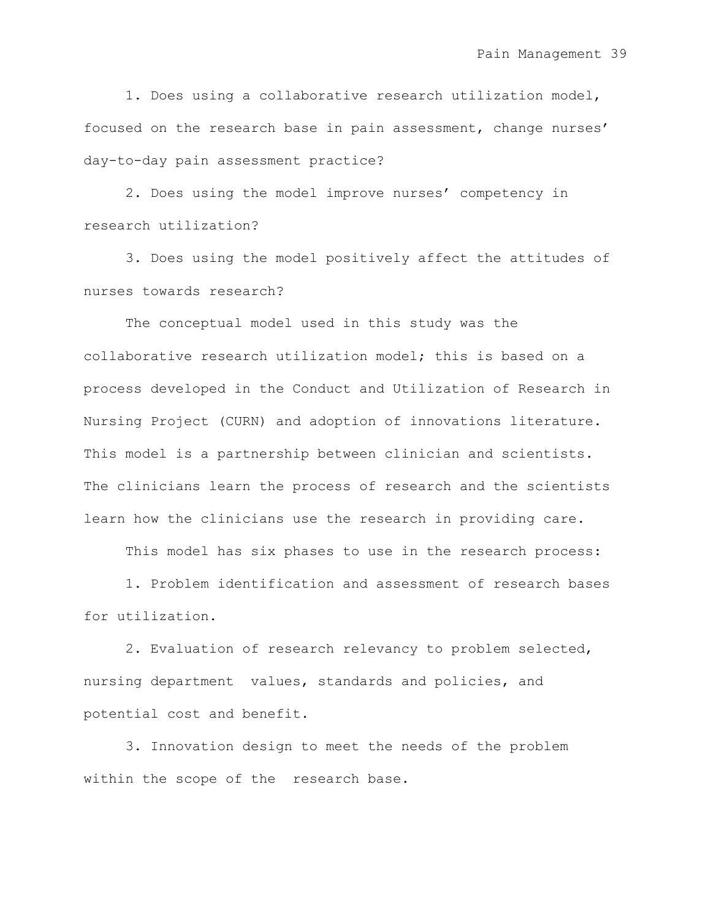1. Does using a collaborative research utilization model, focused on the research base in pain assessment, change nurses' day-to-day pain assessment practice?

2. Does using the model improve nurses' competency in research utilization?

3. Does using the model positively affect the attitudes of nurses towards research?

The conceptual model used in this study was the collaborative research utilization model; this is based on a process developed in the Conduct and Utilization of Research in Nursing Project (CURN) and adoption of innovations literature. This model is a partnership between clinician and scientists. The clinicians learn the process of research and the scientists learn how the clinicians use the research in providing care.

This model has six phases to use in the research process:

1. Problem identification and assessment of research bases for utilization.

2. Evaluation of research relevancy to problem selected, nursing department values, standards and policies, and potential cost and benefit.

3. Innovation design to meet the needs of the problem within the scope of the research base.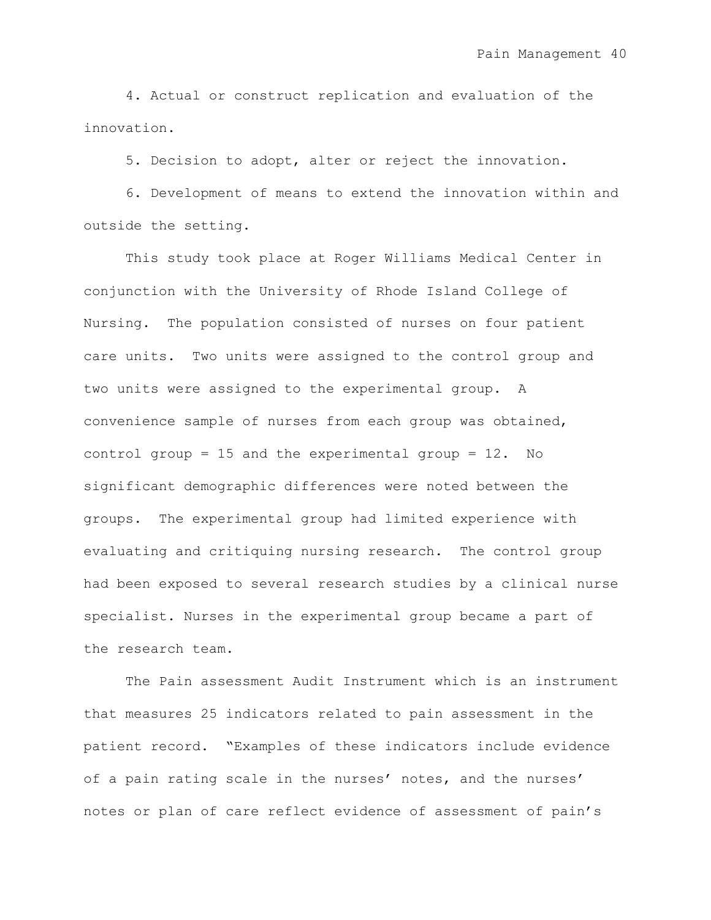4. Actual or construct replication and evaluation of the innovation.

5. Decision to adopt, alter or reject the innovation.

6. Development of means to extend the innovation within and outside the setting.

This study took place at Roger Williams Medical Center in conjunction with the University of Rhode Island College of Nursing. The population consisted of nurses on four patient care units. Two units were assigned to the control group and two units were assigned to the experimental group. A convenience sample of nurses from each group was obtained, control group = 15 and the experimental group =  $12.$  No significant demographic differences were noted between the groups. The experimental group had limited experience with evaluating and critiquing nursing research. The control group had been exposed to several research studies by a clinical nurse specialist. Nurses in the experimental group became a part of the research team.

The Pain assessment Audit Instrument which is an instrument that measures 25 indicators related to pain assessment in the patient record. "Examples of these indicators include evidence of a pain rating scale in the nurses' notes, and the nurses' notes or plan of care reflect evidence of assessment of pain"s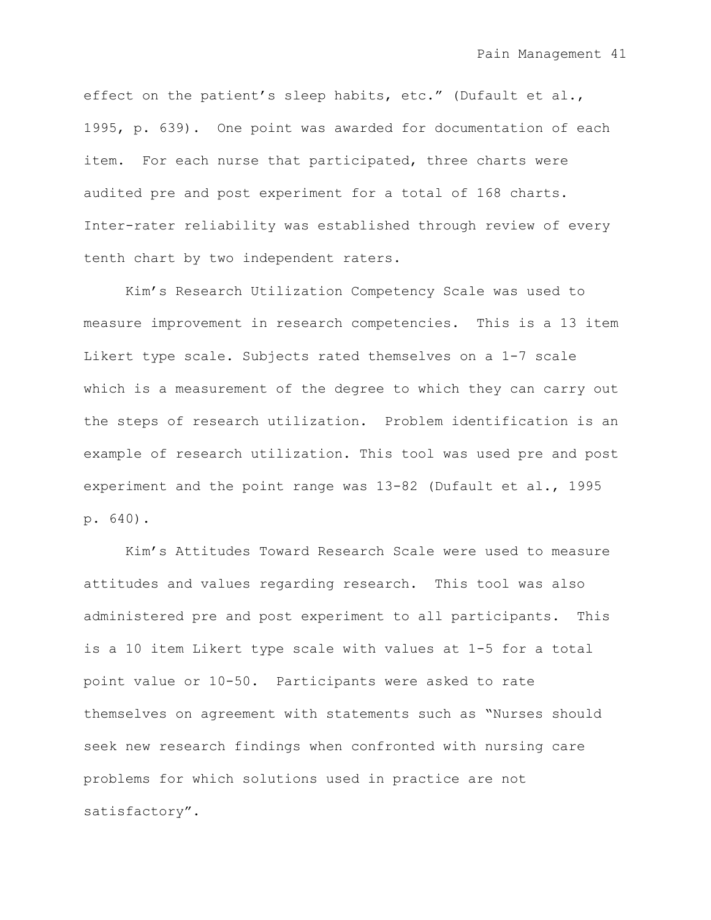effect on the patient's sleep habits, etc." (Dufault et al., 1995, p. 639). One point was awarded for documentation of each item. For each nurse that participated, three charts were audited pre and post experiment for a total of 168 charts. Inter-rater reliability was established through review of every tenth chart by two independent raters.

Kim"s Research Utilization Competency Scale was used to measure improvement in research competencies. This is a 13 item Likert type scale. Subjects rated themselves on a 1-7 scale which is a measurement of the degree to which they can carry out the steps of research utilization. Problem identification is an example of research utilization. This tool was used pre and post experiment and the point range was 13-82 (Dufault et al., 1995 p. 640).

Kim"s Attitudes Toward Research Scale were used to measure attitudes and values regarding research. This tool was also administered pre and post experiment to all participants. This is a 10 item Likert type scale with values at 1-5 for a total point value or 10-50. Participants were asked to rate themselves on agreement with statements such as "Nurses should seek new research findings when confronted with nursing care problems for which solutions used in practice are not satisfactory".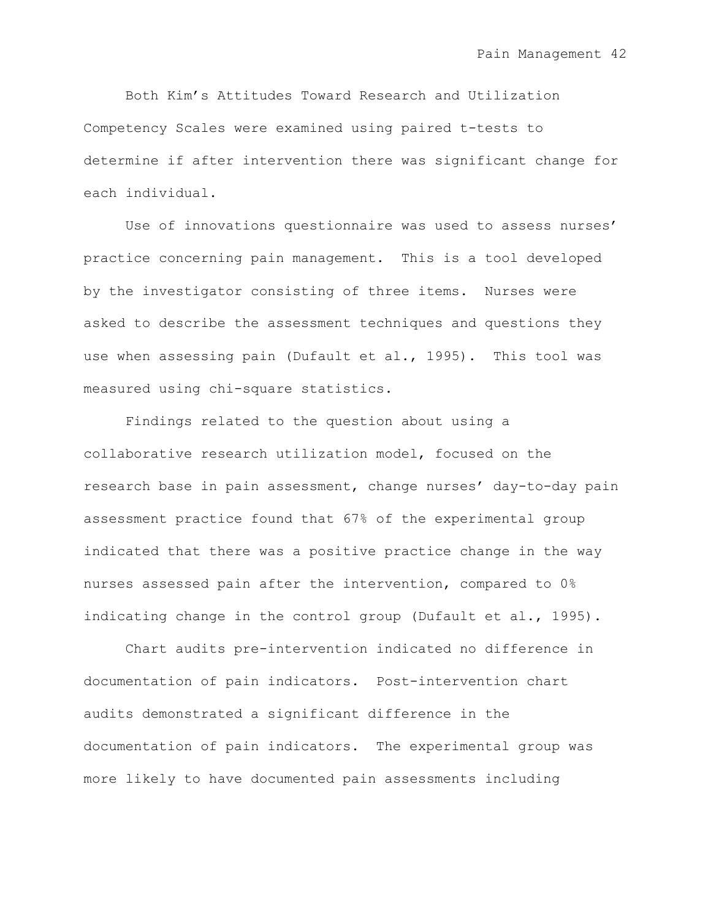Both Kim"s Attitudes Toward Research and Utilization Competency Scales were examined using paired t-tests to determine if after intervention there was significant change for each individual.

Use of innovations questionnaire was used to assess nurses' practice concerning pain management. This is a tool developed by the investigator consisting of three items. Nurses were asked to describe the assessment techniques and questions they use when assessing pain (Dufault et al., 1995). This tool was measured using chi-square statistics.

Findings related to the question about using a collaborative research utilization model, focused on the research base in pain assessment, change nurses' day-to-day pain assessment practice found that 67% of the experimental group indicated that there was a positive practice change in the way nurses assessed pain after the intervention, compared to 0% indicating change in the control group (Dufault et al., 1995).

Chart audits pre-intervention indicated no difference in documentation of pain indicators. Post-intervention chart audits demonstrated a significant difference in the documentation of pain indicators. The experimental group was more likely to have documented pain assessments including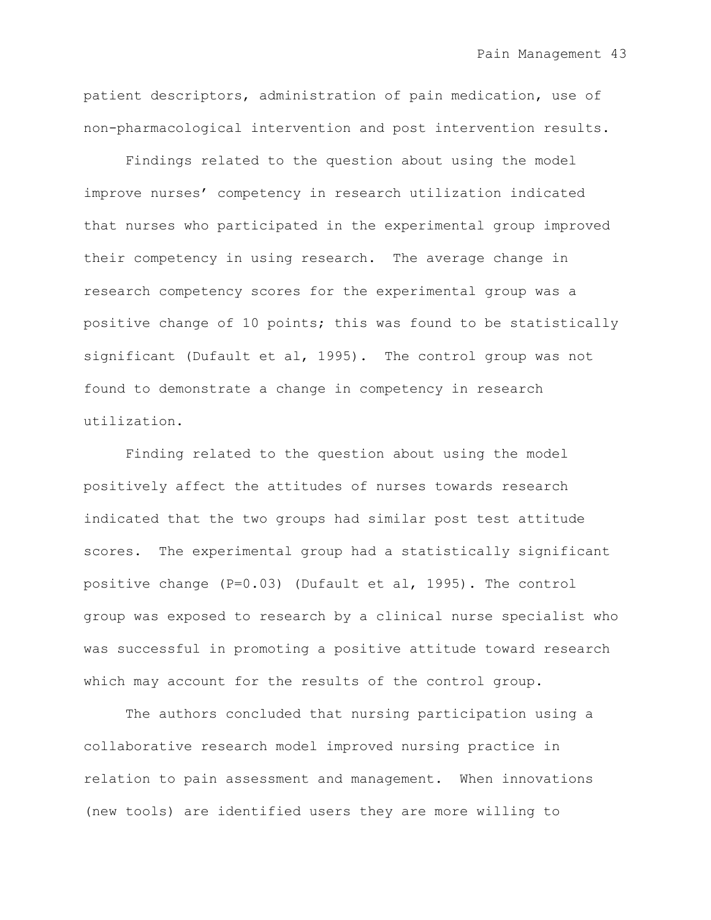patient descriptors, administration of pain medication, use of non-pharmacological intervention and post intervention results.

Findings related to the question about using the model improve nurses" competency in research utilization indicated that nurses who participated in the experimental group improved their competency in using research. The average change in research competency scores for the experimental group was a positive change of 10 points; this was found to be statistically significant (Dufault et al, 1995). The control group was not found to demonstrate a change in competency in research utilization.

Finding related to the question about using the model positively affect the attitudes of nurses towards research indicated that the two groups had similar post test attitude scores. The experimental group had a statistically significant positive change (P=0.03) (Dufault et al, 1995). The control group was exposed to research by a clinical nurse specialist who was successful in promoting a positive attitude toward research which may account for the results of the control group.

The authors concluded that nursing participation using a collaborative research model improved nursing practice in relation to pain assessment and management. When innovations (new tools) are identified users they are more willing to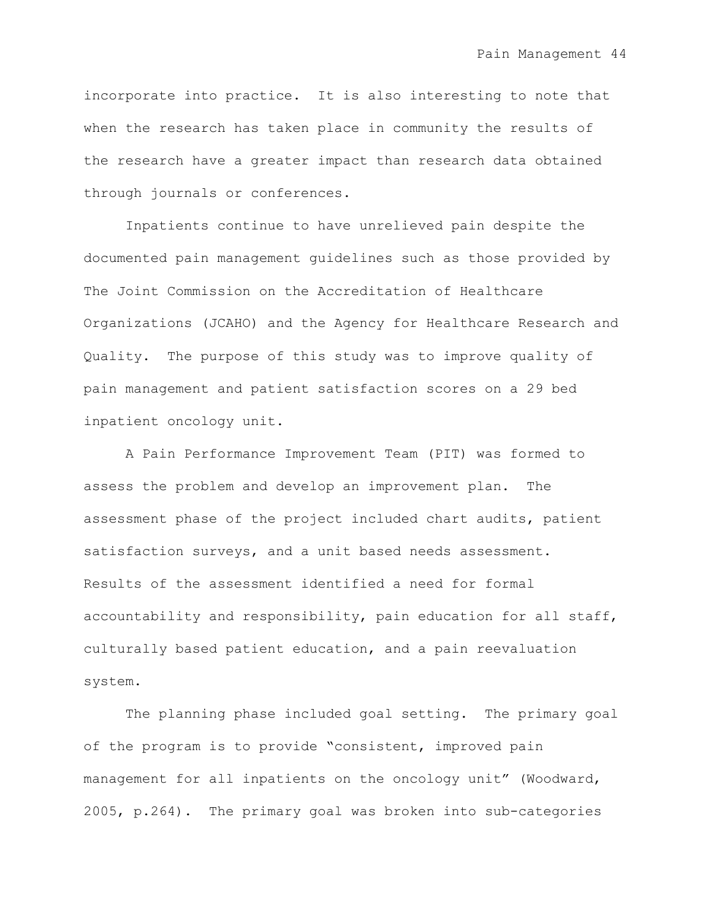incorporate into practice. It is also interesting to note that when the research has taken place in community the results of the research have a greater impact than research data obtained through journals or conferences.

Inpatients continue to have unrelieved pain despite the documented pain management guidelines such as those provided by The Joint Commission on the Accreditation of Healthcare Organizations (JCAHO) and the Agency for Healthcare Research and Quality. The purpose of this study was to improve quality of pain management and patient satisfaction scores on a 29 bed inpatient oncology unit.

A Pain Performance Improvement Team (PIT) was formed to assess the problem and develop an improvement plan. The assessment phase of the project included chart audits, patient satisfaction surveys, and a unit based needs assessment. Results of the assessment identified a need for formal accountability and responsibility, pain education for all staff, culturally based patient education, and a pain reevaluation system.

The planning phase included goal setting. The primary goal of the program is to provide "consistent, improved pain management for all inpatients on the oncology unit" (Woodward, 2005, p.264). The primary goal was broken into sub-categories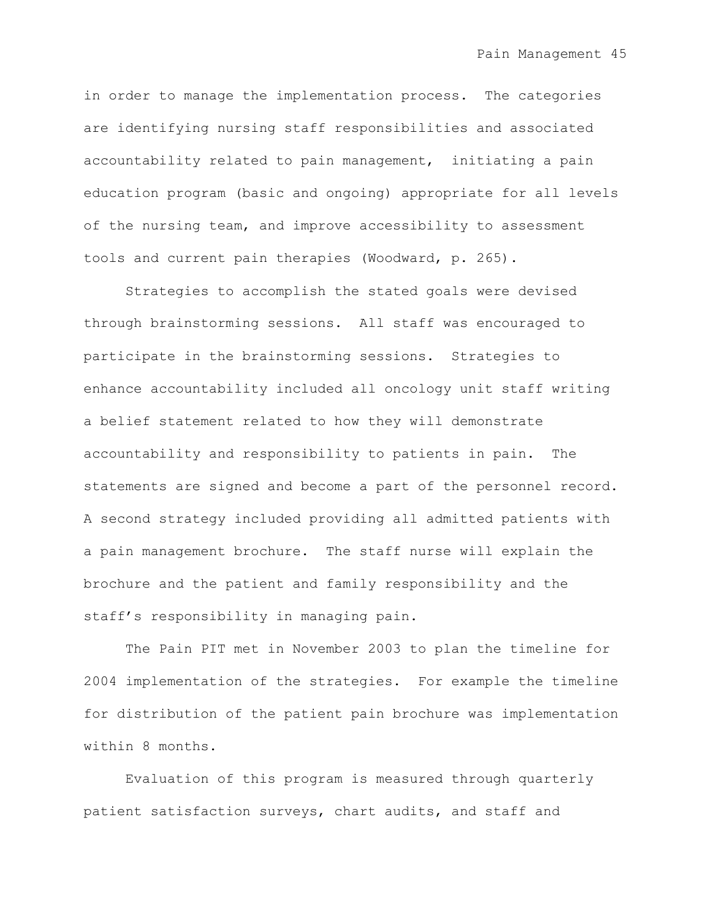in order to manage the implementation process. The categories are identifying nursing staff responsibilities and associated accountability related to pain management, initiating a pain education program (basic and ongoing) appropriate for all levels of the nursing team, and improve accessibility to assessment tools and current pain therapies (Woodward, p. 265).

Strategies to accomplish the stated goals were devised through brainstorming sessions. All staff was encouraged to participate in the brainstorming sessions. Strategies to enhance accountability included all oncology unit staff writing a belief statement related to how they will demonstrate accountability and responsibility to patients in pain. The statements are signed and become a part of the personnel record. A second strategy included providing all admitted patients with a pain management brochure. The staff nurse will explain the brochure and the patient and family responsibility and the staff"s responsibility in managing pain.

The Pain PIT met in November 2003 to plan the timeline for 2004 implementation of the strategies. For example the timeline for distribution of the patient pain brochure was implementation within 8 months.

Evaluation of this program is measured through quarterly patient satisfaction surveys, chart audits, and staff and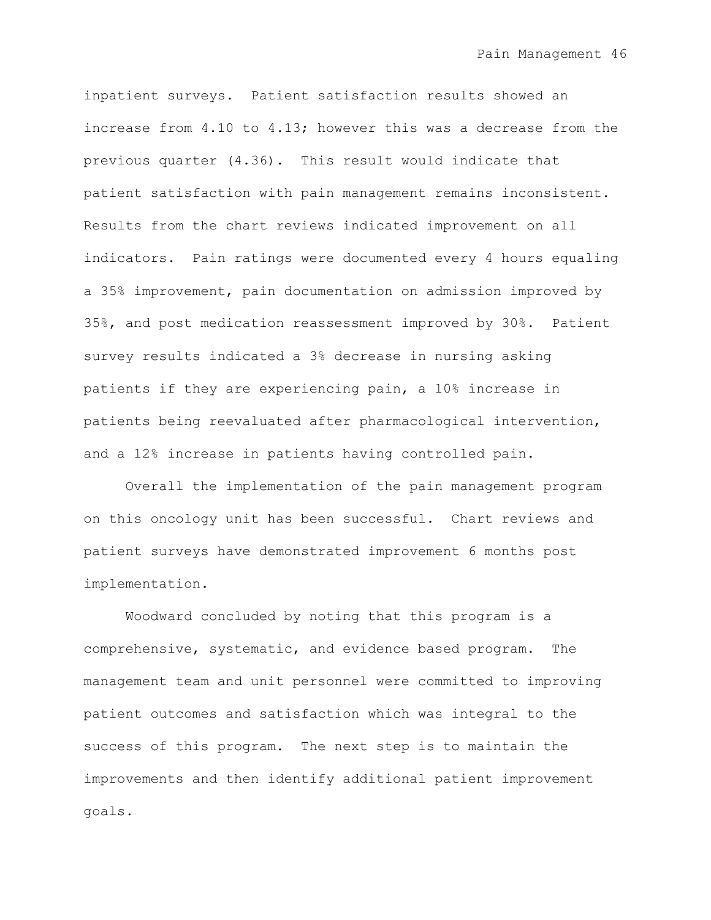inpatient surveys. Patient satisfaction results showed an increase from 4.10 to 4.13; however this was a decrease from the previous quarter (4.36). This result would indicate that patient satisfaction with pain management remains inconsistent. Results from the chart reviews indicated improvement on all indicators. Pain ratings were documented every 4 hours equaling a 35% improvement, pain documentation on admission improved by 35%, and post medication reassessment improved by 30%. Patient survey results indicated a 3% decrease in nursing asking patients if they are experiencing pain, a 10% increase in patients being reevaluated after pharmacological intervention, and a 12% increase in patients having controlled pain.

Overall the implementation of the pain management program on this oncology unit has been successful. Chart reviews and patient surveys have demonstrated improvement 6 months post implementation.

Woodward concluded by noting that this program is a comprehensive, systematic, and evidence based program. The management team and unit personnel were committed to improving patient outcomes and satisfaction which was integral to the success of this program. The next step is to maintain the improvements and then identify additional patient improvement goals.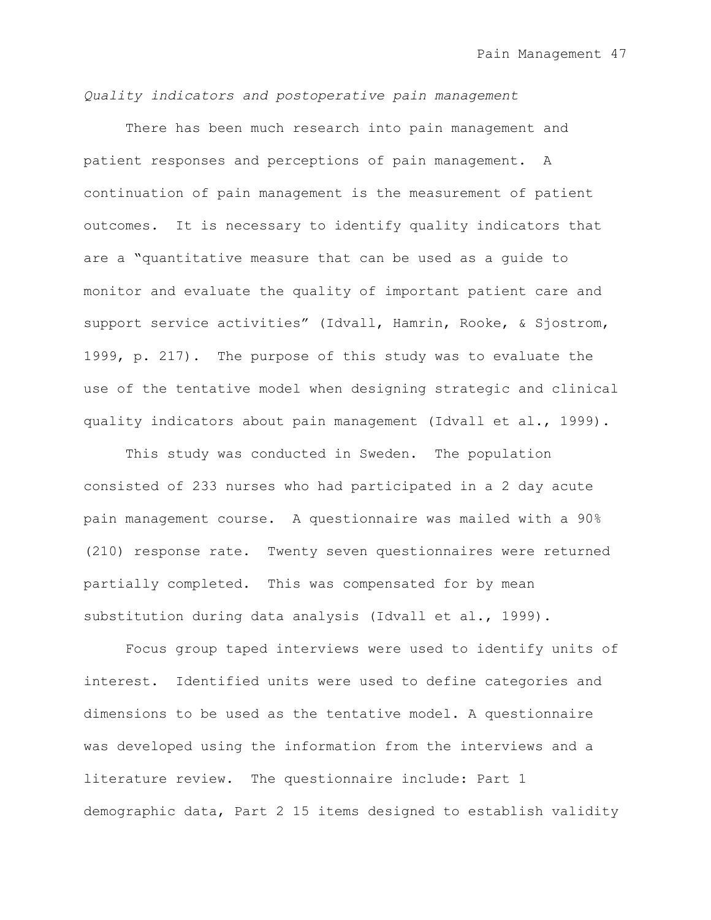*Quality indicators and postoperative pain management*

There has been much research into pain management and patient responses and perceptions of pain management. A continuation of pain management is the measurement of patient outcomes. It is necessary to identify quality indicators that are a "quantitative measure that can be used as a guide to monitor and evaluate the quality of important patient care and support service activities" (Idvall, Hamrin, Rooke, & Sjostrom, 1999, p. 217). The purpose of this study was to evaluate the use of the tentative model when designing strategic and clinical quality indicators about pain management (Idvall et al., 1999).

This study was conducted in Sweden. The population consisted of 233 nurses who had participated in a 2 day acute pain management course. A questionnaire was mailed with a 90% (210) response rate. Twenty seven questionnaires were returned partially completed. This was compensated for by mean substitution during data analysis (Idvall et al., 1999).

Focus group taped interviews were used to identify units of interest. Identified units were used to define categories and dimensions to be used as the tentative model. A questionnaire was developed using the information from the interviews and a literature review. The questionnaire include: Part 1 demographic data, Part 2 15 items designed to establish validity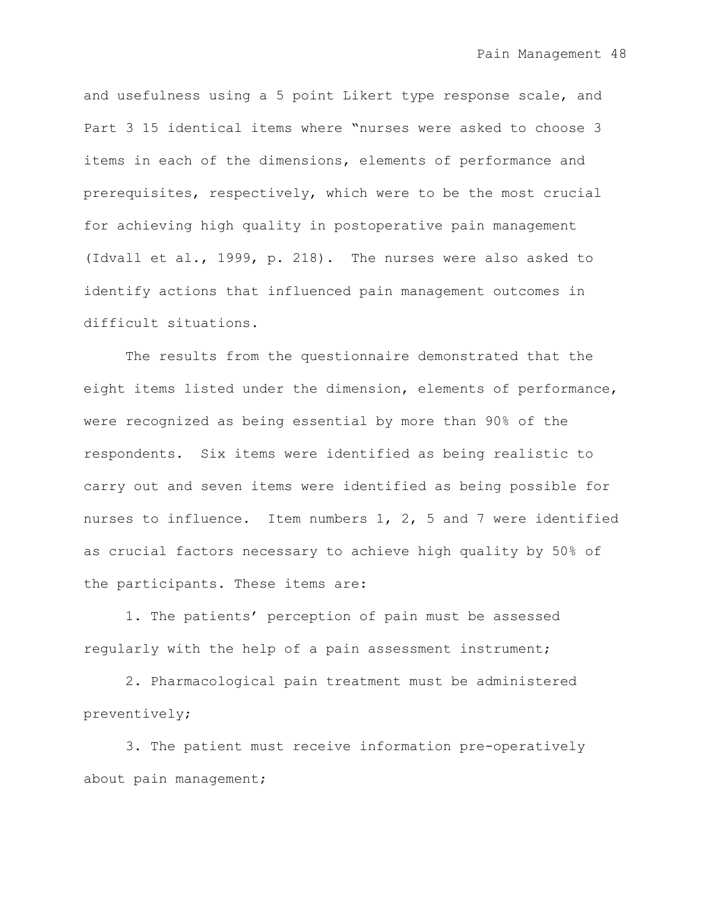and usefulness using a 5 point Likert type response scale, and Part 3 15 identical items where "nurses were asked to choose 3 items in each of the dimensions, elements of performance and prerequisites, respectively, which were to be the most crucial for achieving high quality in postoperative pain management (Idvall et al., 1999, p. 218). The nurses were also asked to identify actions that influenced pain management outcomes in difficult situations.

The results from the questionnaire demonstrated that the eight items listed under the dimension, elements of performance, were recognized as being essential by more than 90% of the respondents. Six items were identified as being realistic to carry out and seven items were identified as being possible for nurses to influence. Item numbers 1, 2, 5 and 7 were identified as crucial factors necessary to achieve high quality by 50% of the participants. These items are:

1. The patients" perception of pain must be assessed regularly with the help of a pain assessment instrument;

2. Pharmacological pain treatment must be administered preventively;

3. The patient must receive information pre-operatively about pain management;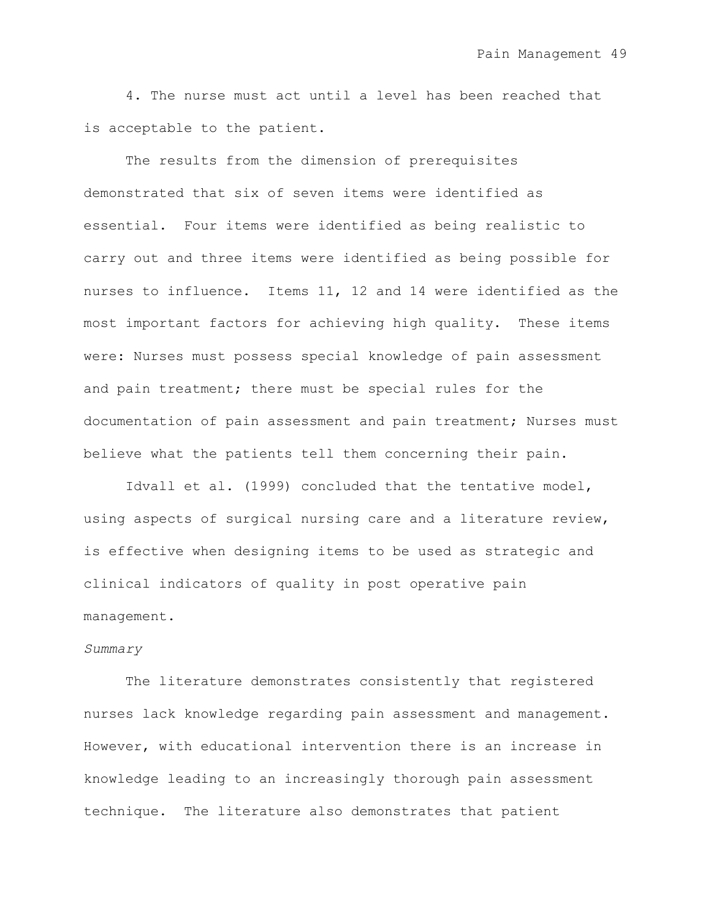4. The nurse must act until a level has been reached that is acceptable to the patient.

The results from the dimension of prerequisites demonstrated that six of seven items were identified as essential. Four items were identified as being realistic to carry out and three items were identified as being possible for nurses to influence. Items 11, 12 and 14 were identified as the most important factors for achieving high quality. These items were: Nurses must possess special knowledge of pain assessment and pain treatment; there must be special rules for the documentation of pain assessment and pain treatment; Nurses must believe what the patients tell them concerning their pain.

Idvall et al. (1999) concluded that the tentative model, using aspects of surgical nursing care and a literature review, is effective when designing items to be used as strategic and clinical indicators of quality in post operative pain management.

#### *Summary*

The literature demonstrates consistently that registered nurses lack knowledge regarding pain assessment and management. However, with educational intervention there is an increase in knowledge leading to an increasingly thorough pain assessment technique. The literature also demonstrates that patient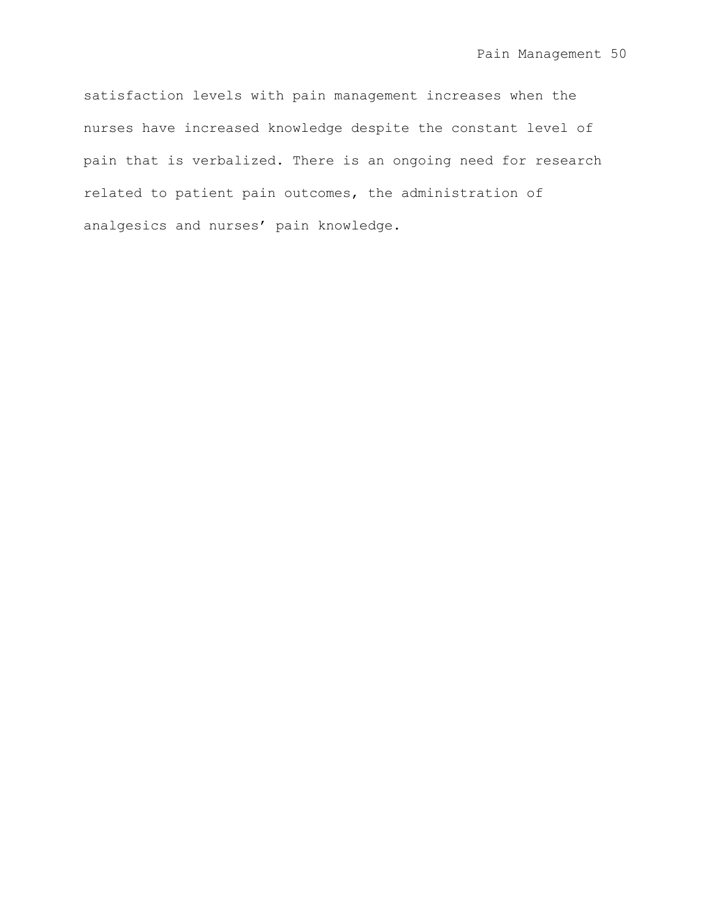satisfaction levels with pain management increases when the nurses have increased knowledge despite the constant level of pain that is verbalized. There is an ongoing need for research related to patient pain outcomes, the administration of analgesics and nurses' pain knowledge.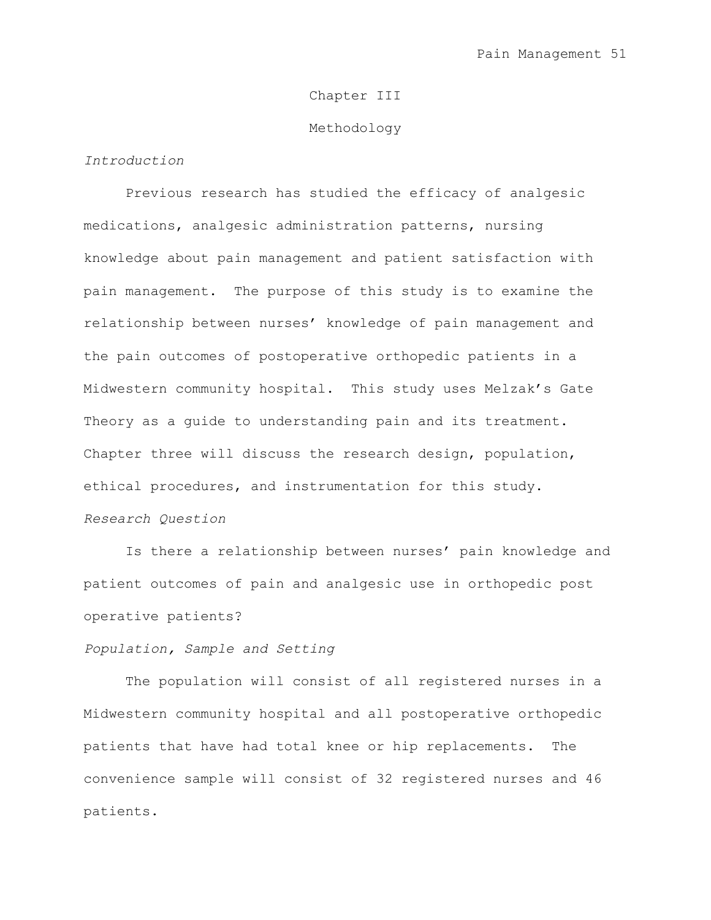# Chapter III

### Methodology

# *Introduction*

Previous research has studied the efficacy of analgesic medications, analgesic administration patterns, nursing knowledge about pain management and patient satisfaction with pain management. The purpose of this study is to examine the relationship between nurses" knowledge of pain management and the pain outcomes of postoperative orthopedic patients in a Midwestern community hospital. This study uses Melzak"s Gate Theory as a quide to understanding pain and its treatment. Chapter three will discuss the research design, population, ethical procedures, and instrumentation for this study. *Research Question*

Is there a relationship between nurses' pain knowledge and patient outcomes of pain and analgesic use in orthopedic post operative patients?

## *Population, Sample and Setting*

The population will consist of all registered nurses in a Midwestern community hospital and all postoperative orthopedic patients that have had total knee or hip replacements. The convenience sample will consist of 32 registered nurses and 46 patients.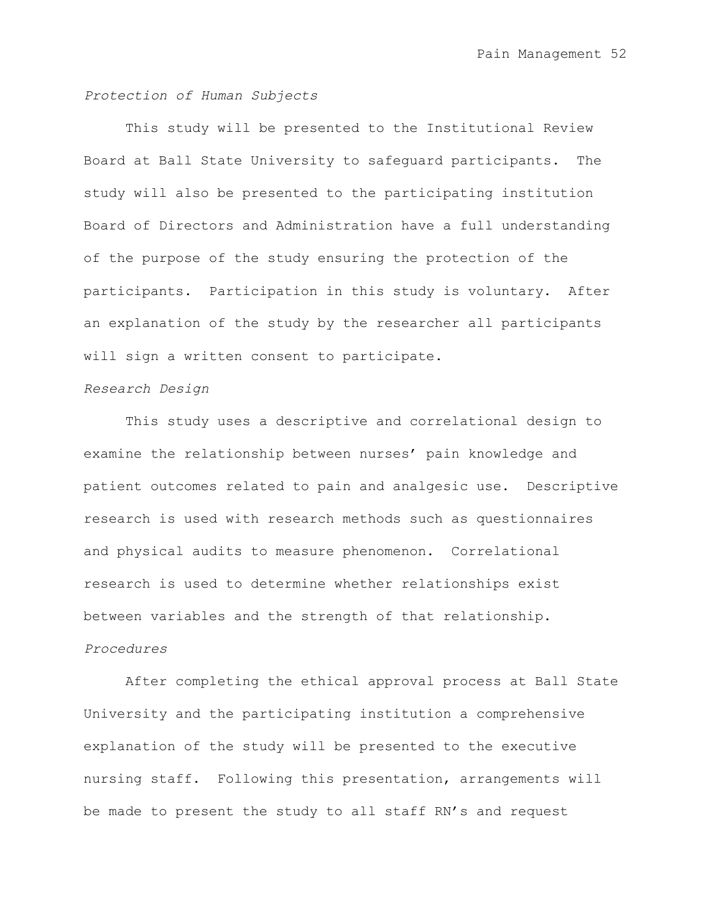## *Protection of Human Subjects*

This study will be presented to the Institutional Review Board at Ball State University to safeguard participants. The study will also be presented to the participating institution Board of Directors and Administration have a full understanding of the purpose of the study ensuring the protection of the participants. Participation in this study is voluntary. After an explanation of the study by the researcher all participants will sign a written consent to participate.

### *Research Design*

This study uses a descriptive and correlational design to examine the relationship between nurses' pain knowledge and patient outcomes related to pain and analgesic use. Descriptive research is used with research methods such as questionnaires and physical audits to measure phenomenon. Correlational research is used to determine whether relationships exist between variables and the strength of that relationship. *Procedures*

After completing the ethical approval process at Ball State University and the participating institution a comprehensive explanation of the study will be presented to the executive nursing staff. Following this presentation, arrangements will be made to present the study to all staff RN"s and request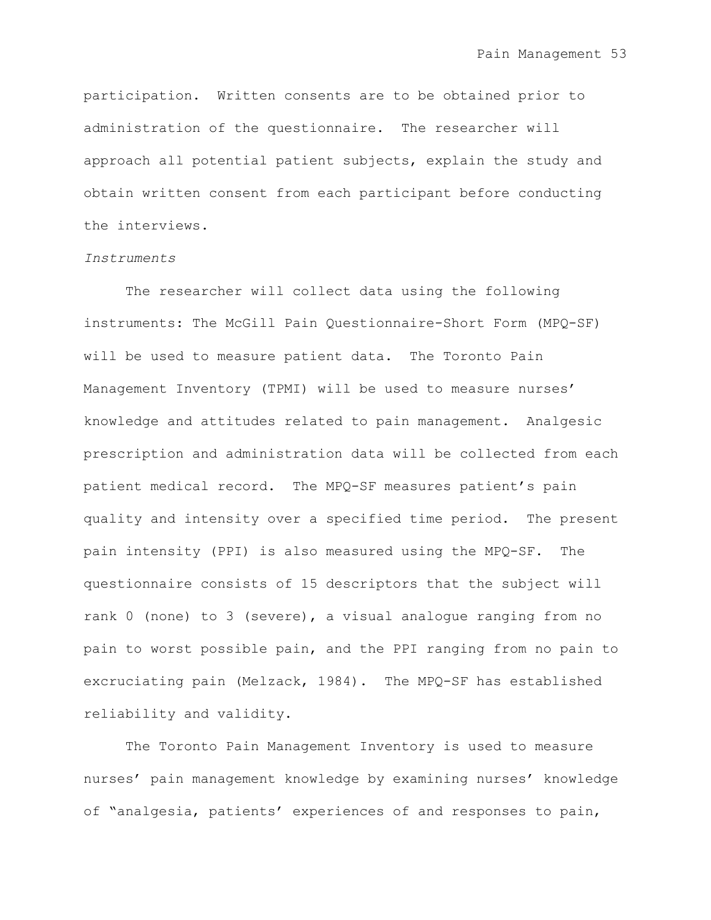participation. Written consents are to be obtained prior to administration of the questionnaire. The researcher will approach all potential patient subjects, explain the study and obtain written consent from each participant before conducting the interviews.

## *Instruments*

The researcher will collect data using the following instruments: The McGill Pain Questionnaire-Short Form (MPQ-SF) will be used to measure patient data. The Toronto Pain Management Inventory (TPMI) will be used to measure nurses" knowledge and attitudes related to pain management. Analgesic prescription and administration data will be collected from each patient medical record. The MPQ-SF measures patient's pain quality and intensity over a specified time period. The present pain intensity (PPI) is also measured using the MPQ-SF. The questionnaire consists of 15 descriptors that the subject will rank 0 (none) to 3 (severe), a visual analogue ranging from no pain to worst possible pain, and the PPI ranging from no pain to excruciating pain (Melzack, 1984). The MPQ-SF has established reliability and validity.

The Toronto Pain Management Inventory is used to measure nurses' pain management knowledge by examining nurses' knowledge of "analgesia, patients" experiences of and responses to pain,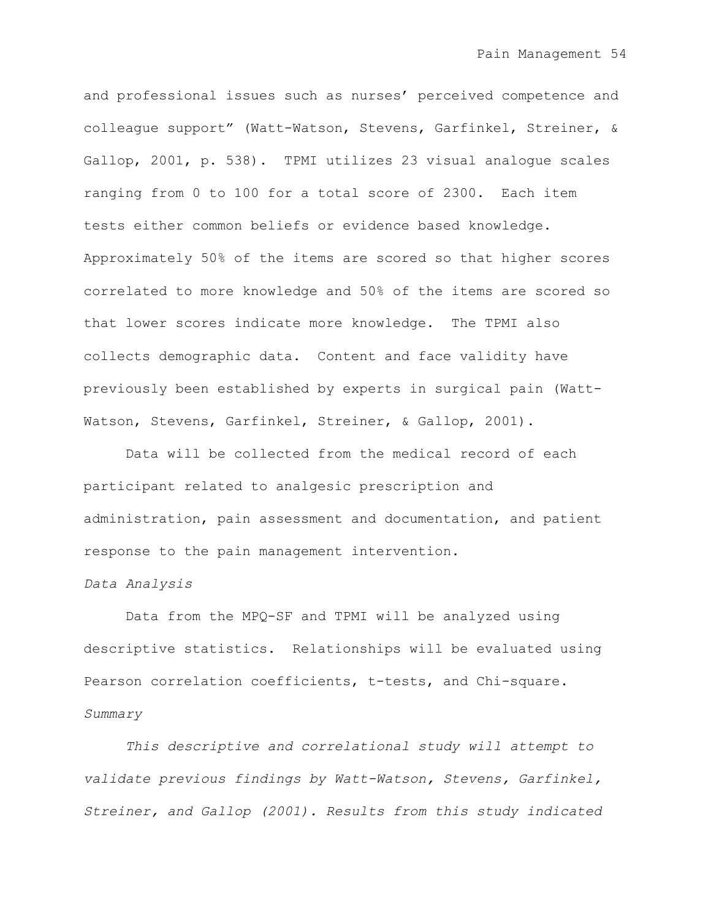and professional issues such as nurses' perceived competence and colleague support" (Watt-Watson, Stevens, Garfinkel, Streiner, & Gallop, 2001, p. 538). TPMI utilizes 23 visual analogue scales ranging from 0 to 100 for a total score of 2300. Each item tests either common beliefs or evidence based knowledge. Approximately 50% of the items are scored so that higher scores correlated to more knowledge and 50% of the items are scored so that lower scores indicate more knowledge. The TPMI also collects demographic data. Content and face validity have previously been established by experts in surgical pain (Watt-Watson, Stevens, Garfinkel, Streiner, & Gallop, 2001).

Data will be collected from the medical record of each participant related to analgesic prescription and administration, pain assessment and documentation, and patient response to the pain management intervention.

## *Data Analysis*

Data from the MPQ-SF and TPMI will be analyzed using descriptive statistics. Relationships will be evaluated using Pearson correlation coefficients, t-tests, and Chi-square. *Summary*

*This descriptive and correlational study will attempt to validate previous findings by Watt-Watson, Stevens, Garfinkel, Streiner, and Gallop (2001). Results from this study indicated*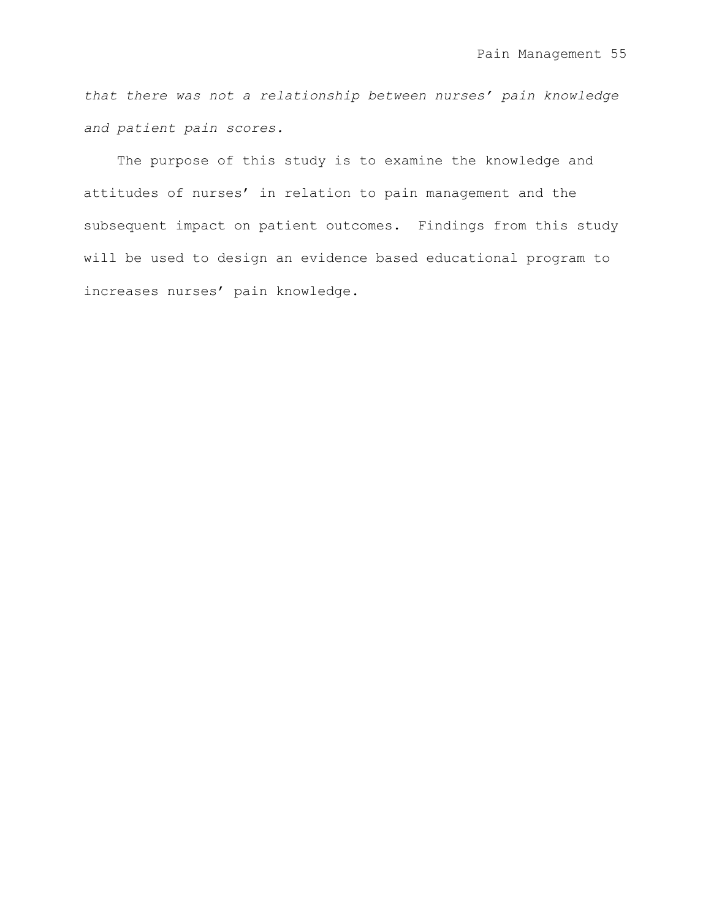*that there was not a relationship between nurses' pain knowledge and patient pain scores.*

The purpose of this study is to examine the knowledge and attitudes of nurses' in relation to pain management and the subsequent impact on patient outcomes. Findings from this study will be used to design an evidence based educational program to increases nurses' pain knowledge.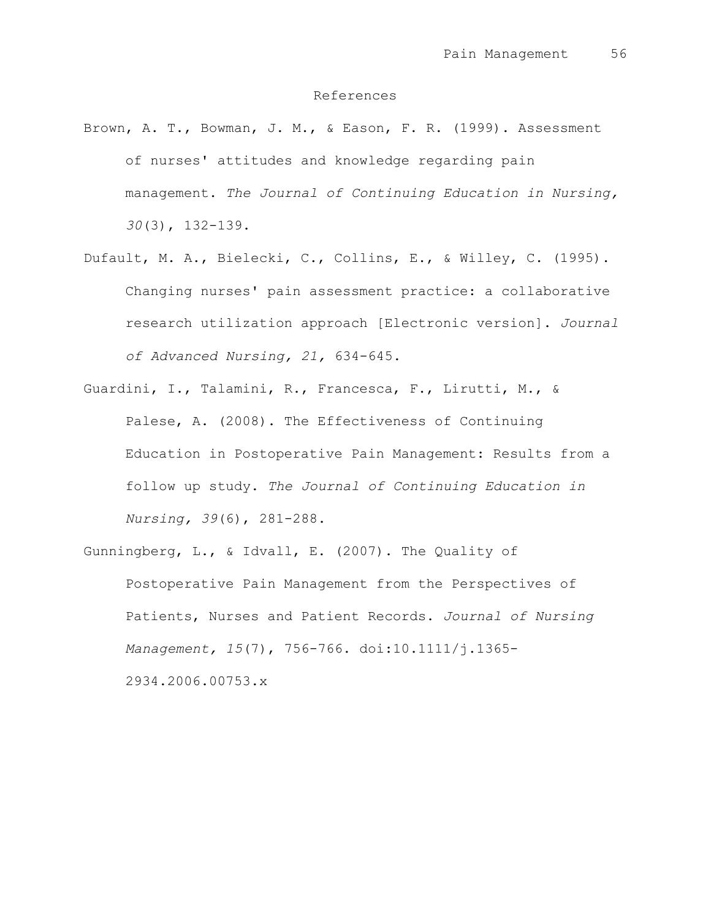## References

- Brown, A. T., Bowman, J. M., & Eason, F. R. (1999). Assessment of nurses' attitudes and knowledge regarding pain management. *The Journal of Continuing Education in Nursing, 30*(3), 132-139.
- Dufault, M. A., Bielecki, C., Collins, E., & Willey, C. (1995). Changing nurses' pain assessment practice: a collaborative research utilization approach [Electronic version]. *Journal of Advanced Nursing, 21,* 634-645.
- Guardini, I., Talamini, R., Francesca, F., Lirutti, M., & Palese, A. (2008). The Effectiveness of Continuing Education in Postoperative Pain Management: Results from a follow up study. *The Journal of Continuing Education in Nursing, 39*(6), 281-288.

Gunningberg, L., & Idvall, E. (2007). The Quality of Postoperative Pain Management from the Perspectives of Patients, Nurses and Patient Records. *Journal of Nursing Management, 15*(7), 756-766. doi:10.1111/j.1365- 2934.2006.00753.x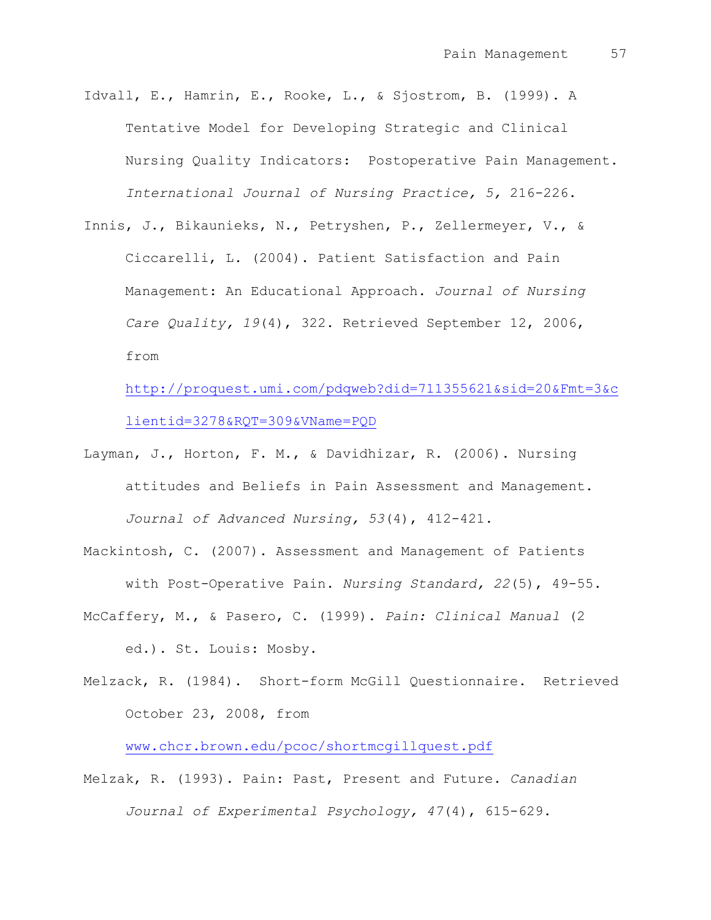Idvall, E., Hamrin, E., Rooke, L., & Sjostrom, B. (1999). A Tentative Model for Developing Strategic and Clinical Nursing Quality Indicators: Postoperative Pain Management. *International Journal of Nursing Practice, 5,* 216-226.

Innis, J., Bikaunieks, N., Petryshen, P., Zellermeyer, V., & Ciccarelli, L. (2004). Patient Satisfaction and Pain Management: An Educational Approach. *Journal of Nursing Care Quality, 19*(4), 322. Retrieved September 12, 2006, from

[http://proquest.umi.com/pdqweb?did=711355621&sid=20&Fmt=3&c](http://proquest.umi.com/pdqweb?did=711355621&sid=20&Fmt=3&clientid=3278&RQT=309&VName=PQD) [lientid=3278&RQT=309&VName=PQD](http://proquest.umi.com/pdqweb?did=711355621&sid=20&Fmt=3&clientid=3278&RQT=309&VName=PQD)

Layman, J., Horton, F. M., & Davidhizar, R. (2006). Nursing attitudes and Beliefs in Pain Assessment and Management. *Journal of Advanced Nursing, 53*(4), 412-421.

Mackintosh, C. (2007). Assessment and Management of Patients with Post-Operative Pain. *Nursing Standard, 22*(5), 49-55. McCaffery, M., & Pasero, C. (1999). *Pain: Clinical Manual* (2

ed.). St. Louis: Mosby.

Melzack, R. (1984). Short-form McGill Questionnaire. Retrieved October 23, 2008, from

[www.chcr.brown.edu/pcoc/shortmcgillquest.pdf](http://www.chcr.brown.edu/pcoc/shortmcgillquest.pdf)

Melzak, R. (1993). Pain: Past, Present and Future. *Canadian Journal of Experimental Psychology, 47*(4), 615-629.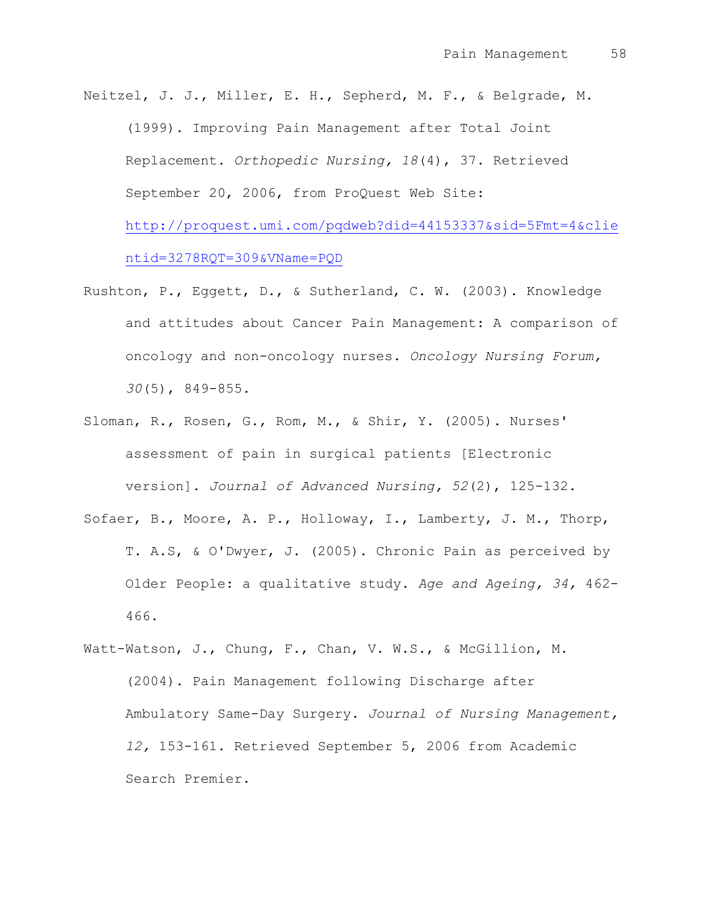Neitzel, J. J., Miller, E. H., Sepherd, M. F., & Belgrade, M. (1999). Improving Pain Management after Total Joint Replacement. *Orthopedic Nursing, 18*(4), 37. Retrieved September 20, 2006, from ProQuest Web Site: [http://proquest.umi.com/pqdweb?did=44153337&sid=5Fmt=4&clie](http://proquest.umi.com/pqdweb?did=44153337&sid=5Fmt=4&clientid=3278RQT=309&VName=PQD)

[ntid=3278RQT=309&VName=PQD](http://proquest.umi.com/pqdweb?did=44153337&sid=5Fmt=4&clientid=3278RQT=309&VName=PQD)

- Rushton, P., Eggett, D., & Sutherland, C. W. (2003). Knowledge and attitudes about Cancer Pain Management: A comparison of oncology and non-oncology nurses. *Oncology Nursing Forum, 30*(5), 849-855.
- Sloman, R., Rosen, G., Rom, M., & Shir, Y. (2005). Nurses' assessment of pain in surgical patients [Electronic version]. *Journal of Advanced Nursing, 52*(2), 125-132. Sofaer, B., Moore, A. P., Holloway, I., Lamberty, J. M., Thorp, T. A.S, & O'Dwyer, J. (2005). Chronic Pain as perceived by Older People: a qualitative study. *Age and Ageing, 34,* 462- 466.
- Watt-Watson, J., Chung, F., Chan, V. W.S., & McGillion, M. (2004). Pain Management following Discharge after Ambulatory Same-Day Surgery. *Journal of Nursing Management, 12,* 153-161. Retrieved September 5, 2006 from Academic Search Premier.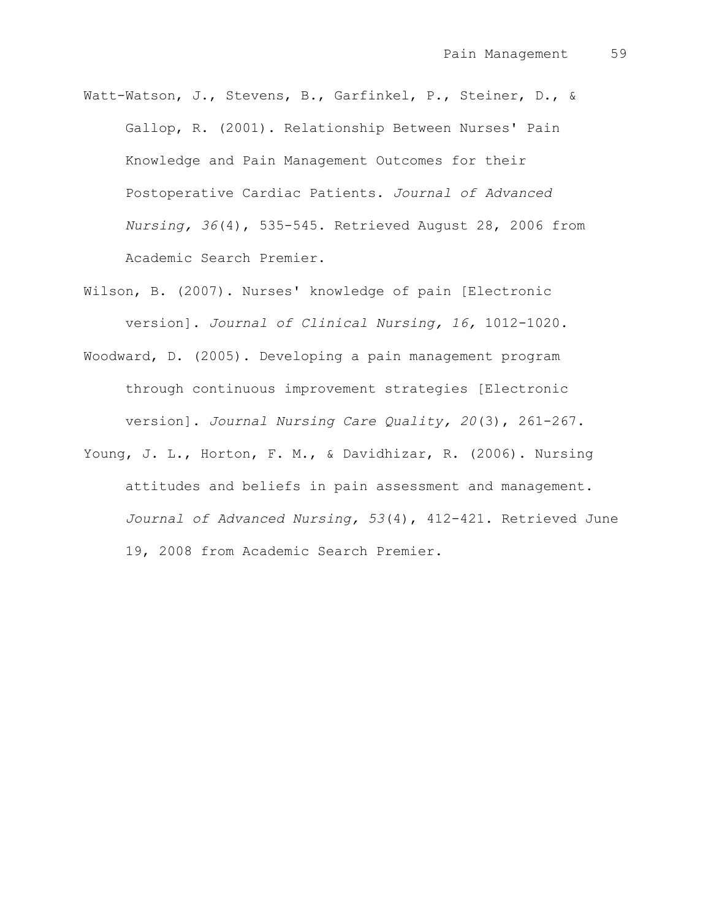- Watt-Watson, J., Stevens, B., Garfinkel, P., Steiner, D., & Gallop, R. (2001). Relationship Between Nurses' Pain Knowledge and Pain Management Outcomes for their Postoperative Cardiac Patients. *Journal of Advanced Nursing, 36*(4), 535-545. Retrieved August 28, 2006 from Academic Search Premier.
- Wilson, B. (2007). Nurses' knowledge of pain [Electronic version]. *Journal of Clinical Nursing, 16,* 1012-1020.
- Woodward, D. (2005). Developing a pain management program through continuous improvement strategies [Electronic version]. *Journal Nursing Care Quality, 20*(3), 261-267.
- Young, J. L., Horton, F. M., & Davidhizar, R. (2006). Nursing attitudes and beliefs in pain assessment and management. *Journal of Advanced Nursing, 53*(4), 412-421. Retrieved June 19, 2008 from Academic Search Premier.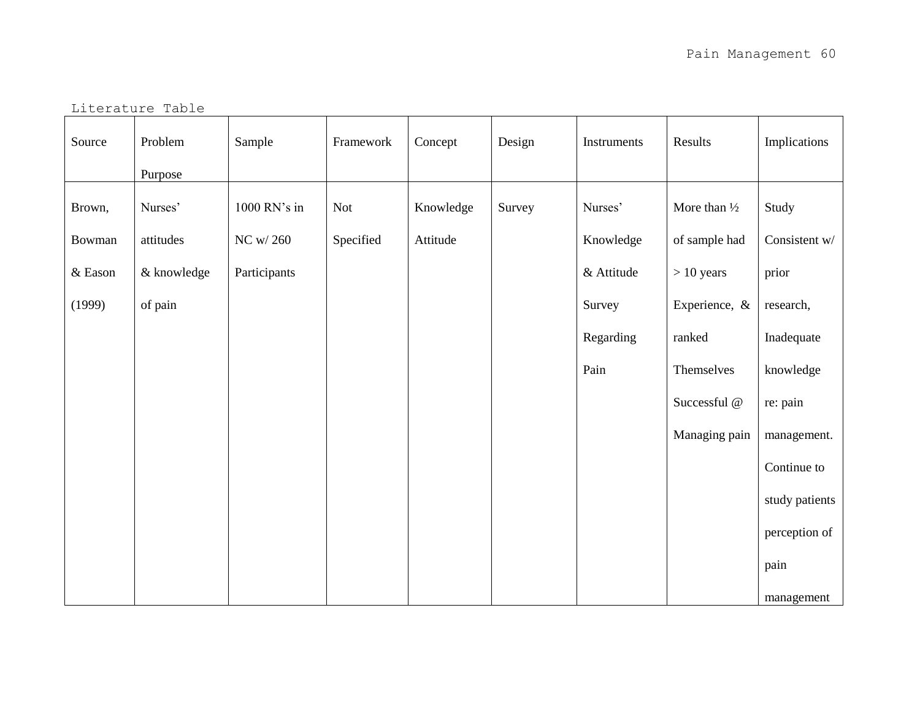Literature Table

| Source  | Problem<br>Purpose | Sample       | Framework  | Concept   | Design | Instruments | Results                 | Implications   |
|---------|--------------------|--------------|------------|-----------|--------|-------------|-------------------------|----------------|
|         |                    |              |            |           |        |             |                         |                |
| Brown,  | Nurses'            | 1000 RN's in | <b>Not</b> | Knowledge | Survey | Nurses'     | More than $\frac{1}{2}$ | Study          |
| Bowman  | attitudes          | NC w/ 260    | Specified  | Attitude  |        | Knowledge   | of sample had           | Consistent w/  |
| & Eason | & knowledge        | Participants |            |           |        | & Attitude  | $> 10$ years            | prior          |
| (1999)  | of pain            |              |            |           |        | Survey      | Experience, &           | research,      |
|         |                    |              |            |           |        | Regarding   | ranked                  | Inadequate     |
|         |                    |              |            |           |        | Pain        | Themselves              | knowledge      |
|         |                    |              |            |           |        |             | Successful @            | re: pain       |
|         |                    |              |            |           |        |             | Managing pain           | management.    |
|         |                    |              |            |           |        |             |                         | Continue to    |
|         |                    |              |            |           |        |             |                         | study patients |
|         |                    |              |            |           |        |             |                         | perception of  |
|         |                    |              |            |           |        |             |                         | pain           |
|         |                    |              |            |           |        |             |                         | management     |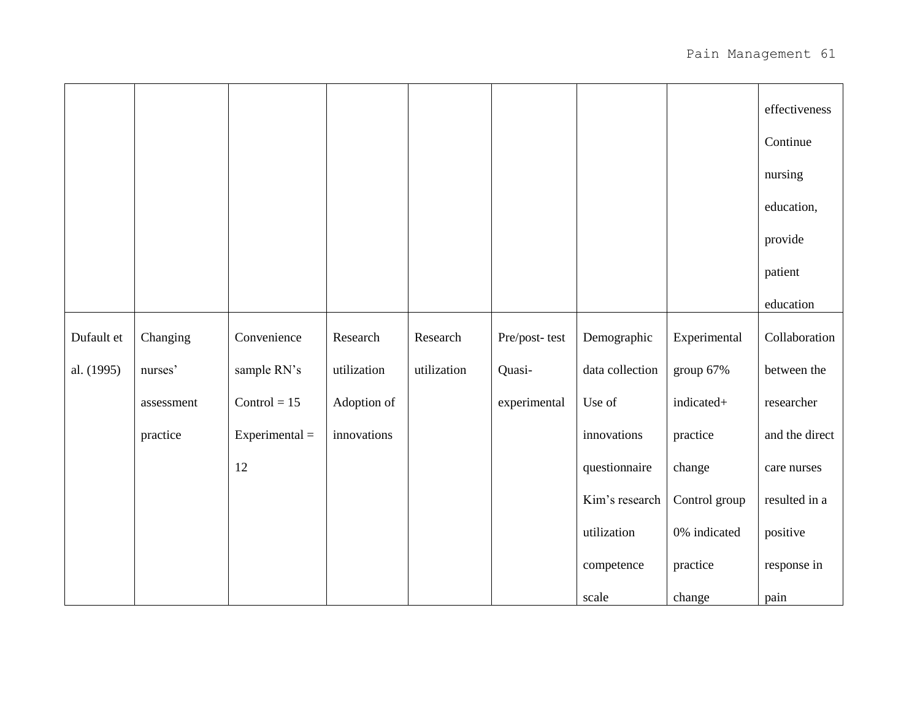|            |            |                  |             |             |               |                 |               | effectiveness  |
|------------|------------|------------------|-------------|-------------|---------------|-----------------|---------------|----------------|
|            |            |                  |             |             |               |                 |               | Continue       |
|            |            |                  |             |             |               |                 |               | nursing        |
|            |            |                  |             |             |               |                 |               | education,     |
|            |            |                  |             |             |               |                 |               | provide        |
|            |            |                  |             |             |               |                 |               | patient        |
|            |            |                  |             |             |               |                 |               | education      |
| Dufault et | Changing   | Convenience      | Research    | Research    | Pre/post-test | Demographic     | Experimental  | Collaboration  |
| al. (1995) | nurses'    | sample RN's      | utilization | utilization | Quasi-        | data collection | group 67%     | between the    |
|            | assessment | Control = $15$   | Adoption of |             | experimental  | Use of          | indicated+    | researcher     |
|            | practice   | $Experimental =$ | innovations |             |               | innovations     | practice      | and the direct |
|            |            | 12               |             |             |               | questionnaire   | change        | care nurses    |
|            |            |                  |             |             |               | Kim's research  | Control group | resulted in a  |
|            |            |                  |             |             |               | utilization     | 0% indicated  | positive       |
|            |            |                  |             |             |               | competence      | practice      | response in    |
|            |            |                  |             |             |               | scale           | change        | pain           |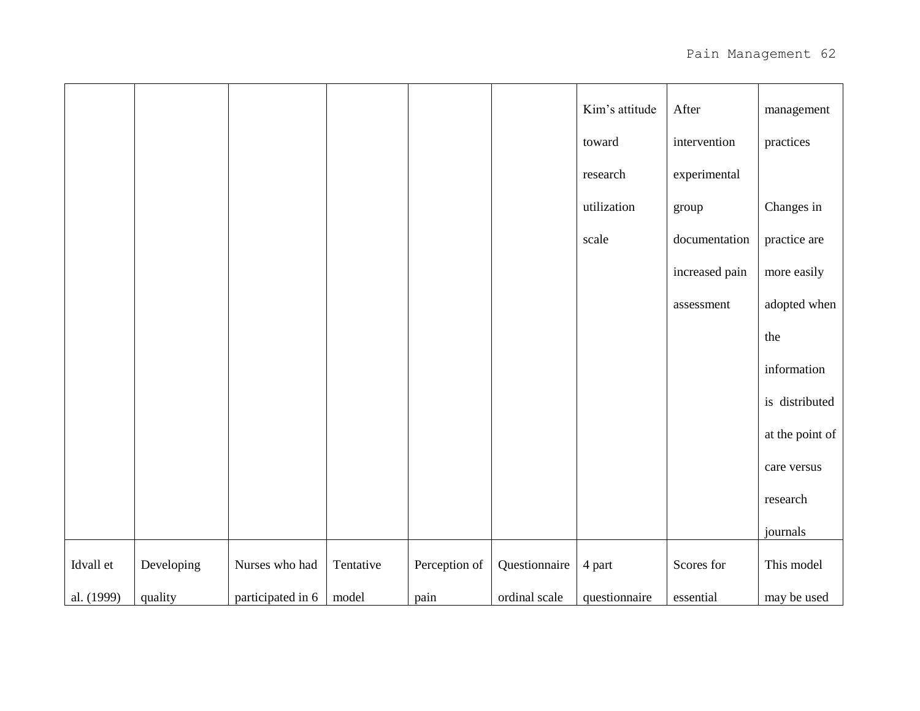|            |            |                   |           |               |               | Kim's attitude | After          | management      |
|------------|------------|-------------------|-----------|---------------|---------------|----------------|----------------|-----------------|
|            |            |                   |           |               |               | toward         | intervention   | practices       |
|            |            |                   |           |               |               | research       | experimental   |                 |
|            |            |                   |           |               |               | utilization    | group          | Changes in      |
|            |            |                   |           |               |               | scale          | documentation  | practice are    |
|            |            |                   |           |               |               |                | increased pain | more easily     |
|            |            |                   |           |               |               |                | assessment     | adopted when    |
|            |            |                   |           |               |               |                |                | the             |
|            |            |                   |           |               |               |                |                | information     |
|            |            |                   |           |               |               |                |                | is distributed  |
|            |            |                   |           |               |               |                |                | at the point of |
|            |            |                   |           |               |               |                |                | care versus     |
|            |            |                   |           |               |               |                |                | research        |
|            |            |                   |           |               |               |                |                | journals        |
| Idvall et  | Developing | Nurses who had    | Tentative | Perception of | Questionnaire | 4 part         | Scores for     | This model      |
| al. (1999) | quality    | participated in 6 | model     | pain          | ordinal scale | questionnaire  | essential      | may be used     |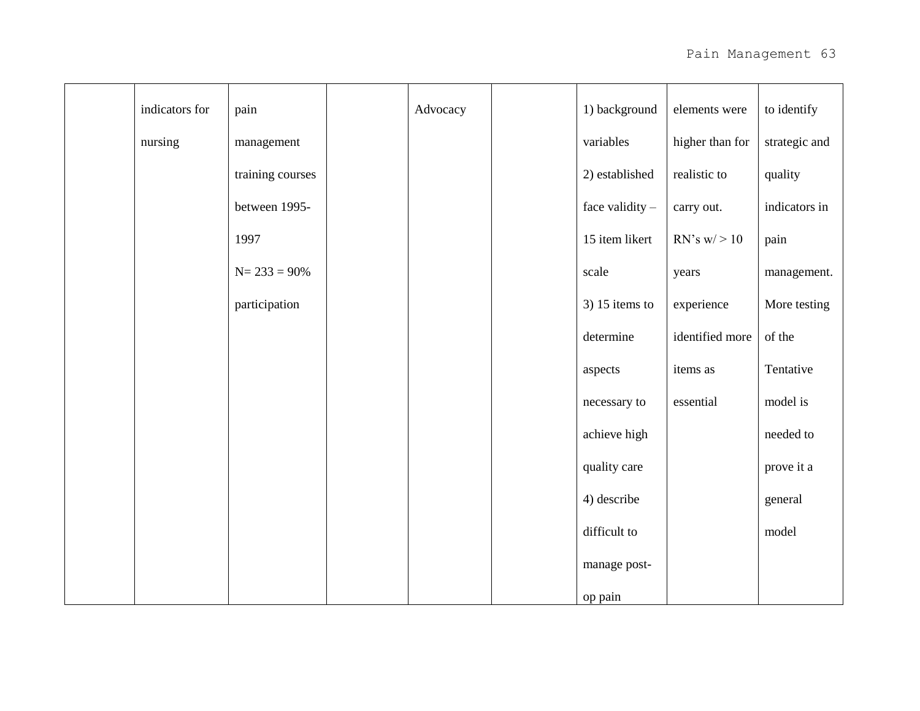| indicators for | pain             | Advocacy | 1) background    | elements were    | to identify   |
|----------------|------------------|----------|------------------|------------------|---------------|
| nursing        | management       |          | variables        | higher than for  | strategic and |
|                | training courses |          | 2) established   | realistic to     | quality       |
|                | between 1995-    |          | face validity -  | carry out.       | indicators in |
|                | 1997             |          | 15 item likert   | $RN's w \geq 10$ | pain          |
|                | $N = 233 = 90\%$ |          | scale            | years            | management.   |
|                | participation    |          | $3)$ 15 items to | experience       | More testing  |
|                |                  |          | determine        | identified more  | of the        |
|                |                  |          | aspects          | items as         | Tentative     |
|                |                  |          | necessary to     | essential        | model is      |
|                |                  |          | achieve high     |                  | needed to     |
|                |                  |          | quality care     |                  | prove it a    |
|                |                  |          | 4) describe      |                  | general       |
|                |                  |          | difficult to     |                  | model         |
|                |                  |          | manage post-     |                  |               |
|                |                  |          | op pain          |                  |               |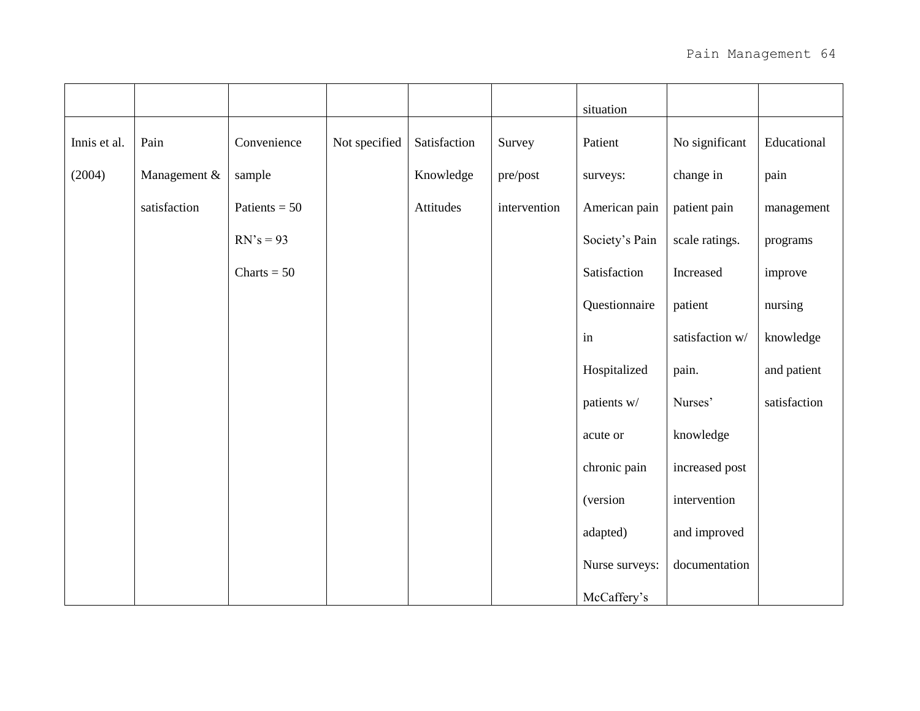|              |              |                 |               |              |              | situation      |                 |              |
|--------------|--------------|-----------------|---------------|--------------|--------------|----------------|-----------------|--------------|
| Innis et al. | Pain         | Convenience     | Not specified | Satisfaction | Survey       | Patient        | No significant  | Educational  |
| (2004)       | Management & | sample          |               | Knowledge    | pre/post     | surveys:       | change in       | pain         |
|              | satisfaction | Patients = $50$ |               | Attitudes    | intervention | American pain  | patient pain    | management   |
|              |              | $RN's = 93$     |               |              |              | Society's Pain | scale ratings.  | programs     |
|              |              | Charts = $50$   |               |              |              | Satisfaction   | Increased       | improve      |
|              |              |                 |               |              |              | Questionnaire  | patient         | nursing      |
|              |              |                 |               |              |              | in             | satisfaction w/ | knowledge    |
|              |              |                 |               |              |              | Hospitalized   | pain.           | and patient  |
|              |              |                 |               |              |              | patients w/    | Nurses'         | satisfaction |
|              |              |                 |               |              |              | acute or       | knowledge       |              |
|              |              |                 |               |              |              | chronic pain   | increased post  |              |
|              |              |                 |               |              |              | (version       | intervention    |              |
|              |              |                 |               |              |              | adapted)       | and improved    |              |
|              |              |                 |               |              |              | Nurse surveys: | documentation   |              |
|              |              |                 |               |              |              | McCaffery's    |                 |              |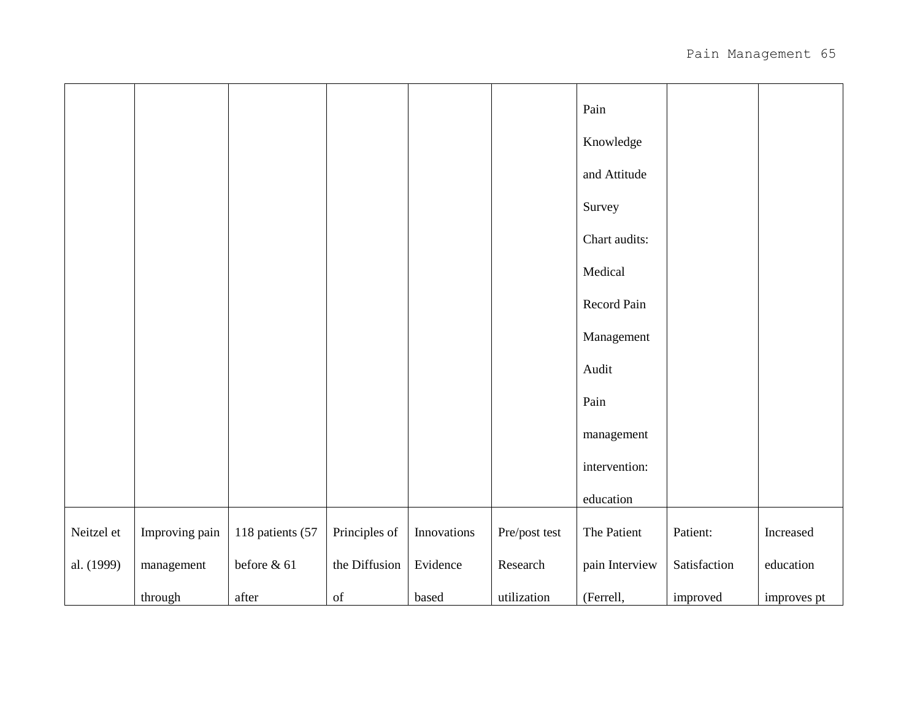|            |                |                  |               |             |               | Pain           |              |             |
|------------|----------------|------------------|---------------|-------------|---------------|----------------|--------------|-------------|
|            |                |                  |               |             |               | Knowledge      |              |             |
|            |                |                  |               |             |               | and Attitude   |              |             |
|            |                |                  |               |             |               | Survey         |              |             |
|            |                |                  |               |             |               | Chart audits:  |              |             |
|            |                |                  |               |             |               | Medical        |              |             |
|            |                |                  |               |             |               | Record Pain    |              |             |
|            |                |                  |               |             |               | Management     |              |             |
|            |                |                  |               |             |               | Audit          |              |             |
|            |                |                  |               |             |               | Pain           |              |             |
|            |                |                  |               |             |               | management     |              |             |
|            |                |                  |               |             |               | intervention:  |              |             |
|            |                |                  |               |             |               | education      |              |             |
| Neitzel et | Improving pain | 118 patients (57 | Principles of | Innovations | Pre/post test | The Patient    | Patient:     | Increased   |
| al. (1999) | management     | before & 61      | the Diffusion | Evidence    | Research      | pain Interview | Satisfaction | education   |
|            | through        | after            | of            | based       | utilization   | (Ferrell,      | improved     | improves pt |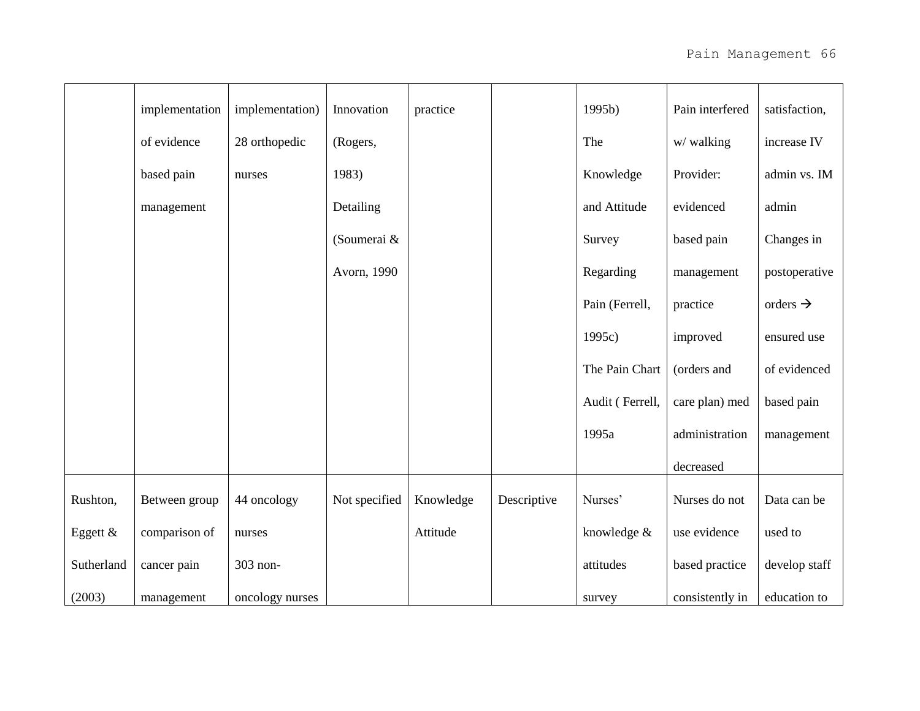|            | implementation | implementation) | Innovation    | practice  |             | 1995b)          | Pain interfered | satisfaction,        |
|------------|----------------|-----------------|---------------|-----------|-------------|-----------------|-----------------|----------------------|
|            | of evidence    | 28 orthopedic   | (Rogers,      |           |             | The             | w/walking       | increase IV          |
|            | based pain     | nurses          | 1983)         |           |             | Knowledge       | Provider:       | admin vs. IM         |
|            | management     |                 | Detailing     |           |             | and Attitude    | evidenced       | admin                |
|            |                |                 | (Soumerai &   |           |             | Survey          | based pain      | Changes in           |
|            |                |                 | Avorn, 1990   |           |             | Regarding       | management      | postoperative        |
|            |                |                 |               |           |             | Pain (Ferrell,  | practice        | orders $\rightarrow$ |
|            |                |                 |               |           |             | 1995c)          | improved        | ensured use          |
|            |                |                 |               |           |             | The Pain Chart  | (orders and     | of evidenced         |
|            |                |                 |               |           |             | Audit (Ferrell, | care plan) med  | based pain           |
|            |                |                 |               |           |             | 1995a           | administration  | management           |
|            |                |                 |               |           |             |                 | decreased       |                      |
| Rushton,   | Between group  | 44 oncology     | Not specified | Knowledge | Descriptive | Nurses'         | Nurses do not   | Data can be          |
| Eggett &   | comparison of  | nurses          |               | Attitude  |             | knowledge &     | use evidence    | used to              |
| Sutherland | cancer pain    | 303 non-        |               |           |             | attitudes       | based practice  | develop staff        |
| (2003)     | management     | oncology nurses |               |           |             | survey          | consistently in | education to         |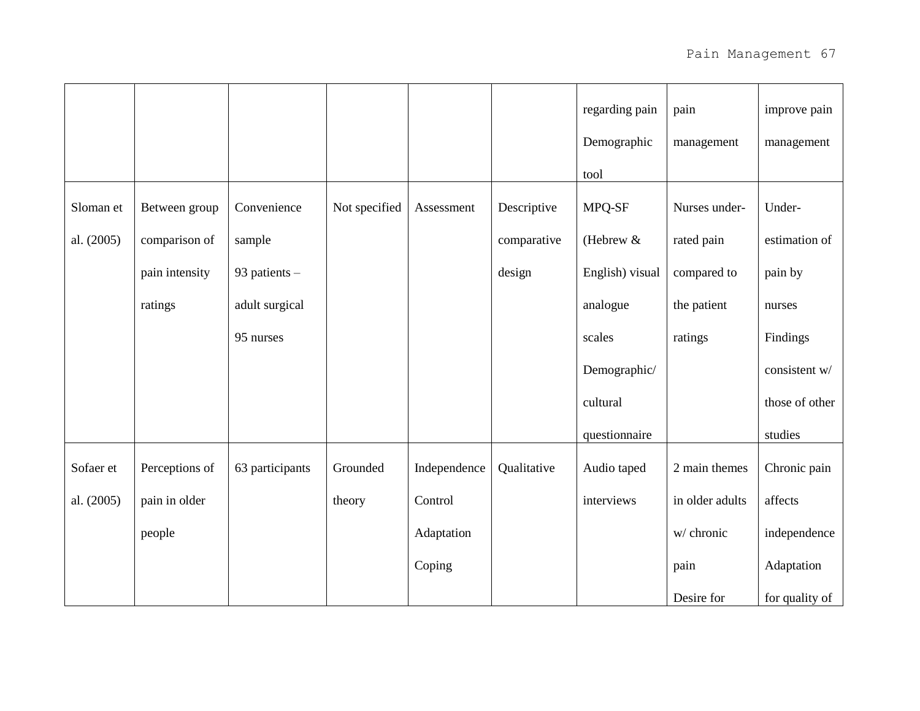|            |                |                 |               |              |             | regarding pain  | pain            | improve pain   |
|------------|----------------|-----------------|---------------|--------------|-------------|-----------------|-----------------|----------------|
|            |                |                 |               |              |             | Demographic     | management      | management     |
|            |                |                 |               |              |             | tool            |                 |                |
| Sloman et  | Between group  | Convenience     | Not specified | Assessment   | Descriptive | MPQ-SF          | Nurses under-   | Under-         |
| al. (2005) | comparison of  | sample          |               |              | comparative | (Hebrew $&$     | rated pain      | estimation of  |
|            | pain intensity | 93 patients -   |               |              | design      | English) visual | compared to     | pain by        |
|            | ratings        | adult surgical  |               |              |             | analogue        | the patient     | nurses         |
|            |                | 95 nurses       |               |              |             | scales          | ratings         | Findings       |
|            |                |                 |               |              |             | Demographic/    |                 | consistent w/  |
|            |                |                 |               |              |             | cultural        |                 | those of other |
|            |                |                 |               |              |             | questionnaire   |                 | studies        |
| Sofaer et  | Perceptions of | 63 participants | Grounded      | Independence | Qualitative | Audio taped     | 2 main themes   | Chronic pain   |
| al. (2005) | pain in older  |                 | theory        | Control      |             | interviews      | in older adults | affects        |
|            | people         |                 |               | Adaptation   |             |                 | w/ chronic      | independence   |
|            |                |                 |               | Coping       |             |                 | pain            | Adaptation     |
|            |                |                 |               |              |             |                 | Desire for      | for quality of |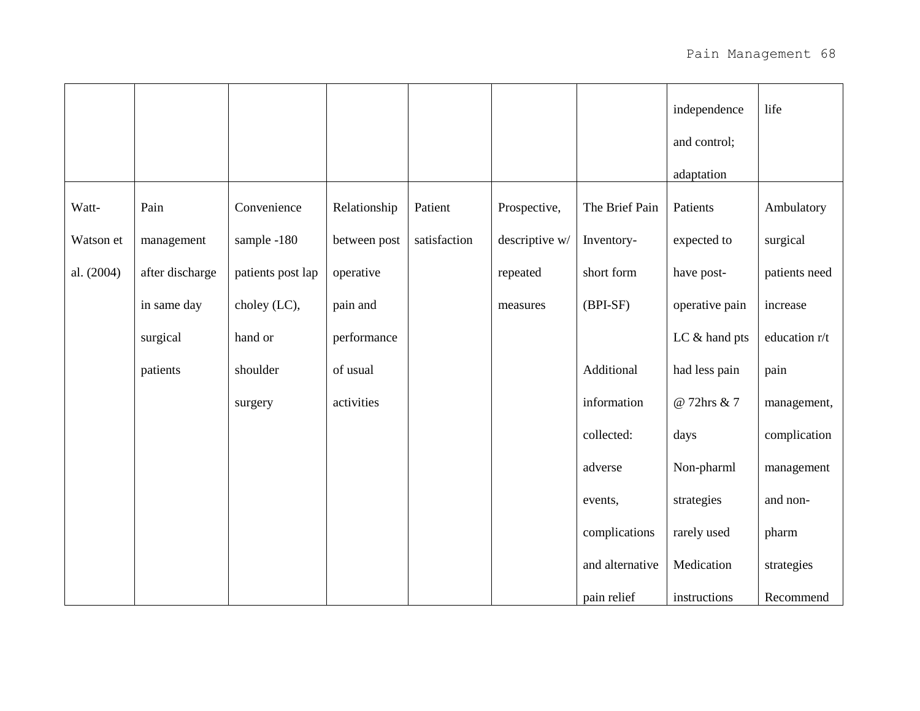|            |                 |                   |              |              |                |                 | independence   | life          |
|------------|-----------------|-------------------|--------------|--------------|----------------|-----------------|----------------|---------------|
|            |                 |                   |              |              |                |                 | and control;   |               |
|            |                 |                   |              |              |                |                 | adaptation     |               |
| Watt-      | Pain            | Convenience       | Relationship | Patient      | Prospective,   | The Brief Pain  | Patients       | Ambulatory    |
| Watson et  | management      | sample -180       | between post | satisfaction | descriptive w/ | Inventory-      | expected to    | surgical      |
| al. (2004) | after discharge | patients post lap | operative    |              | repeated       | short form      | have post-     | patients need |
|            | in same day     | choley (LC),      | pain and     |              | measures       | $(BPI-SF)$      | operative pain | increase      |
|            | surgical        | hand or           | performance  |              |                |                 | LC & hand pts  | education r/t |
|            | patients        | shoulder          | of usual     |              |                | Additional      | had less pain  | pain          |
|            |                 | surgery           | activities   |              |                | information     | @ 72hrs & 7    | management,   |
|            |                 |                   |              |              |                | collected:      | days           | complication  |
|            |                 |                   |              |              |                | adverse         | Non-pharml     | management    |
|            |                 |                   |              |              |                | events,         | strategies     | and non-      |
|            |                 |                   |              |              |                | complications   | rarely used    | pharm         |
|            |                 |                   |              |              |                | and alternative | Medication     | strategies    |
|            |                 |                   |              |              |                | pain relief     | instructions   | Recommend     |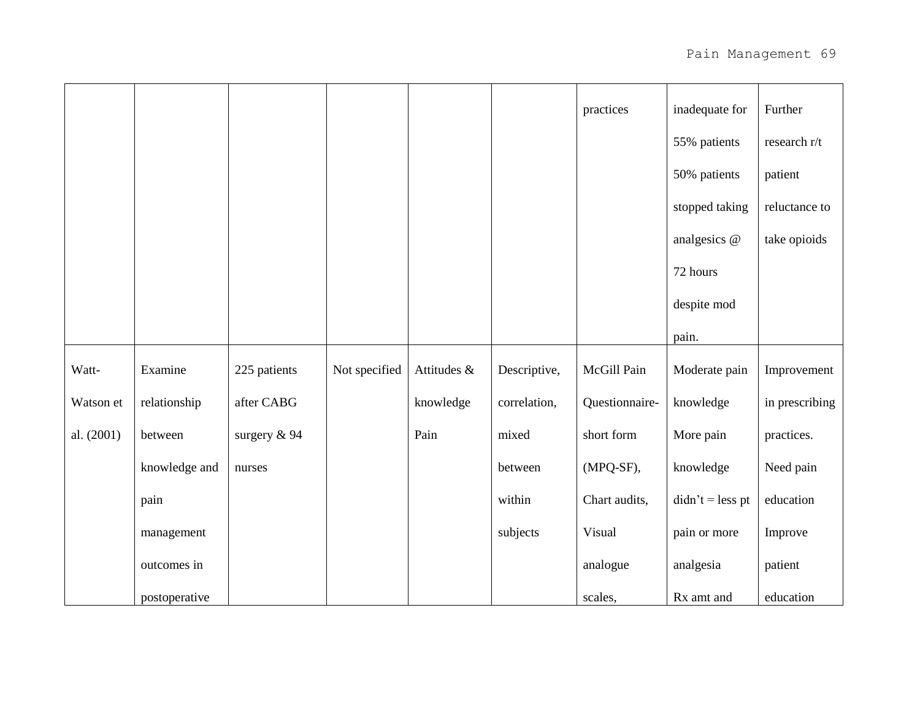|            |               |              |               |             |              | practices      | inadequate for                                                                                                                                                                                                                                                                                                                                                                                                                                                                            | Further        |
|------------|---------------|--------------|---------------|-------------|--------------|----------------|-------------------------------------------------------------------------------------------------------------------------------------------------------------------------------------------------------------------------------------------------------------------------------------------------------------------------------------------------------------------------------------------------------------------------------------------------------------------------------------------|----------------|
|            |               |              |               |             |              |                | 55% patients                                                                                                                                                                                                                                                                                                                                                                                                                                                                              | research r/t   |
|            |               |              |               |             |              |                | 50% patients                                                                                                                                                                                                                                                                                                                                                                                                                                                                              | patient        |
|            |               |              |               |             |              |                | stopped taking                                                                                                                                                                                                                                                                                                                                                                                                                                                                            | reluctance to  |
|            |               |              |               |             |              |                | analgesics @                                                                                                                                                                                                                                                                                                                                                                                                                                                                              | take opioids   |
|            |               |              |               |             |              |                | 72 hours                                                                                                                                                                                                                                                                                                                                                                                                                                                                                  |                |
|            |               |              |               |             |              |                | despite mod                                                                                                                                                                                                                                                                                                                                                                                                                                                                               |                |
|            |               |              |               |             |              |                | pain.                                                                                                                                                                                                                                                                                                                                                                                                                                                                                     |                |
| Watt-      | Examine       | 225 patients | Not specified | Attitudes & | Descriptive, | McGill Pain    | Moderate pain                                                                                                                                                                                                                                                                                                                                                                                                                                                                             | Improvement    |
| Watson et  | relationship  | after CABG   |               | knowledge   | correlation, | Questionnaire- | knowledge                                                                                                                                                                                                                                                                                                                                                                                                                                                                                 | in prescribing |
| al. (2001) | between       | surgery & 94 |               | Pain        | mixed        | short form     | More pain                                                                                                                                                                                                                                                                                                                                                                                                                                                                                 | practices.     |
|            | knowledge and | nurses       |               |             | between      | (MPQ-SF),      | knowledge                                                                                                                                                                                                                                                                                                                                                                                                                                                                                 | Need pain      |
|            | pain          |              |               |             | within       | Chart audits,  | $\text{d} \cdot \text{d} \cdot \text{d} \cdot \text{d} \cdot \text{d} \cdot \text{d} \cdot \text{d} \cdot \text{d} \cdot \text{d} \cdot \text{d} \cdot \text{d} \cdot \text{d} \cdot \text{d} \cdot \text{d} \cdot \text{d} \cdot \text{d} \cdot \text{d} \cdot \text{d} \cdot \text{d} \cdot \text{d} \cdot \text{d} \cdot \text{d} \cdot \text{d} \cdot \text{d} \cdot \text{d} \cdot \text{d} \cdot \text{d} \cdot \text{d} \cdot \text{d} \cdot \text{d} \cdot \text{d} \cdot \text{$ | education      |
|            | management    |              |               |             | subjects     | Visual         | pain or more                                                                                                                                                                                                                                                                                                                                                                                                                                                                              | Improve        |
|            | outcomes in   |              |               |             |              | analogue       | analgesia                                                                                                                                                                                                                                                                                                                                                                                                                                                                                 | patient        |
|            | postoperative |              |               |             |              | scales,        | Rx amt and                                                                                                                                                                                                                                                                                                                                                                                                                                                                                | education      |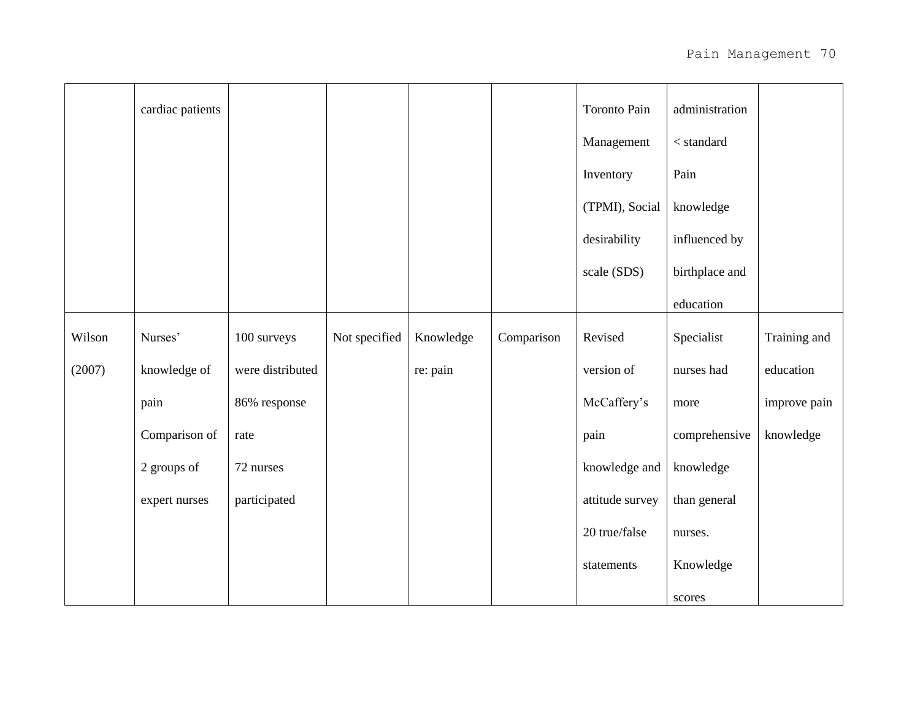|        | cardiac patients |                  |               |           |            | Toronto Pain    | administration |              |
|--------|------------------|------------------|---------------|-----------|------------|-----------------|----------------|--------------|
|        |                  |                  |               |           |            | Management      | $<$ standard   |              |
|        |                  |                  |               |           |            | Inventory       | Pain           |              |
|        |                  |                  |               |           |            | (TPMI), Social  | knowledge      |              |
|        |                  |                  |               |           |            | desirability    | influenced by  |              |
|        |                  |                  |               |           |            | scale (SDS)     | birthplace and |              |
|        |                  |                  |               |           |            |                 | education      |              |
| Wilson | Nurses'          | 100 surveys      | Not specified | Knowledge | Comparison | Revised         | Specialist     | Training and |
| (2007) | knowledge of     | were distributed |               | re: pain  |            | version of      | nurses had     | education    |
|        | pain             | 86% response     |               |           |            | McCaffery's     | more           | improve pain |
|        | Comparison of    | rate             |               |           |            | pain            | comprehensive  | knowledge    |
|        | 2 groups of      | 72 nurses        |               |           |            | knowledge and   | knowledge      |              |
|        | expert nurses    | participated     |               |           |            | attitude survey | than general   |              |
|        |                  |                  |               |           |            | 20 true/false   | nurses.        |              |
|        |                  |                  |               |           |            | statements      | Knowledge      |              |
|        |                  |                  |               |           |            |                 | scores         |              |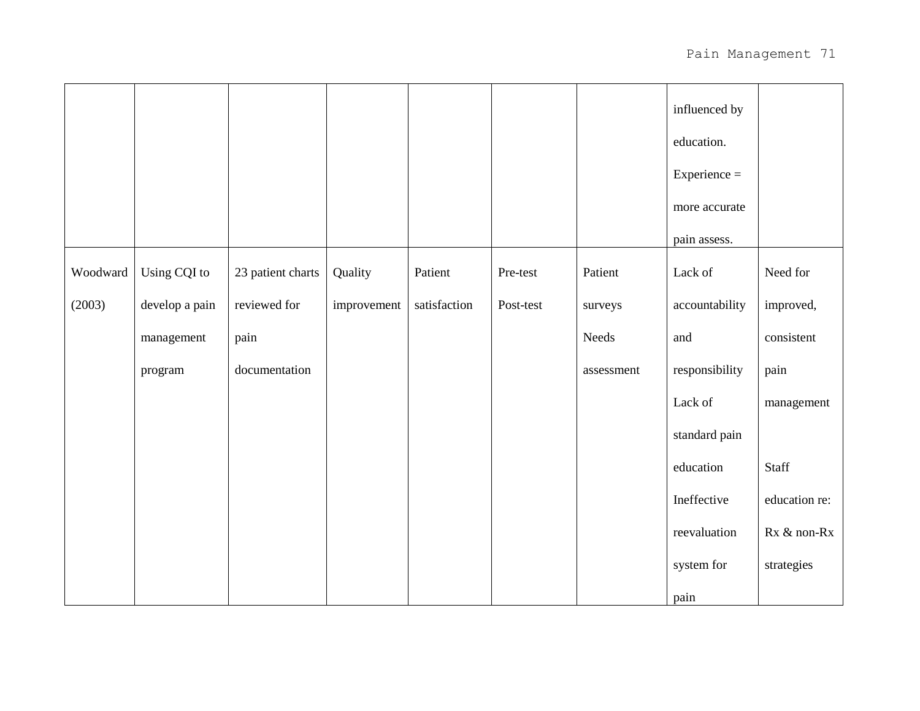|          |                |                   |             |              |           |            | influenced by<br>education. |               |
|----------|----------------|-------------------|-------------|--------------|-----------|------------|-----------------------------|---------------|
|          |                |                   |             |              |           |            | $Experience =$              |               |
|          |                |                   |             |              |           |            | more accurate               |               |
|          |                |                   |             |              |           |            | pain assess.                |               |
| Woodward | Using CQI to   | 23 patient charts | Quality     | Patient      | Pre-test  | Patient    | Lack of                     | Need for      |
| (2003)   | develop a pain | reviewed for      | improvement | satisfaction | Post-test | surveys    | accountability              | improved,     |
|          | management     | pain              |             |              |           | Needs      | and                         | consistent    |
|          | program        | documentation     |             |              |           | assessment | responsibility              | pain          |
|          |                |                   |             |              |           |            | Lack of                     | management    |
|          |                |                   |             |              |           |            | standard pain               |               |
|          |                |                   |             |              |           |            | education                   | Staff         |
|          |                |                   |             |              |           |            | Ineffective                 | education re: |
|          |                |                   |             |              |           |            | reevaluation                | Rx & non-Rx   |
|          |                |                   |             |              |           |            | system for                  | strategies    |
|          |                |                   |             |              |           |            | pain                        |               |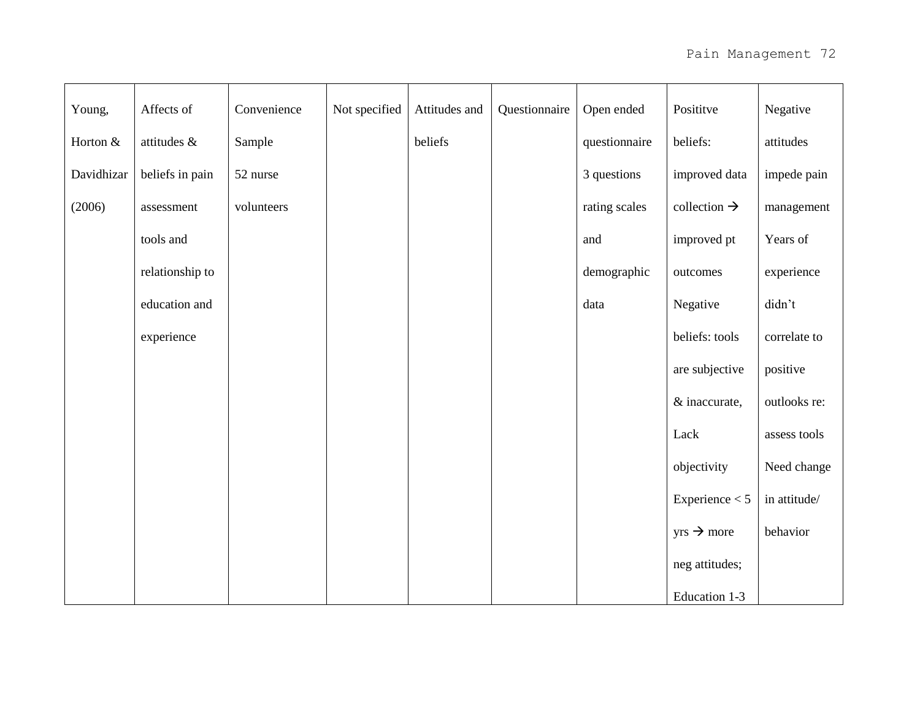| Young,     | Affects of      | Convenience | Not specified | Attitudes and | Questionnaire | Open ended    | Posititve                | Negative     |
|------------|-----------------|-------------|---------------|---------------|---------------|---------------|--------------------------|--------------|
| Horton &   | attitudes &     | Sample      |               | beliefs       |               | questionnaire | beliefs:                 | attitudes    |
| Davidhizar | beliefs in pain | 52 nurse    |               |               |               | 3 questions   | improved data            | impede pain  |
| (2006)     | assessment      | volunteers  |               |               |               | rating scales | collection $\rightarrow$ | management   |
|            | tools and       |             |               |               |               | and           | improved pt              | Years of     |
|            | relationship to |             |               |               |               | demographic   | outcomes                 | experience   |
|            | education and   |             |               |               |               | data          | Negative                 | didn't       |
|            | experience      |             |               |               |               |               | beliefs: tools           | correlate to |
|            |                 |             |               |               |               |               | are subjective           | positive     |
|            |                 |             |               |               |               |               | & inaccurate,            | outlooks re: |
|            |                 |             |               |               |               |               | Lack                     | assess tools |
|            |                 |             |               |               |               |               | objectivity              | Need change  |
|            |                 |             |               |               |               |               | Experience $< 5$         | in attitude/ |
|            |                 |             |               |               |               |               | $yrs \rightarrow more$   | behavior     |
|            |                 |             |               |               |               |               | neg attitudes;           |              |
|            |                 |             |               |               |               |               | Education 1-3            |              |